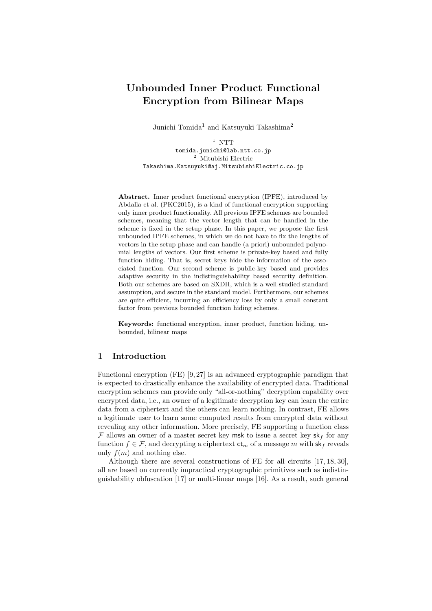# **Unbounded Inner Product Functional Encryption from Bilinear Maps**

Junichi Tomida<sup>1</sup> and Katsuyuki Takashima<sup>2</sup>

 $1 NTT$ tomida.junichi@lab.ntt.co.jp  $^2$ Mitubishi Electric Takashima.Katsuyuki@aj.MitsubishiElectric.co.jp

**Abstract.** Inner product functional encryption (IPFE), introduced by Abdalla et al. (PKC2015), is a kind of functional encryption supporting only inner product functionality. All previous IPFE schemes are bounded schemes, meaning that the vector length that can be handled in the scheme is fixed in the setup phase. In this paper, we propose the first unbounded IPFE schemes, in which we do not have to fix the lengths of vectors in the setup phase and can handle (a priori) unbounded polynomial lengths of vectors. Our first scheme is private-key based and fully function hiding. That is, secret keys hide the information of the associated function. Our second scheme is public-key based and provides adaptive security in the indistinguishability based security definition. Both our schemes are based on SXDH, which is a well-studied standard assumption, and secure in the standard model. Furthermore, our schemes are quite efficient, incurring an efficiency loss by only a small constant factor from previous bounded function hiding schemes.

**Keywords:** functional encryption, inner product, function hiding, unbounded, bilinear maps

## **1 Introduction**

Functional encryption (FE) [9, 27] is an advanced cryptographic paradigm that is expected to drastically enhance the availability of encrypted data. Traditional encryption schemes can provide only "all-or-nothing" decryption capability over encrypted data, i.e., an owner of a legitimate decryption key can learn the entire data from a ciphertext and the others can learn nothing. In contrast, FE allows a legitimate user to learn some computed results from encrypted data without revealing any other information. More precisely, FE supporting a function class  $\mathcal F$  allows an owner of a master secret key msk to issue a secret key sk<sub>f</sub> for any function  $f \in \mathcal{F}$ , and decrypting a ciphertext  $ct_m$  of a message m with  $sk_f$  reveals only  $f(m)$  and nothing else.

Although there are several constructions of FE for all circuits [17, 18, 30], all are based on currently impractical cryptographic primitives such as indistinguishability obfuscation [17] or multi-linear maps [16]. As a result, such general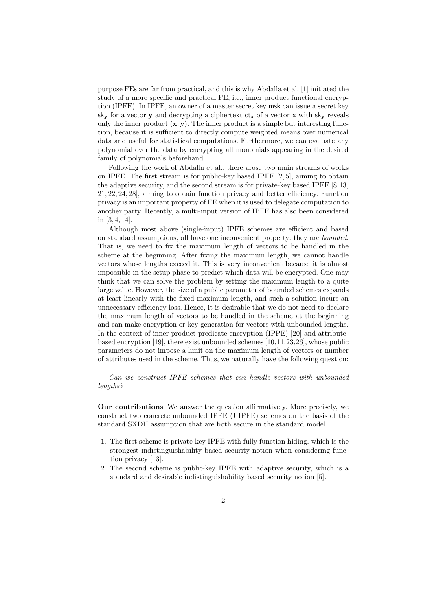purpose FEs are far from practical, and this is why Abdalla et al. [1] initiated the study of a more specific and practical FE, i.e., inner product functional encryption (IPFE). In IPFE, an owner of a master secret key msk can issue a secret key  $sk_y$  for a vector **y** and decrypting a ciphertext  $ck_x$  of a vector **x** with  $sk_y$  reveals only the inner product  $\langle \mathbf{x}, \mathbf{y} \rangle$ . The inner product is a simple but interesting function, because it is sufficient to directly compute weighted means over numerical data and useful for statistical computations. Furthermore, we can evaluate any polynomial over the data by encrypting all monomials appearing in the desired family of polynomials beforehand.

Following the work of Abdalla et al., there arose two main streams of works on IPFE. The first stream is for public-key based IPFE [2, 5], aiming to obtain the adaptive security, and the second stream is for private-key based IPFE [8,13, 21, 22, 24, 28], aiming to obtain function privacy and better efficiency. Function privacy is an important property of FE when it is used to delegate computation to another party. Recently, a multi-input version of IPFE has also been considered in [3, 4, 14].

Although most above (single-input) IPFE schemes are efficient and based on standard assumptions, all have one inconvenient property: they are *bounded*. That is, we need to fix the maximum length of vectors to be handled in the scheme at the beginning. After fixing the maximum length, we cannot handle vectors whose lengths exceed it. This is very inconvenient because it is almost impossible in the setup phase to predict which data will be encrypted. One may think that we can solve the problem by setting the maximum length to a quite large value. However, the size of a public parameter of bounded schemes expands at least linearly with the fixed maximum length, and such a solution incurs an unnecessary efficiency loss. Hence, it is desirable that we do not need to declare the maximum length of vectors to be handled in the scheme at the beginning and can make encryption or key generation for vectors with unbounded lengths. In the context of inner product predicate encryption (IPPE) [20] and attributebased encryption [19], there exist unbounded schemes [10,11,23,26], whose public parameters do not impose a limit on the maximum length of vectors or number of attributes used in the scheme. Thus, we naturally have the following question:

*Can we construct IPFE schemes that can handle vectors with unbounded lengths?*

**Our contributions** We answer the question affirmatively. More precisely, we construct two concrete unbounded IPFE (UIPFE) schemes on the basis of the standard SXDH assumption that are both secure in the standard model.

- 1. The first scheme is private-key IPFE with fully function hiding, which is the strongest indistinguishability based security notion when considering function privacy [13].
- 2. The second scheme is public-key IPFE with adaptive security, which is a standard and desirable indistinguishability based security notion [5].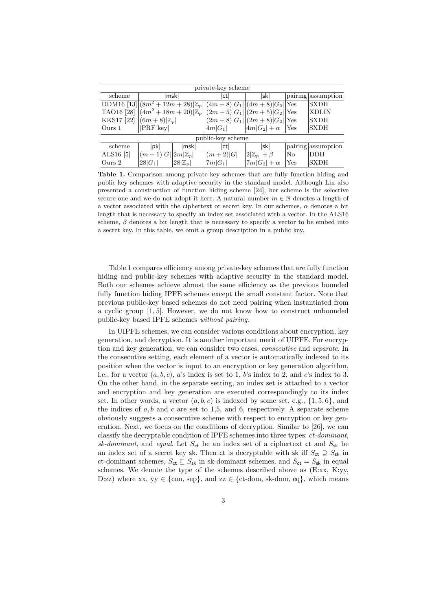| private-key scheme |                                                                              |                           |            |                                |     |                    |  |  |  |
|--------------------|------------------------------------------------------------------------------|---------------------------|------------|--------------------------------|-----|--------------------|--|--|--|
| scheme             | $\left  \text{msk} \right $                                                  |                           | ctl        | lskl                           |     | pairing assumption |  |  |  |
|                    | DDM16 [13] $ (8m^2+12m+28) \mathbb{Z}_p  (4m+8) G_1  (4m+8) G_2  \text{Yes}$ |                           |            |                                |     | <b>SXDH</b>        |  |  |  |
|                    | TAO16 [28] $ (4m^2+18m+20) \mathbb{Z}_p  (2m+5) G_1  (2m+5) G_2  \text{Yes}$ |                           |            |                                |     | <b>XDLIN</b>       |  |  |  |
| KKS17 [22]         | $ (6m+8) \mathbb{Z}_p $                                                      |                           |            | $(2m+8) G_1  (2m+8) G_2  $ Yes |     | <b>SXDH</b>        |  |  |  |
| Ours 1             | $ PRF$ key                                                                   |                           | $ 4m G_1 $ | $ 4m G_2  + \alpha$ Yes        |     | <b>SXDH</b>        |  |  |  |
| public-key scheme  |                                                                              |                           |            |                                |     |                    |  |  |  |
| scheme             | pk                                                                           | $\left  \sf{msk} \right $ | lct l      | lskl                           |     | pairing assumption |  |  |  |
| ALS $16$ [5]       | $(m+1) G  2m \mathbb{Z}_p $                                                  |                           | $(m+2) G $ | $ 2 \mathbb{Z}_p +\beta$       | No  | <b>DDH</b>         |  |  |  |
| Ours 2             | $ 28 G_1 $                                                                   | $ 28 \mathbb{Z}_p $       | $7m G_1 $  | $7m G_2  + \alpha$             | Yes | <b>SXDH</b>        |  |  |  |
|                    |                                                                              |                           |            |                                |     |                    |  |  |  |

**Table 1.** Comparison among private-key schemes that are fully function hiding and public-key schemes with adaptive security in the standard model. Although Lin also presented a construction of function hiding scheme [24], her scheme is the selective secure one and we do not adopt it here. A natural number  $m \in \mathbb{N}$  denotes a length of a vector associated with the ciphertext or secret key. In our schemes, *α* denotes a bit length that is necessary to specify an index set associated with a vector. In the ALS16 scheme,  $\beta$  denotes a bit length that is necessary to specify a vector to be embed into a secret key. In this table, we omit a group description in a public key.

Table 1 compares efficiency among private-key schemes that are fully function hiding and public-key schemes with adaptive security in the standard model. Both our schemes achieve almost the same efficiency as the previous bounded fully function hiding IPFE schemes except the small constant factor. Note that previous public-key based schemes do not need pairing when instantiated from a cyclic group [1, 5]. However, we do not know how to construct unbounded public-key based IPFE schemes *without pairing*.

In UIPFE schemes, we can consider various conditions about encryption, key generation, and decryption. It is another important merit of UIPFE. For encryption and key generation, we can consider two cases, *consecutive* and *separate*. In the consecutive setting, each element of a vector is automatically indexed to its position when the vector is input to an encryption or key generation algorithm, i.e., for a vector  $(a, b, c)$ , *a*'s index is set to 1, *b*'s index to 2, and *c*'s index to 3. On the other hand, in the separate setting, an index set is attached to a vector and encryption and key generation are executed correspondingly to its index set. In other words, a vector  $(a, b, c)$  is indexed by some set, e.g.,  $\{1, 5, 6\}$ , and the indices of  $a, b$  and  $c$  are set to 1,5, and 6, respectively. A separate scheme obviously suggests a consecutive scheme with respect to encryption or key generation. Next, we focus on the conditions of decryption. Similar to [26], we can classify the decryptable condition of IPFE schemes into three types: *ct-dominant*, *sk-dominant*, and *equal*. Let  $S_{ct}$  be an index set of a ciphertext ct and  $S_{sk}$  be an index set of a secret key sk. Then ct is decryptable with sk iff  $S_{ct} \supseteq S_{sk}$  in ct-dominant schemes,  $S_{\text{ct}} \subseteq S_{\text{sk}}$  in sk-dominant schemes, and  $S_{\text{ct}} = S_{\text{sk}}$  in equal schemes. We denote the type of the schemes described above as  $(E:xx, K:yy,$ D:zz) where xx,  $yy \in \{\text{con, sep}\}\$ , and  $zz \in \{\text{ct-dom, sk-dom, eq}\}\$ , which means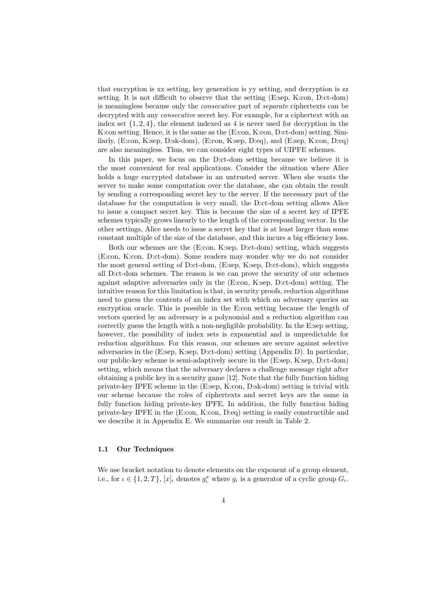that encryption is xx setting, key generation is yy setting, and decryption is zz setting. It is not difficult to observe that the setting (E:sep, K:con, D:ct-dom) is meaningless because only the *consecutive* part of *separate* ciphertexts can be decrypted with any *consecutive* secret key. For example, for a ciphertext with an index set  $\{1, 2, 4\}$ , the element indexed as 4 is never used for decryption in the K:con setting. Hence, it is the same as the (E:con, K:con, D:ct-dom) setting. Similarly, (E:con, K:sep, D:sk-dom), (E:con, K:sep, D:eq), and (E:sep, K:con, D:eq) are also meaningless. Thus, we can consider eight types of UIPFE schemes.

In this paper, we focus on the D:ct-dom setting because we believe it is the most convenient for real applications. Consider the situation where Alice holds a huge encrypted database in an untrusted server. When she wants the server to make some computation over the database, she can obtain the result by sending a corresponding secret key to the server. If the necessary part of the database for the computation is very small, the D:ct-dom setting allows Alice to issue a compact secret key. This is because the size of a secret key of IPFE schemes typically grows linearly to the length of the corresponding vector. In the other settings, Alice needs to issue a secret key that is at least larger than some constant multiple of the size of the database, and this incurs a big efficiency loss.

Both our schemes are the (E:con, K:sep, D:ct-dom) setting, which suggests (E:con, K:con, D:ct-dom). Some readers may wonder why we do not consider the most general setting of D:ct-dom, (E:sep, K:sep, D:ct-dom), which suggests all D:ct-dom schemes. The reason is we can prove the security of our schemes against adaptive adversaries only in the (E:con, K:sep, D:ct-dom) setting. The intuitive reason for this limitation is that, in security proofs, reduction algorithms need to guess the contents of an index set with which an adversary queries an encryption oracle. This is possible in the E:con setting because the length of vectors queried by an adversary is a polynomial and a reduction algorithm can correctly guess the length with a non-negligible probability. In the E:sep setting, however, the possibility of index sets is exponential and is unpredictable for reduction algorithms. For this reason, our schemes are secure against selective adversaries in the (E:sep, K:sep, D:ct-dom) setting (Appendix D). In particular, our public-key scheme is semi-adaptively secure in the (E:sep, K:sep, D:ct-dom) setting, which means that the adversary declares a challenge message right after obtaining a public key in a security game [12]. Note that the fully function hiding private-key IPFE scheme in the (E:sep, K:con, D:sk-dom) setting is trivial with our scheme because the roles of ciphertexts and secret keys are the same in fully function hiding private-key IPFE. In addition, the fully function hiding private-key IPFE in the (E:con, K:con, D:eq) setting is easily constructible and we describe it in Appendix E. We summarize our result in Table 2.

### **1.1 Our Techniques**

We use bracket notation to denote elements on the exponent of a group element, i.e., for  $\iota \in \{1, 2, T\}$ ,  $[x]$ <sup>*l*</sup> denotes  $g_i^x$  where  $g_i$  is a generator of a cyclic group  $G_i$ .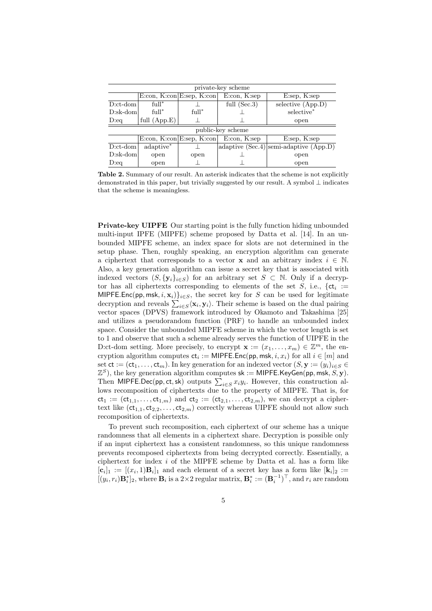| private-key scheme |                |                              |                |                                            |  |  |  |  |
|--------------------|----------------|------------------------------|----------------|--------------------------------------------|--|--|--|--|
|                    |                | E:con, $K:con E:sep, K:con $ | E:con, K:sep   | E:sep, K:sep                               |  |  |  |  |
| $D:ct$ -dom        | $full^*$       |                              | full $(Sec.3)$ | selective (App.D)                          |  |  |  |  |
| $D:sk\text{-}dom$  | $ful1*$        | $full^*$                     |                | selective*                                 |  |  |  |  |
| D:eq               | full $(App.E)$ |                              |                | open                                       |  |  |  |  |
| public-key scheme  |                |                              |                |                                            |  |  |  |  |
|                    |                | E:con, $K:con E:sep, K:con $ | E:con, K:sep   | E:sep, K:sep                               |  |  |  |  |
| $D:ct$ -dom        | adaptive*      |                              |                | adaptive $(Sec.4)$ semi-adaptive $(App.D)$ |  |  |  |  |
| $D:sk\text{-}dom$  | open           | open                         |                | open                                       |  |  |  |  |
| D:eq               | open           |                              |                | open                                       |  |  |  |  |

**Table 2.** Summary of our result. An asterisk indicates that the scheme is not explicitly demonstrated in this paper, but trivially suggested by our result. A symbol *⊥* indicates that the scheme is meaningless.

**Private-key UIPFE** Our starting point is the fully function hiding unbounded multi-input IPFE (MIPFE) scheme proposed by Datta et al. [14]. In an unbounded MIPFE scheme, an index space for slots are not determined in the setup phase. Then, roughly speaking, an encryption algorithm can generate a ciphertext that corresponds to a vector **x** and an arbitrary index  $i \in \mathbb{N}$ . Also, a key generation algorithm can issue a secret key that is associated with indexed vectors  $(S, \{y_i\}_{i \in S})$  for an arbitrary set  $S \subset \mathbb{N}$ . Only if a decryptor has all ciphertexts corresponding to elements of the set  $S$ , i.e.,  $\{\textsf{ct}_i\}$ MIPFE.Enc(pp, msk,  $i$ ,  $\mathbf{x}_i$ ) $\}$ <sub>*i*∈S</sub>, the secret key for *S* can be used for legitimate decryption and reveals  $\sum_{i \in S} \langle \mathbf{x}_i, \mathbf{y}_i \rangle$ . Their scheme is based on the dual pairing vector spaces (DPVS) framework introduced by Okamoto and Takashima [25] and utilizes a pseudorandom function (PRF) to handle an unbounded index space. Consider the unbounded MIPFE scheme in which the vector length is set to 1 and observe that such a scheme already serves the function of UIPFE in the D:ct-dom setting. More precisely, to encrypt  $\mathbf{x} := (x_1, \ldots, x_m) \in \mathbb{Z}^m$ , the encryption algorithm computes  $ct_i := \textsf{MIPFE}$ *.Enc(pp, msk, i, x<sub>i</sub>)* for all  $i \in [m]$  and set  $ct := (ct_1, \ldots, ct_m)$ . In key generation for an indexed vector  $(S, y) := (y_i)_{i \in S} \in$  $\mathbb{Z}^S$ ), the key generation algorithm computes  $\mathsf{sk} := \mathsf{MIPFE}$ .KeyGen(pp, msk,  $S, \mathbf{y}$ ). Then MIPFE.Dec(pp, ct, sk) outputs  $\sum_{i \in S} x_i y_i$ . However, this construction allows recomposition of ciphertexts due to the property of MIPFE. That is, for  $ct_1 := (ct_{1,1}, \ldots, ct_{1,m})$  and  $ct_2 := (ct_{2,1}, \ldots, ct_{2,m})$ , we can decrypt a ciphertext like  $(ct_{1,1}, ct_{2,2}, \ldots, ct_{2,m})$  correctly whereas UIPFE should not allow such recomposition of ciphertexts.

To prevent such recomposition, each ciphertext of our scheme has a unique randomness that all elements in a ciphertext share. Decryption is possible only if an input ciphertext has a consistent randomness, so this unique randomness prevents recomposed ciphertexts from being decrypted correctly. Essentially, a ciphertext for index *i* of the MIPFE scheme by Datta et al. has a form like  $[\mathbf{c}_i]_1 := [(x_i, 1)\mathbf{B}_i]_1$  and each element of a secret key has a form like  $[\mathbf{k}_i]_2 :=$  $[(y_i, r_i) \mathbf{B}_i^*]_2$ , where  $\mathbf{B}_i$  is a 2×2 regular matrix,  $\mathbf{B}_i^* := (\mathbf{B}_i^{-1})^\top$ , and  $r_i$  are random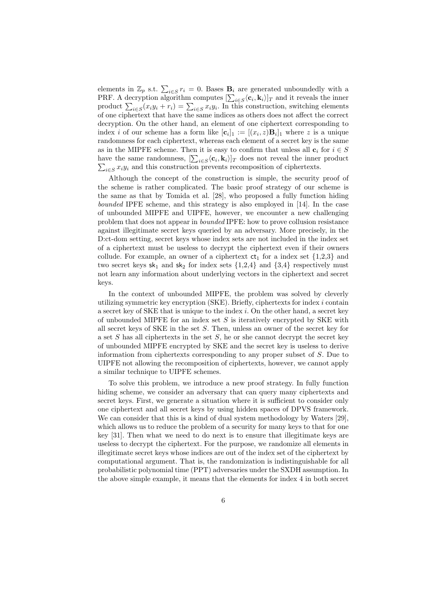elements in  $\mathbb{Z}_p$  s.t.  $\sum_{i \in S} r_i = 0$ . Bases  $\mathbf{B}_i$  are generated unboundedly with a PRF. A decryption algorithm computes  $[\sum_{i \in S} \langle \mathbf{c}_i, \mathbf{k}_i \rangle]_T$  and it reveals the inner product  $\sum_{i \in S} (x_i y_i + r_i) = \sum_{i \in S} x_i y_i$ . In this construction, switching elements of one ciphertext that have the same indices as others does not affect the correct decryption. On the other hand, an element of one ciphertext corresponding to index *i* of our scheme has a form like  $[\mathbf{c}_i]_1 := [(x_i, z) \mathbf{B}_i]_1$  where *z* is a unique randomness for each ciphertext, whereas each element of a secret key is the same as in the MIPFE scheme. Then it is easy to confirm that unless all  $\mathbf{c}_i$  for  $i \in S$ have the same randomness,  $[\sum_{i \in S} \langle \mathbf{c}_i, \mathbf{k}_i \rangle]_T$  does not reveal the inner product  $\sum_{i \in S} x_i y_i$  and this construction prevents recomposition of ciphertexts.  $i ∈ S$  *x*<sub>*i*</sub>*y*<sub>*i*</sub> and this construction prevents recomposition of ciphertexts.

Although the concept of the construction is simple, the security proof of the scheme is rather complicated. The basic proof strategy of our scheme is the same as that by Tomida et al. [28], who proposed a fully function hiding *bounded* IPFE scheme, and this strategy is also employed in [14]. In the case of unbounded MIPFE and UIPFE, however, we encounter a new challenging problem that does not appear in *bounded* IPFE: how to prove collusion resistance against illegitimate secret keys queried by an adversary. More precisely, in the D:ct-dom setting, secret keys whose index sets are not included in the index set of a ciphertext must be useless to decrypt the ciphertext even if their owners collude. For example, an owner of a ciphertext  $ct_1$  for a index set  $\{1,2,3\}$  and two secret keys  $sk_1$  and  $sk_2$  for index sets  $\{1,2,4\}$  and  $\{3,4\}$  respectively must not learn any information about underlying vectors in the ciphertext and secret keys.

In the context of unbounded MIPFE, the problem was solved by cleverly utilizing symmetric key encryption (SKE). Briefly, ciphertexts for index *i* contain a secret key of SKE that is unique to the index *i*. On the other hand, a secret key of unbounded MIPFE for an index set *S* is iteratively encrypted by SKE with all secret keys of SKE in the set *S*. Then, unless an owner of the secret key for a set *S* has all ciphertexts in the set *S*, he or she cannot decrypt the secret key of unbounded MIPFE encrypted by SKE and the secret key is useless to derive information from ciphertexts corresponding to any proper subset of *S*. Due to UIPFE not allowing the recomposition of ciphertexts, however, we cannot apply a similar technique to UIPFE schemes.

To solve this problem, we introduce a new proof strategy. In fully function hiding scheme, we consider an adversary that can query many ciphertexts and secret keys. First, we generate a situation where it is sufficient to consider only one ciphertext and all secret keys by using hidden spaces of DPVS framework. We can consider that this is a kind of dual system methodology by Waters [29], which allows us to reduce the problem of a security for many keys to that for one key [31]. Then what we need to do next is to ensure that illegitimate keys are useless to decrypt the ciphertext. For the purpose, we randomize all elements in illegitimate secret keys whose indices are out of the index set of the ciphertext by computational argument. That is, the randomization is indistinguishable for all probabilistic polynomial time (PPT) adversaries under the SXDH assumption. In the above simple example, it means that the elements for index 4 in both secret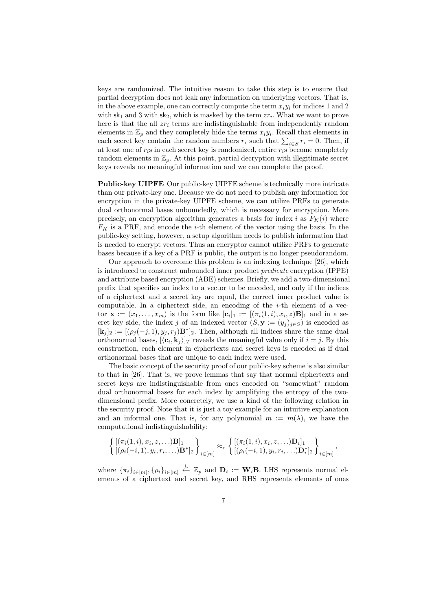keys are randomized. The intuitive reason to take this step is to ensure that partial decryption does not leak any information on underlying vectors. That is, in the above example, one can correctly compute the term  $x_i y_i$  for indices 1 and 2 with  $sk_1$  and 3 with  $sk_2$ , which is masked by the term  $zr_i$ . What we want to prove here is that the all  $z_i$  terms are indistinguishable from independently random elements in  $\mathbb{Z}_p$  and they completely hide the terms  $x_i y_i$ . Recall that elements in each secret key contain the random numbers  $r_i$  such that  $\sum_{i \in S} r_i = 0$ . Then, if at least one of  $r_i$ s in each secret key is randomized, entire  $r_i$ s become completely random elements in  $\mathbb{Z}_p$ . At this point, partial decryption with illegitimate secret keys reveals no meaningful information and we can complete the proof.

**Public-key UIPFE** Our public-key UIPFE scheme is technically more intricate than our private-key one. Because we do not need to publish any information for encryption in the private-key UIPFE scheme, we can utilize PRFs to generate dual orthonormal bases unboundedly, which is necessary for encryption. More precisely, an encryption algorithm generates a basis for index *i* as  $F_K(i)$  where *F<sup>K</sup>* is a PRF, and encode the *i*-th element of the vector using the basis. In the public-key setting, however, a setup algorithm needs to publish information that is needed to encrypt vectors. Thus an encryptor cannot utilize PRFs to generate bases because if a key of a PRF is public, the output is no longer pseudorandom.

Our approach to overcome this problem is an indexing technique [26], which is introduced to construct unbounded inner product *predicate* encryption (IPPE) and attribute based encryption (ABE) schemes. Briefly, we add a two-dimensional prefix that specifies an index to a vector to be encoded, and only if the indices of a ciphertext and a secret key are equal, the correct inner product value is computable. In a ciphertext side, an encoding of the *i*-th element of a vec- $\text{tor } \mathbf{x} := (x_1, \dots, x_m) \text{ is the form like } [\mathbf{c}_i]_1 := [(\pi_i(1,i), x_i, z) \mathbf{B}]_1 \text{ and in a se-}$ cret key side, the index *j* of an indexed vector  $(S, y := (y_j)_{j \in S})$  is encoded as  $[\mathbf{k}_j]_2 := [(\rho_j(-j,1), y_j, r_j) \mathbf{B}^*]_2$ . Then, although all indices share the same dual orthonormal bases,  $[\langle \mathbf{c}_i, \mathbf{k}_j \rangle]_T$  reveals the meaningful value only if  $i = j$ . By this construction, each element in ciphertexts and secret keys is encoded as if dual orthonormal bases that are unique to each index were used.

The basic concept of the security proof of our public-key scheme is also similar to that in [26]. That is, we prove lemmas that say that normal ciphertexts and secret keys are indistinguishable from ones encoded on "somewhat" random dual orthonormal bases for each index by amplifying the entropy of the twodimensional prefix. More concretely, we use a kind of the following relation in the security proof. Note that it is just a toy example for an intuitive explanation and an informal one. That is, for any polynomial  $m := m(\lambda)$ , we have the computational indistinguishability:

$$
\left\{ \begin{matrix} [(\pi_i(1,i),x_i,z,\ldots)B]_1 \\ [(\rho_i(-i,1),y_i,r_i,\ldots)B^*]_2 \end{matrix} \right\}_{i\in[m]} \approx_c \left\{ \begin{matrix} [(\pi_i(1,i),x_i,z,\ldots)D_i]_1 \\ [(\rho_i(-i,1),y_i,r_i,\ldots)D_i^*]_2 \end{matrix} \right\}_{i\in[m]},
$$

where  $\{\pi_i\}_{i\in[m]}, \{\rho_i\}_{i\in[m]} \stackrel{\cup}{\leftarrow} \mathbb{Z}_p$  and  $\mathbf{D}_i := \mathbf{W}_i\mathbf{B}$ . LHS represents normal elements of a ciphertext and secret key, and RHS represents elements of ones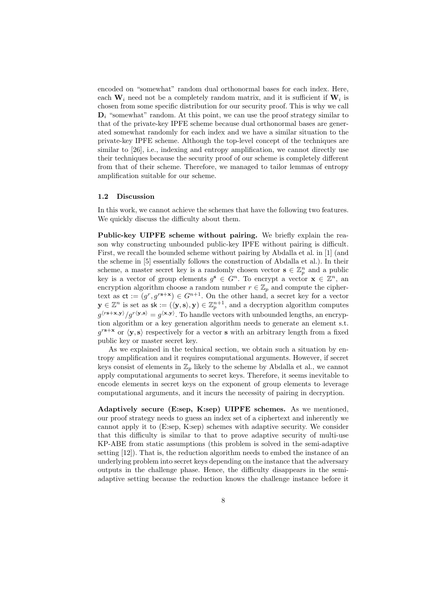encoded on "somewhat" random dual orthonormal bases for each index. Here, each  $W_i$  need not be a completely random matrix, and it is sufficient if  $W_i$  is chosen from some specific distribution for our security proof. This is why we call  $D_i$  "somewhat" random. At this point, we can use the proof strategy similar to that of the private-key IPFE scheme because dual orthonormal bases are generated somewhat randomly for each index and we have a similar situation to the private-key IPFE scheme. Although the top-level concept of the techniques are similar to [26], i.e., indexing and entropy amplification, we cannot directly use their techniques because the security proof of our scheme is completely different from that of their scheme. Therefore, we managed to tailor lemmas of entropy amplification suitable for our scheme.

#### **1.2 Discussion**

In this work, we cannot achieve the schemes that have the following two features. We quickly discuss the difficulty about them.

**Public-key UIPFE scheme without pairing.** We briefly explain the reason why constructing unbounded public-key IPFE without pairing is difficult. First, we recall the bounded scheme without pairing by Abdalla et al. in [1] (and the scheme in [5] essentially follows the construction of Abdalla et al.). In their scheme, a master secret key is a randomly chosen vector  $\mathbf{s} \in \mathbb{Z}_p^n$  and a public key is a vector of group elements  $g^s \in G^n$ . To encrypt a vector  $\mathbf{x} \in \mathbb{Z}^n$ , an encryption algorithm choose a random number  $r \in \mathbb{Z}_p$  and compute the ciphertext as  $ct := (g^r, g^{rs+x}) \in G^{n+1}$ . On the other hand, a secret key for a vector **y**  $\in \mathbb{Z}^n$  is set as sk :=  $(\langle y, s \rangle, y) \in \mathbb{Z}_p^{n+1}$ , and a decryption algorithm computes  $g^{\langle r\mathbf{s}+\mathbf{x},\mathbf{y}\rangle}/g^{r\langle\mathbf{y},\mathbf{s}\rangle}=g^{\langle\mathbf{x},\mathbf{y}\rangle}$ . To handle vectors with unbounded lengths, an encryption algorithm or a key generation algorithm needs to generate an element s.t.  $g^{rs+\mathbf{x}}$  or  $\langle \mathbf{y}, \mathbf{s} \rangle$  respectively for a vector **s** with an arbitrary length from a fixed public key or master secret key.

As we explained in the technical section, we obtain such a situation by entropy amplification and it requires computational arguments. However, if secret keys consist of elements in  $\mathbb{Z}_p$  likely to the scheme by Abdalla et al., we cannot apply computational arguments to secret keys. Therefore, it seems inevitable to encode elements in secret keys on the exponent of group elements to leverage computational arguments, and it incurs the necessity of pairing in decryption.

**Adaptively secure (E:sep, K:sep) UIPFE schemes.** As we mentioned, our proof strategy needs to guess an index set of a ciphertext and inherently we cannot apply it to (E:sep, K:sep) schemes with adaptive security. We consider that this difficulty is similar to that to prove adaptive security of multi-use KP-ABE from static assumptions (this problem is solved in the semi-adaptive setting [12]). That is, the reduction algorithm needs to embed the instance of an underlying problem into secret keys depending on the instance that the adversary outputs in the challenge phase. Hence, the difficulty disappears in the semiadaptive setting because the reduction knows the challenge instance before it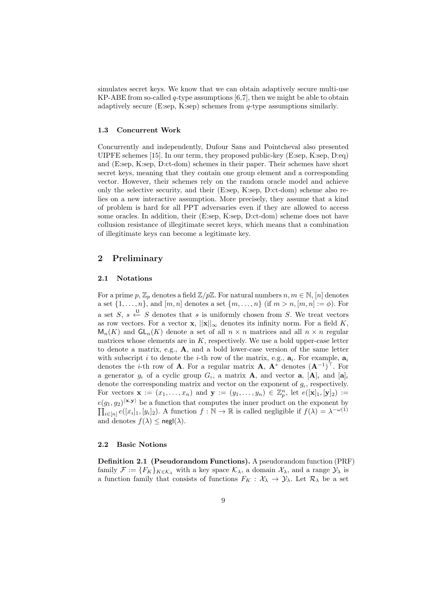simulates secret keys. We know that we can obtain adaptively secure multi-use KP-ABE from so-called *q*-type assumptions [6,7], then we might be able to obtain adaptively secure (E:sep, K:sep) schemes from *q*-type assumptions similarly.

## **1.3 Concurrent Work**

Concurrently and independently, Dufour Sans and Pointcheval also presented UIPFE schemes [15]. In our term, they proposed public-key (E:sep, K:sep, D:eq) and (E:sep, K:sep, D:ct-dom) schemes in their paper. Their schemes have short secret keys, meaning that they contain one group element and a corresponding vector. However, their schemes rely on the random oracle model and achieve only the selective security, and their (E:sep, K:sep, D:ct-dom) scheme also relies on a new interactive assumption. More precisely, they assume that a kind of problem is hard for all PPT adversaries even if they are allowed to access some oracles. In addition, their (E:sep, K:sep, D:ct-dom) scheme does not have collusion resistance of illegitimate secret keys, which means that a combination of illegitimate keys can become a legitimate key.

## **2 Preliminary**

#### **2.1 Notations**

For a prime  $p, \mathbb{Z}_p$  denotes a field  $\mathbb{Z}/p\mathbb{Z}$ . For natural numbers  $n, m \in \mathbb{N}$ , [n] denotes a set  $\{1, \ldots, n\}$ , and  $[m, n]$  denotes a set  $\{m, \ldots, n\}$  (if  $m > n$ ,  $[m, n] := \phi$ ). For a set  $S, s \stackrel{\cup}{\leftarrow} S$  denotes that *s* is uniformly chosen from *S*. We treat vectors as row vectors. For a vector **x**,  $||\mathbf{x}||_{\infty}$  denotes its infinity norm. For a field *K*,  $M_n(K)$  and  $GL_n(K)$  denote a set of all  $n \times n$  matrices and all  $n \times n$  regular matrices whose elements are in *K*, respectively. We use a bold upper-case letter to denote a matrix, e.g., **A**, and a bold lower-case version of the same letter with subscript *i* to denote the *i*-th row of the matrix, e.g., **a***<sup>i</sup>* . For example, **a***<sup>i</sup>* denotes the *i*-th row of **A**. For a regular matrix **A**, **A***<sup>∗</sup>* denotes (**A***−*<sup>1</sup> ) *⊤*. For a generator  $g_i$  of a cyclic group  $G_i$ , a matrix **A**, and vector **a**,  $[\mathbf{A}]_i$  and  $[\mathbf{a}]_i$ denote the corresponding matrix and vector on the exponent of *g<sup>ι</sup>* , respectively. For vectors  $\mathbf{x} := (x_1, \ldots, x_n)$  and  $\mathbf{y} := (y_1, \ldots, y_n) \in \mathbb{Z}_p^n$ , let  $e([\mathbf{x}]_1, [\mathbf{y}]_2) :=$  $e(g_1, g_2)^{\langle \mathbf{x}, \mathbf{y} \rangle}$  be a function that computes the inner product on the exponent by  $\prod_{i \in [n]} e([x_i]_1, [y_i]_2)$ . A function  $f : \mathbb{N} \to \mathbb{R}$  is called negligible if  $f(\lambda) = \lambda^{-\omega(1)}$ and denotes  $f(\lambda) \leq \text{negl}(\lambda)$ .

### **2.2 Basic Notions**

**Definition 2.1 (Pseudorandom Functions).** A pseudorandom function (PRF) family  $\mathcal{F} := \{F_K\}_{K \in \mathcal{K}_{\lambda}}$  with a key space  $\mathcal{K}_{\lambda}$ , a domain  $\mathcal{X}_{\lambda}$ , and a range  $\mathcal{Y}_{\lambda}$  is a function family that consists of functions  $F_K: \mathcal{X}_{\lambda} \to \mathcal{Y}_{\lambda}$ . Let  $\mathcal{R}_{\lambda}$  be a set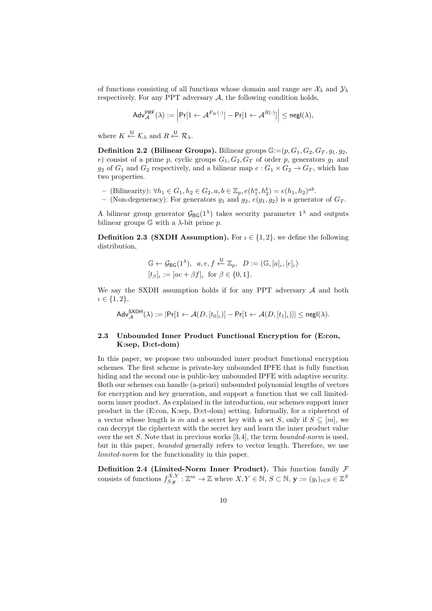of functions consisting of all functions whose domain and range are  $\mathcal{X}_{\lambda}$  and  $\mathcal{Y}_{\lambda}$ respectively. For any PPT adversary *A*, the following condition holds,

$$
\mathsf{Adv}_{\mathcal{A}}^{\mathsf{PRF}}(\lambda) := \left| \Pr[1 \leftarrow \mathcal{A}^{F_K(\cdot)}] - \Pr[1 \leftarrow \mathcal{A}^{R(\cdot)}] \right| \leq \mathsf{negl}(\lambda),
$$

where  $K \xleftarrow{U} \mathcal{K}_{\lambda}$  and  $R \xleftarrow{U} \mathcal{R}_{\lambda}$ .

**Definition 2.2 (Bilinear Groups).** Bilinear groups  $\mathbb{G}:= (p, G_1, G_2, G_T, q_1, q_2, q_2)$  $e$ ) consist of a prime *p*, cyclic groups  $G_1, G_2, G_T$  of order *p*, generators  $g_1$  and  $g_2$  of  $G_1$  and  $G_2$  respectively, and a bilinear map  $e: G_1 \times G_2 \rightarrow G_T$ , which has two properties.

- *−* (Bilinearity):  $\forall h_1 \in G_1, h_2 \in G_2, a, b \in \mathbb{Z}_p, e(h_1^a, h_2^b) = e(h_1, h_2)^{ab}$ .
- **–** (Non-degeneracy): For generators *g*<sup>1</sup> and *g*2, *e*(*g*1*, g*2) is a generator of *G<sup>T</sup>* .

A bilinear group generator  $\mathcal{G}_{BG}(1^{\lambda})$  takes security parameter  $1^{\lambda}$  and outputs bilinear groups  $\mathbb G$  with a  $\lambda$ -bit prime  $p$ .

**Definition 2.3 (SXDH Assumption).** For  $\iota \in \{1, 2\}$ , we define the following distribution,

$$
\mathbb{G} \leftarrow \mathcal{G}_{\text{BG}}(1^{\lambda}), \ a, e, f \xleftarrow{\mathsf{U}} \mathbb{Z}_p, \ D := (\mathbb{G}, [a]_t, [e]_t)
$$
  
\n
$$
[t_{\beta}]_t := [ae + \beta f]_t \ \text{for} \ \beta \in \{0, 1\}.
$$

We say the SXDH assumption holds if for any PPT adversary *A* and both *ι ∈ {*1*,* 2*}*,

$$
\mathsf{Adv}_{\mathcal{A}}^{\mathsf{SXDH}}(\lambda) := |\mathsf{Pr}[1 \leftarrow \mathcal{A}(D, [t_0]_t)] - \mathsf{Pr}[1 \leftarrow \mathcal{A}(D, [t_1]_t)]| \leq \mathsf{negl}(\lambda).
$$

## **2.3 Unbounded Inner Product Functional Encryption for (E:con, K:sep, D:ct-dom)**

In this paper, we propose two unbounded inner product functional encryption schemes. The first scheme is private-key unbounded IPFE that is fully function hiding and the second one is public-key unbounded IPFE with adaptive security. Both our schemes can handle (a-priori) unbounded polynomial lengths of vectors for encryption and key generation, and support a function that we call limitednorm inner product. As explained in the introduction, our schemes support inner product in the (E:con, K:sep, D:ct-dom) setting. Informally, for a ciphertext of a vector whose length is *m* and a secret key with a set *S*, only if  $S \subseteq [m]$ , we can decrypt the ciphertext with the secret key and learn the inner product value over the set *S*. Note that in previous works [3,4], the term *bounded-norm* is used, but in this paper, *bounded* generally refers to vector length. Therefore, we use *limited-norm* for the functionality in this paper.

**Definition 2.4 (Limited-Norm Inner Product).** This function family *F* consists of functions  $f_{S,\mathbf{y}}^{X,Y} : \mathbb{Z}^m \to \mathbb{Z}$  where  $X, Y \in \mathbb{N}, S \subset \mathbb{N}, \mathbf{y} := (y_i)_{i \in S} \in \mathbb{Z}^S$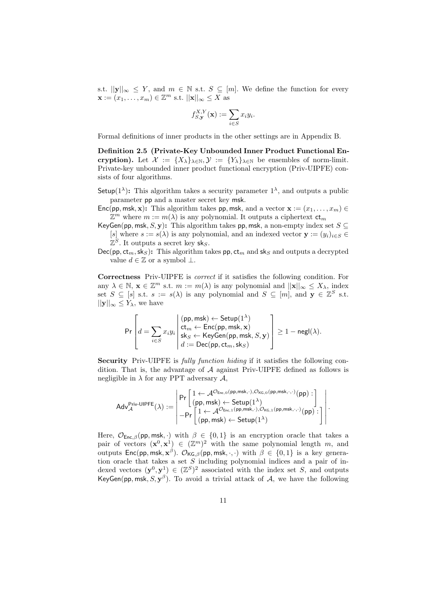s.t.  $||y||_{\infty} \leq Y$ , and  $m \in \mathbb{N}$  s.t.  $S \subseteq [m]$ . We define the function for every  $\mathbf{x} := (x_1, \dots, x_m) \in \mathbb{Z}^m$  s.t.  $||\mathbf{x}||_{\infty} \leq X$  as

$$
f_{S,\mathbf{y}}^{X,Y}(\mathbf{x}) := \sum_{i \in S} x_i y_i.
$$

Formal definitions of inner products in the other settings are in Appendix B.

**Definition 2.5 (Private-Key Unbounded Inner Product Functional Encryption).** Let  $\mathcal{X} := \{X_{\lambda}\}_{\lambda \in \mathbb{N}}, \mathcal{Y} := \{Y_{\lambda}\}_{\lambda \in \mathbb{N}}$  be ensembles of norm-limit. Private-key unbounded inner product functional encryption (Priv-UIPFE) consists of four algorithms.

- Setup( $1^{\lambda}$ ): This algorithm takes a security parameter  $1^{\lambda}$ , and outputs a public parameter pp and a master secret key msk.
- Enc(pp, msk, **x**): This algorithm takes pp, msk, and a vector  $\mathbf{x} := (x_1, \dots, x_m) \in$  $\mathbb{Z}^m$  where  $m := m(\lambda)$  is any polynomial. It outputs a ciphertext  $ct_m$
- KeyGen(pp, msk, S, y): This algorithm takes pp, msk, a non-empty index set  $S \subseteq$  $[s]$  where  $s := s(\lambda)$  is any polynomial, and an indexed vector  $\mathbf{y} := (y_i)_{i \in S} \in$  $\mathbb{Z}^S$ . It outputs a secret key sk<sub>S</sub>.
- $Dec(pp, ct_m, sk_S)$ : This algorithm takes  $pp, ct_m$  and  $sk_S$  and outputs a decrypted value  $d \in \mathbb{Z}$  or a symbol  $\perp$ .

**Correctness** Priv-UIPFE is *correct* if it satisfies the following condition. For any  $\lambda \in \mathbb{N}$ ,  $\mathbf{x} \in \mathbb{Z}^m$  s.t.  $m := m(\lambda)$  is any polynomial and  $||\mathbf{x}||_{\infty} \leq X_{\lambda}$ , index set  $S \subseteq [s]$  s.t.  $s := s(\lambda)$  is any polynomial and  $S \subseteq [m]$ , and  $y \in \mathbb{Z}^S$  s.t.  $||\mathbf{y}||_{\infty} \leq Y_{\lambda}$ , we have

$$
\Pr\left[d = \sum_{i \in S} x_i y_i \left| \begin{array}{l}(\text{pp},\text{msk}) \leftarrow \text{Setup}(1^{\lambda})\\\text{ct}_m \leftarrow \text{Enc}(\text{pp},\text{msk},\textbf{x})\\\text{sk}_S \leftarrow \text{KeyGen}(\text{pp},\text{msk},S,\textbf{y})\\d := \text{Dec}(\text{pp},\text{ct}_m,\text{sk}_S)\end{array}\right\} \right| \geq 1 - \text{negl}(\lambda).
$$

**Security** Priv-UIPFE is *fully function hiding* if it satisfies the following condition. That is, the advantage of *A* against Priv-UIPFE defined as follows is negligible in  $\lambda$  for any PPT adversary  $\mathcal{A}$ ,

$$
\mathsf{Adv}_{\mathcal{A}}^{\mathsf{Priv-UIPFE}}(\lambda) := \left|\begin{array}{l} \Pr\left[1 \leftarrow \mathcal{A}^{\mathcal{O}_{\mathsf{Enc},0}(\mathsf{pp},\mathsf{msk},\cdot),\mathcal{O}_{\mathsf{KG},0}(\mathsf{pp},\mathsf{msk},\cdot,\cdot)}(\mathsf{pp}):\\ (\mathsf{pp},\mathsf{msk}) \leftarrow \mathsf{Setup}(1^{\lambda}) \\ -\Pr\left[1 \leftarrow \mathcal{A}^{\mathcal{O}_{\mathsf{Enc},1}(\mathsf{pp},\mathsf{msk},\cdot),\mathcal{O}_{\mathsf{KG},1}(\mathsf{pp},\mathsf{msk},\cdot,\cdot)}(\mathsf{pp}):\\ (\mathsf{pp},\mathsf{msk}) \leftarrow \mathsf{Setup}(1^{\lambda})\end{array}\right|\right..
$$

Here,  $\mathcal{O}_{\mathsf{Enc},\beta}(\mathsf{pp},\mathsf{msk},\cdot)$  with  $\beta \in \{0,1\}$  is an encryption oracle that takes a pair of vectors  $(\mathbf{x}^0, \mathbf{x}^1) \in (\mathbb{Z}^m)^2$  with the same polynomial length *m*, and outputs  $Enc(pp, msk, x^{\beta})$ .  $\mathcal{O}_{KG, \beta}(pp, msk, \cdot, \cdot)$  with  $\beta \in \{0, 1\}$  is a key generation oracle that takes a set *S* including polynomial indices and a pair of indexed vectors  $(\mathbf{y}^0, \mathbf{y}^1) \in (\mathbb{Z}^S)^2$  associated with the index set *S*, and outputs KeyGen(pp, msk,  $S$ ,  $\mathbf{y}^{\beta}$ ). To avoid a trivial attack of A, we have the following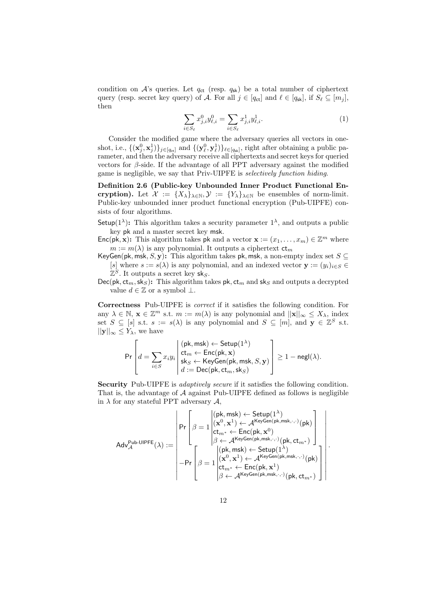condition on  $A$ 's queries. Let  $q_{ct}$  (resp.  $q_{sk}$ ) be a total number of ciphertext query (resp. secret key query) of *A*. For all  $j \in [q_{ct}]$  and  $\ell \in [q_{sk}]$ , if  $S_{\ell} \subseteq [m_j]$ , then

$$
\sum_{i \in S_{\ell}} x_{j,i}^0 y_{\ell,i}^0 = \sum_{i \in S_{\ell}} x_{j,i}^1 y_{\ell,i}^1. \tag{1}
$$

Consider the modified game where the adversary queries all vectors in oneshot, i.e.,  $\{(\mathbf{x}_j^0, \mathbf{x}_j^1)\}_{j \in [q_{cl}]}$  and  $\{(\mathbf{y}_\ell^0, \mathbf{y}_\ell^1)\}_{\ell \in [q_{sk}]}$ , right after obtaining a public parameter, and then the adversary receive all ciphertexts and secret keys for queried vectors for *β*-side. If the advantage of all PPT adversary against the modified game is negligible, we say that Priv-UIPFE is *selectively function hiding*.

**Definition 2.6 (Public-key Unbounded Inner Product Functional Encryption).** Let  $\mathcal{X} := \{X_{\lambda}\}_{\lambda \in \mathbb{N}}, \mathcal{Y} := \{Y_{\lambda}\}_{\lambda \in \mathbb{N}}$  be ensembles of norm-limit. Public-key unbounded inner product functional encryption (Pub-UIPFE) consists of four algorithms.

Setup( $1^{\lambda}$ ): This algorithm takes a security parameter  $1^{\lambda}$ , and outputs a public key pk and a master secret key msk.

Enc(pk, **x**): This algorithm takes pk and a vector  $\mathbf{x} := (x_1, \dots, x_m) \in \mathbb{Z}^m$  where  $m := m(\lambda)$  is any polynomial. It outputs a ciphertext  $ct_m$ 

KeyGen(pk, msk, S, y): This algorithm takes pk, msk, a non-empty index set  $S \subseteq$  $[s]$  where  $s := s(\lambda)$  is any polynomial, and an indexed vector  $\mathbf{y} := (y_i)_{i \in S} \in$ 

 $\mathbb{Z}^S$ . It outputs a secret key sk<sub>S</sub>.

 $Dec(\mathsf{pk}, \mathsf{ct}_m, \mathsf{sk}_S)$ : This algorithm takes  $\mathsf{pk}, \mathsf{ct}_m$  and  $\mathsf{sk}_S$  and outputs a decrypted value  $d \in \mathbb{Z}$  or a symbol  $\bot$ .

**Correctness** Pub-UIPFE is *correct* if it satisfies the following condition. For any  $\lambda \in \mathbb{N}$ ,  $\mathbf{x} \in \mathbb{Z}^m$  s.t.  $m := m(\lambda)$  is any polynomial and  $||\mathbf{x}||_{\infty} \leq X_{\lambda}$ , index set  $S \subseteq [s]$  s.t.  $s := s(\lambda)$  is any polynomial and  $S \subseteq [m]$ , and  $\mathbf{y} \in \mathbb{Z}^S$  s.t.  $||\mathbf{y}||_{\infty} \leq Y_{\lambda}$ , we have

$$
\Pr\left[d=\sum_{i\in S}x_iy_i\left|\begin{array}{l}(\mathsf{pk},\mathsf{msk})\leftarrow\mathsf{Setup}(1^\lambda)\\ \mathsf{ct}_m\leftarrow\mathsf{Enc}(\mathsf{pk},\mathbf{x})\\ \mathsf{sk}_S\leftarrow\mathsf{KeyGen}(\mathsf{pk},\mathsf{msk},S,\mathbf{y})\\ d:=\mathsf{Dec}(\mathsf{pk},\mathsf{ct}_m,\mathsf{sk}_S)\end{array}\right\}\geq 1-\mathsf{negl}(\lambda).
$$

**Security** Pub-UIPFE is *adaptively secure* if it satisfies the following condition. That is, the advantage of *A* against Pub-UIPFE defined as follows is negligible in  $\lambda$  for any stateful PPT adversary  $\mathcal{A}$ ,

$$
\mathsf{Adv}_{\mathcal{A}}^{\mathsf{Pub-UIPFE}}(\lambda) := \left|\begin{matrix} \mathsf{Pr}\left[\beta = 1 \left| \begin{matrix} (\mathsf{pk},\mathsf{msk}) \leftarrow \mathsf{Setup}(1^\lambda) \\ (\mathbf{x}^0,\mathbf{x}^1) \leftarrow \mathcal{A}^{\mathsf{KeyGen}(\mathsf{pk},\mathsf{msk},\cdot,\cdot)}(\mathsf{pk}) \\ \mathsf{ct}_{m^*} \leftarrow \mathsf{Enc}(\mathsf{pk},\mathbf{x}^0) \\ \beta \leftarrow \mathcal{A}^{\mathsf{KeyGen}(\mathsf{pk},\mathsf{msk},\cdot,\cdot)}(\mathsf{pk},\mathsf{ct}_{m^*}) \end{matrix} \right] \\ - \mathsf{Pr}\left[\beta = 1 \left|\begin{matrix} (\mathsf{pk},\mathsf{msk}) \leftarrow \mathsf{Setup}(1^\lambda) \\ (\mathsf{x}^0,\mathbf{x}^1) \leftarrow \mathcal{A}^{\mathsf{KeyGen}(\mathsf{pk},\mathsf{msk},\cdot,\cdot)}(\mathsf{pk},\mathsf{ct}_{m^*}) \\ \mathsf{ct}_{m^*} \leftarrow \mathsf{Enc}(\mathsf{pk},\mathbf{x}^1) \\ \beta \leftarrow \mathcal{A}^{\mathsf{KeyGen}(\mathsf{pk},\mathsf{msk},\cdot,\cdot)}(\mathsf{pk},\mathsf{ct}_{m^*}) \end{matrix} \right] \right|\right.
$$

*.*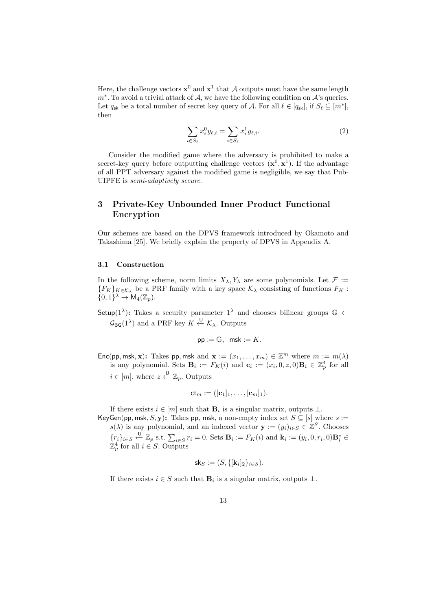Here, the challenge vectors  $\mathbf{x}^0$  and  $\mathbf{x}^1$  that *A* outputs must have the same length *m∗* . To avoid a trivial attack of *A*, we have the following condition on *A*'s queries. Let  $q_{sk}$  be a total number of secret key query of *A*. For all  $\ell \in [q_{sk}]$ , if  $S_{\ell} \subseteq [m^*]$ , then

$$
\sum_{i \in S_{\ell}} x_i^0 y_{\ell,i} = \sum_{i \in S_{\ell}} x_i^1 y_{\ell,i}.
$$
 (2)

Consider the modified game where the adversary is prohibited to make a secret-key query before outputting challenge vectors  $(\mathbf{x}^0, \mathbf{x}^1)$ . If the advantage of all PPT adversary against the modified game is negligible, we say that Pub-UIPFE is *semi-adaptively secure*.

## **3 Private-Key Unbounded Inner Product Functional Encryption**

Our schemes are based on the DPVS framework introduced by Okamoto and Takashima [25]. We briefly explain the property of DPVS in Appendix A.

#### **3.1 Construction**

In the following scheme, norm limits  $X_{\lambda}, Y_{\lambda}$  are some polynomials. Let  $\mathcal{F} :=$  ${F_K}_{K \in \mathcal{K}_{\lambda}}$  be a PRF family with a key space  $\mathcal{K}_{\lambda}$  consisting of functions  $F_K$ :  $\{0,1\}^{\lambda} \rightarrow M_4(\mathbb{Z}_p).$ 

Setup(1<sup> $\lambda$ </sup>): Takes a security parameter 1<sup> $\lambda$ </sup> and chooses bilinear groups  $\mathbb{G} \leftarrow$  $\mathcal{G}_{\mathsf{BG}}(1^{\lambda})$  and a PRF key  $K \xleftarrow{\mathsf{U}} \mathcal{K}_{\lambda}$ . Outputs

$$
\mathsf{pp} := \mathbb{G}, \ \ \mathsf{msk} := K.
$$

Enc(pp, msk, **x**): Takes pp, msk and  $\mathbf{x} := (x_1, \dots, x_m) \in \mathbb{Z}^m$  where  $m := m(\lambda)$ is any polynomial. Sets  $\mathbf{B}_i := F_K(i)$  and  $\mathbf{c}_i := (x_i, 0, z, 0) \mathbf{B}_i \in \mathbb{Z}_p^4$  for all

 $i \in [m]$ , where  $z \stackrel{\cup}{\leftarrow} \mathbb{Z}_p$ . Outputs

$$
\mathsf{ct}_m := ([\mathbf{c}_1]_1, \ldots, [\mathbf{c}_m]_1).
$$

If there exists  $i \in [m]$  such that  $\mathbf{B}_i$  is a singular matrix, outputs  $\perp$ .

KeyGen(pp, msk, S, y): Takes pp, msk, a non-empty index set  $S \subseteq [s]$  where  $s :=$ *s*( $\lambda$ ) is any polynomial, and an indexed vector **y** :=  $(y_i)_{i \in S} \in \mathbb{Z}^S$ . Chooses  ${r_i}_{i \in S} \stackrel{\mathsf{U}}{\leftarrow} \mathbb{Z}_p \text{ s.t. } \sum_{i \in S} r_i = 0. \text{ Sets } \mathbf{B}_i := F_K(i) \text{ and } \mathbf{k}_i := (y_i, 0, r_i, 0) \mathbf{B}_i^* \in \mathbb{Z}^d.$  $\mathbb{Z}_p^4$  for all  $i \in S$ . Outputs

$$
\mathsf{sk}_S := (S, \{ [\mathbf{k}_i]_2 \}_{i \in S}).
$$

If there exists  $i \in S$  such that  $\mathbf{B}_i$  is a singular matrix, outputs  $\bot$ .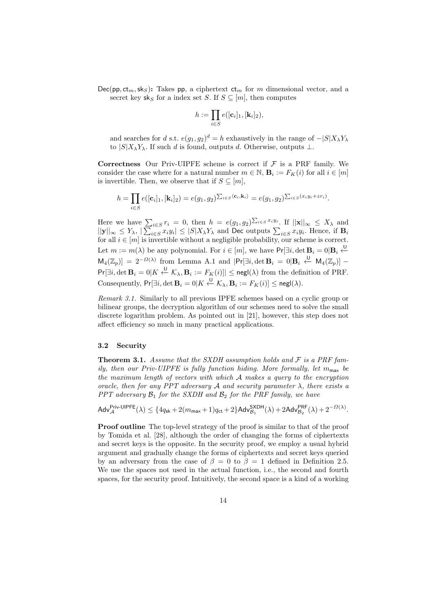Dec(pp,  $ct_m$ ,  $sk_S$ ): Takes pp, a ciphertext  $ct_m$  for *m* dimensional vector, and a secret key sk<sub>*S*</sub> for a index set *S*. If  $S \subseteq [m]$ , then computes

$$
h := \prod_{i \in S} e([\mathbf{c}_i]_1, [\mathbf{k}_i]_2),
$$

and searches for *d* s.t.  $e(g_1, g_2)^d = h$  exhaustively in the range of  $-|S|X_\lambda Y_\lambda$ to  $|S|X_\lambda Y_\lambda$ . If such *d* is found, outputs *d*. Otherwise, outputs  $\bot$ .

**Correctness** Our Priv-UIPFE scheme is correct if  $F$  is a PRF family. We consider the case where for a natural number  $m \in \mathbb{N}$ ,  $\mathbf{B}_i := F_K(i)$  for all  $i \in [m]$ is invertible. Then, we observe that if  $S \subseteq [m]$ ,

$$
h = \prod_{i \in S} e([\mathbf{c}_i]_1, [\mathbf{k}_i]_2) = e(g_1, g_2)^{\sum_{i \in S} \langle \mathbf{c}_i, \mathbf{k}_i \rangle} = e(g_1, g_2)^{\sum_{i \in S} (x_i y_i + z r_i)}.
$$

Here we have  $\sum_{i \in S} r_i = 0$ , then  $h = e(g_1, g_2) \sum_{i \in S} x_i y_i$ . If  $||\mathbf{x}||_{\infty} \leq X_\lambda$  and  $||y||_{\infty} \leq Y_{\lambda}$ ,  $|\sum_{i \in S} x_i y_i| \leq |S| X_{\lambda} Y_{\lambda}$  and Dec outputs  $\sum_{i \in S} x_i y_i$ . Hence, if  $\mathbf{B}_i$ for all  $i \in [m]$  is invertible without a negligible probability, our scheme is correct. Let  $m := m(\lambda)$  be any polynomial. For  $i \in [m]$ , we have  $Pr[\exists i, \det \mathbf{B}_i = 0 | \mathbf{B}_i \stackrel{\cup}{\leftarrow}$  $\mathsf{M}_4(\mathbb{Z}_p)$  =  $2^{-\Omega(\lambda)}$  from Lemma A.1 and  $|\mathsf{Pr}[\exists i, \det \mathbf{B}_i = 0 | \mathbf{B}_i \stackrel{\cup}{\leftarrow} \mathsf{M}_4(\mathbb{Z}_p)]$  –  $Pr[\exists i, \det \mathbf{B}_i = 0 | K \stackrel{\mathsf{U}}{\leftarrow} \mathcal{K}_{\lambda}, \mathbf{B}_i := F_K(i)] \leq \mathsf{negl}(\lambda)$  from the definition of PRF. Consequently,  $Pr[\exists i, \det \mathbf{B}_i = 0 | K \stackrel{\cup}{\leftarrow} \mathcal{K}_{\lambda}, \mathbf{B}_i := F_K(i)] \leq \mathsf{negl}(\lambda)$ .

*Remark 3.1.* Similarly to all previous IPFE schemes based on a cyclic group or bilinear groups, the decryption algorithm of our schemes need to solve the small discrete logarithm problem. As pointed out in [21], however, this step does not affect efficiency so much in many practical applications.

### **3.2 Security**

**Theorem 3.1.** *Assume that the SXDH assumption holds and F is a PRF family, then our Priv-UIPFE is fully function hiding. More formally, let*  $m_{\text{max}}$  *be the maximum length of vectors with which A makes a query to the encryption oracle, then for any PPT adversary A and security parameter λ, there exists a PPT adversary B*<sup>1</sup> *for the SXDH and B*<sup>2</sup> *for the PRF family, we have*

$$
\mathsf{Adv}_{\mathcal{A}}^{\mathsf{Priv-UIPFE}}(\lambda) \leq \{4q_{\mathsf{sk}} + 2(m_{\mathsf{max}} + 1)q_{\mathsf{ct}} + 2\}\mathsf{Adv}_{\mathcal{B}_1}^{\mathsf{SXDH}}(\lambda) + 2\mathsf{Adv}_{\mathcal{B}_2}^{\mathsf{PRF}}(\lambda) + 2^{-\Omega(\lambda)}.
$$

**Proof outline** The top-level strategy of the proof is similar to that of the proof by Tomida et al. [28], although the order of changing the forms of ciphertexts and secret keys is the opposite. In the security proof, we employ a usual hybrid argument and gradually change the forms of ciphertexts and secret keys queried by an adversary from the case of  $\beta = 0$  to  $\beta = 1$  defined in Definition 2.5. We use the spaces not used in the actual function, i.e., the second and fourth spaces, for the security proof. Intuitively, the second space is a kind of a working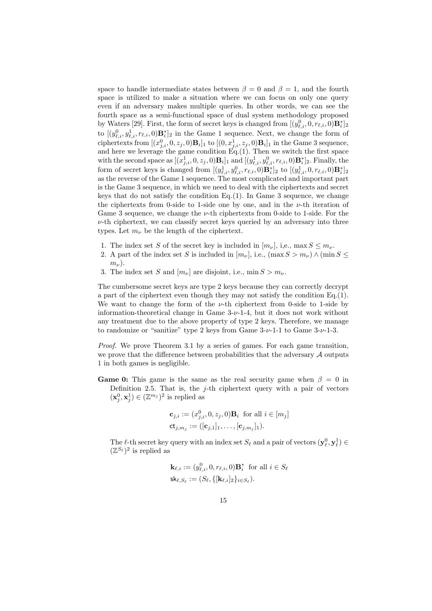space to handle intermediate states between  $\beta = 0$  and  $\beta = 1$ , and the fourth space is utilized to make a situation where we can focus on only one query even if an adversary makes multiple queries. In other words, we can see the fourth space as a semi-functional space of dual system methodology proposed by Waters [29]. First, the form of secret keys is changed from  $[(y_{\ell,i}^0, 0, r_{\ell,i}, 0)B_i^*]_2$ to  $[(y_{\ell,i}^0, y_{\ell,i}^1, r_{\ell,i}, 0)$ **B**<sup>\*</sup><sub>i</sub><sup>1</sup><sub>2</sub> in the Game 1 sequence. Next, we change the form of ciphertexts from  $[(x_{j,i}^0, 0, z_j, 0)B_i]_1$  to  $[(0, x_{j,i}^1, z_j, 0)B_i]_1$  in the Game 3 sequence, and here we leverage the game condition Eq.(1). Then we switch the first space with the second space as  $[(x_{j,i}^1, 0, z_j, 0) \mathbf{B}_i]_1$  and  $[(y_{\ell,i}^1, y_{\ell,i}^0, r_{\ell,i}, 0) \mathbf{B}_i^*]_2$ . Finally, the form of secret keys is changed from  $[(y_{\ell,i}^1, y_{\ell,i}^0, r_{\ell,i}, 0) \mathbf{B}_{i}^*]_2$  to  $[(y_{\ell,i}^1, 0, r_{\ell,i}, 0) \mathbf{B}_{i}^*]_2$ as the reverse of the Game 1 sequence. The most complicated and important part is the Game 3 sequence, in which we need to deal with the ciphertexts and secret keys that do not satisfy the condition  $Eq.(1)$ . In Game 3 sequence, we change the ciphertexts from 0-side to 1-side one by one, and in the  $\nu$ -th iteration of Game 3 sequence, we change the *ν*-th ciphertexts from 0-side to 1-side. For the  $\nu$ -th ciphertext, we can classify secret keys queried by an adversary into three types. Let  $m_{\nu}$  be the length of the ciphertext.

- 1. The index set *S* of the secret key is included in  $[m_{\nu}]$ , i,e., max  $S \leq m_{\nu}$ .
- 2. A part of the index set *S* is included in  $[m_{\nu}]$ , i.e.,  $(\max S > m_{\nu}) \wedge (\min S \leq$ *mν*).
- 3. The index set *S* and  $[m_{\nu}]$  are disjoint, i.e.,  $\min S > m_{\nu}$ .

The cumbersome secret keys are type 2 keys because they can correctly decrypt a part of the ciphertext even though they may not satisfy the condition Eq.(1). We want to change the form of the  $\nu$ -th ciphertext from 0-side to 1-side by information-theoretical change in Game 3-*ν*-1-4, but it does not work without any treatment due to the above property of type 2 keys. Therefore, we manage to randomize or "sanitize" type 2 keys from Game 3-*ν*-1-1 to Game 3-*ν*-1-3.

*Proof.* We prove Theorem 3.1 by a series of games. For each game transition, we prove that the difference between probabilities that the adversary *A* outputs 1 in both games is negligible.

**Game 0:** This game is the same as the real security game when  $\beta = 0$  in Definition 2.5. That is, the *j*-th ciphertext query with a pair of vectors  $(\mathbf{x}_j^0, \mathbf{x}_j^1) \in (\mathbb{Z}^{m_j})^2$  is replied as

$$
\mathbf{c}_{j,i} := (x_{j,i}^0, 0, z_j, 0) \mathbf{B}_i \text{ for all } i \in [m_j]
$$
  

$$
\mathsf{ct}_{j,m_j} := ([\mathbf{c}_{j,1}]_1, \dots, [\mathbf{c}_{j,m_j}]_1).
$$

The  $\ell$ -th secret key query with an index set  $S_{\ell}$  and a pair of vectors  $(\mathbf{y}_{\ell}^0, \mathbf{y}_{\ell}^1) \in$  $(\mathbb{Z}^{S_{\ell}})^2$  is replied as

$$
\mathbf{k}_{\ell,i} := (y_{\ell,i}^0, 0, r_{\ell,i}, 0) \mathbf{B}_i^* \text{ for all } i \in S_\ell
$$
  

$$
\mathsf{sk}_{\ell,S_\ell} := (S_\ell, \{[\mathbf{k}_{\ell,i}]_2\}_{i \in S_\ell}).
$$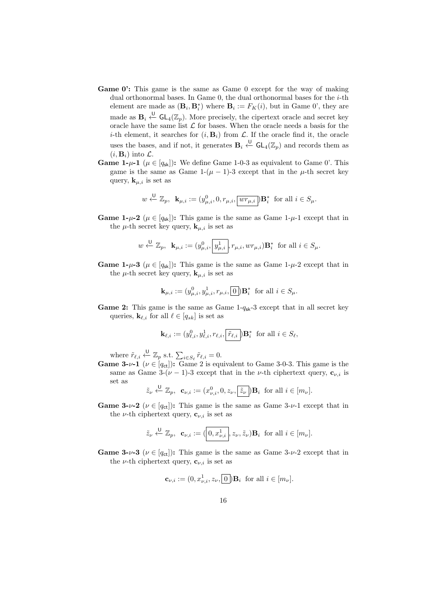- **Game 0:** This game is the same as Game 0 except for the way of making dual orthonormal bases. In Game 0, the dual orthonormal bases for the *i*-th element are made as  $(\mathbf{B}_i, \mathbf{B}_i^*)$  where  $\mathbf{B}_i := F_K(i)$ , but in Game 0', they are made as  $\mathbf{B}_i \stackrel{\cup}{\leftarrow} \mathsf{GL}_4(\mathbb{Z}_p)$ . More precisely, the cipertext oracle and secret key oracle have the same list  $\mathcal L$  for bases. When the oracle needs a basis for the *i*-th element, it searches for  $(i, \mathbf{B}_i)$  from  $\mathcal{L}$ . If the oracle find it, the oracle uses the bases, and if not, it generates  $\mathbf{B}_i \stackrel{\cup}{\leftarrow} \mathsf{GL}_4(\mathbb{Z}_p)$  and records them as  $(i, \mathbf{B}_i)$  into  $\mathcal{L}$ .
- **Game 1-** $\mu$ -1 ( $\mu \in [q_{sk}]$ ): We define Game 1-0-3 as equivalent to Game 0'. This game is the same as Game  $1-(\mu-1)-3$  except that in the  $\mu$ -th secret key query,  $\mathbf{k}_{\mu,i}$  is set as

$$
w \stackrel{\mathsf{U}}{\leftarrow} \mathbb{Z}_p, \ \ \mathbf{k}_{\mu,i} := (y_{\mu,i}^0, 0, r_{\mu,i}, \boxed{wr_{\mu,i}}) \mathbf{B}_i^* \ \ \text{for all} \ i \in S_\mu.
$$

**Game 1-** $\mu$ -2 ( $\mu \in [q_{sk}]$ ): This game is the same as Game 1- $\mu$ -1 except that in the  $\mu$ -th secret key query,  $\mathbf{k}_{\mu,i}$  is set as

$$
w \stackrel{\mathsf{U}}{\leftarrow} \mathbb{Z}_p, \ \ \mathbf{k}_{\mu,i} := (y_{\mu,i}^0, \boxed{y_{\mu,i}^1}, r_{\mu,i}, wr_{\mu,i}) \mathbf{B}_i^* \ \text{ for all } i \in S_\mu.
$$

**Game 1-** $\mu$ -3 ( $\mu \in [q_{sk}]$ ): This game is the same as Game 1- $\mu$ -2 except that in the  $\mu$ -th secret key query,  $\mathbf{k}_{\mu,i}$  is set as

$$
\mathbf{k}_{\mu,i} := (y_{\mu,i}^0, y_{\mu,i}^1, r_{\mu,i}, \boxed{0}) \mathbf{B}_i^* \text{ for all } i \in S_\mu.
$$

**Game 2:** This game is the same as Game 1-*q*sk-3 except that in all secret key queries,  $\mathbf{k}_{\ell,i}$  for all  $\ell \in [q_{sk}]$  is set as

$$
\mathbf{k}_{\ell,i} := (y_{\ell,i}^0, y_{\ell,i}^1, r_{\ell,i}, \left\lceil \tilde{r}_{\ell,i} \right\rceil) \mathbf{B}_i^* \text{ for all } i \in S_\ell,
$$

where  $\tilde{r}_{\ell,i} \stackrel{\text{U}}{\leftarrow} \mathbb{Z}_p$  s.t.  $\sum_{i \in S_\ell} \tilde{r}_{\ell,i} = 0$ .

**Game 3-** $\nu$ **-1** ( $\nu \in [q_{ct}]$ ): Game 2 is equivalent to Game 3-0-3. This game is the same as Game 3-( $\nu$  − 1)-3 except that in the *ν*-th ciphertext query,  $\mathbf{c}_{\nu,i}$  is set as

$$
\tilde{z}_{\nu} \stackrel{\mathbf{U}}{\leftarrow} \mathbb{Z}_p, \ \ \mathbf{c}_{\nu,i} := (x_{\nu,i}^0, 0, z_{\nu}, \boxed{\tilde{z}_{\nu}}) \mathbf{B}_i \ \text{ for all } i \in [m_{\nu}].
$$

**Game 3-***ν***-2** ( $\nu \in [q_{ct}]$ ): This game is the same as Game 3-*ν*-1 except that in the *ν*-th ciphertext query,  $\mathbf{c}_{\nu,i}$  is set as

$$
\tilde{z}_{\nu}\stackrel{\mathsf{U}}{\leftarrow}\mathbb{Z}_p,\ \ \mathbf{c}_{\nu,i}:=\left(\boxed{0,x_{\nu,i}^1},z_{\nu},\tilde{z}_{\nu}\right)\mathbf{B}_i\ \text{ for all }i\in[m_{\nu}].
$$

**Game 3-** $\nu$ **-3** ( $\nu \in [q_{ct}]$ ): This game is the same as Game 3- $\nu$ -2 except that in the *ν*-th ciphertext query,  $\mathbf{c}_{\nu,i}$  is set as

$$
\mathbf{c}_{\nu,i} := (0, x_{\nu,i}^1, z_{\nu}, \boxed{0}) \mathbf{B}_i \text{ for all } i \in [m_{\nu}].
$$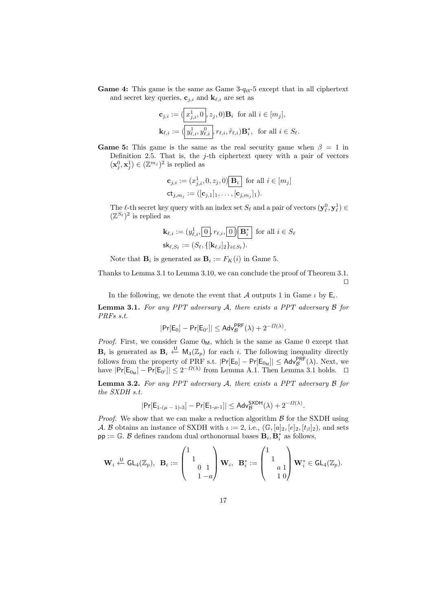**Game 4:** This game is the same as Game 3-*q*ct-5 except that in all ciphertext and secret key queries,  $\mathbf{c}_{j,i}$  and  $\mathbf{k}_{\ell,i}$  are set as

$$
\begin{aligned} \mathbf{c}_{j,i} &:= \left(\boxed{x_{j,i}^1,0},z_j,0\right)\mathbf{B}_i \ \text{ for all } i\in[m_j],\\ \mathbf{k}_{\ell,i} &:= \left(\boxed{y_{\ell,i}^1,y_{\ell,i}^0},r_{\ell,i},\tilde{r}_{\ell,i}\right)\mathbf{B}_i^*, \ \text{ for all } i\in S_\ell. \end{aligned}
$$

**Game 5:** This game is the same as the real security game when  $\beta = 1$  in Definition 2.5. That is, the *j*-th ciphertext query with a pair of vectors  $(\mathbf{x}_j^0, \mathbf{x}_j^1) \in (\mathbb{Z}^{m_j})^2$  is replied as

$$
\mathbf{c}_{j,i} := (x_{j,i}^1, 0, z_j, 0) \boxed{\mathbf{B}_i} \text{ for all } i \in [m_j]
$$
  

$$
\mathbf{ct}_{j,m_j} := ([\mathbf{c}_{j,1}]_1, \dots, [\mathbf{c}_{j,m_j}]_1).
$$

The  $\ell$ -th secret key query with an index set  $S_{\ell}$  and a pair of vectors  $(\mathbf{y}_{\ell}^0, \mathbf{y}_{\ell}^1) \in$  $(\mathbb{Z}^{S_{\ell}})^2$  is replied as

$$
\mathbf{k}_{\ell,i} := (y_{\ell,i}^1, \boxed{0}, r_{\ell,i}, \boxed{0}) \boxed{\mathbf{B}_i^*} \text{ for all } i \in S_\ell
$$
  

$$
\mathsf{sk}_{\ell,S_\ell} := (S_\ell, \{ [\mathbf{k}_{\ell,i}]_2 \}_{i \in S_\ell}).
$$

Note that  $\mathbf{B}_i$  is generated as  $\mathbf{B}_i := F_K(i)$  in Game 5.

Thanks to Lemma 3.1 to Lemma 3.10, we can conclude the proof of Theorem 3.1. *⊓⊔*

In the following, we denote the event that  $\mathcal A$  outputs 1 in Game  $\iota$  by  $\mathsf E_{\iota}$ .

**Lemma 3.1.** *For any PPT adversary A, there exists a PPT adversary B for PRFs s.t.*

$$
|\mathsf{Pr}[{\mathsf E}_0] - \mathsf{Pr}[{\mathsf E}_{0'}]|\leq \mathsf{Adv}_{\mathcal{B}}^{\mathsf{PRF}}(\lambda) + 2^{-\varOmega(\lambda)}.
$$

*Proof.* First, we consider Game  $0_M$ , which is the same as Game 0 except that **B**<sub>*i*</sub> is generated as  $\mathbf{B}_i \leftarrow M_4(\mathbb{Z}_p)$  for each *i*. The following inequality directly follows from the property of PRF s.t.  $|\Pr[E_0] - \Pr[E_{0_M}]| \leq \mathsf{Adv}_{\mathcal{B}}^{\mathsf{PRF}}(\lambda)$ . Next, we have  $|\Pr[E_{0_M}] - \Pr[E_{0'}]| \leq 2^{-\Omega(\lambda)}$  from Lemma A.1. Then Lemma 3.1 holds.  $\Box$ 

**Lemma 3.2.** *For any PPT adversary A, there exists a PPT adversary B for the SXDH s.t.*

$$
|\Pr[E_{1-(\mu-1)-3}] - \Pr[E_{1-\mu-1}]| \leq \mathsf{Adv}_{\mathcal{B}}^{\mathsf{SXDH}}(\lambda) + 2^{-\Omega(\lambda)}
$$

*.*

*Proof.* We show that we can make a reduction algorithm  $\beta$  for the SXDH using *A*. *B* obtains an instance of SXDH with  $\iota := 2$ , i.e.,  $(\mathbb{G}, [a]_2, [e]_2, [t_\beta]_2)$ , and sets  $\mathsf{pp} := \mathbb{G}$ . *B* defines random dual orthonormal bases  $\mathbf{B}_i, \mathbf{B}_i^*$  as follows,

$$
\mathbf{W}_i \stackrel{\mathsf{U}}{\leftarrow} \mathsf{GL}_4(\mathbb{Z}_p), \ \ \mathbf{B}_i := \begin{pmatrix} 1 \\ 1 \\ 0 \\ 1 \end{pmatrix} \mathbf{W}_i, \ \ \mathbf{B}_i^* := \begin{pmatrix} 1 \\ 1 \\ a \\ 1 \end{pmatrix} \mathbf{W}_i^* \in \mathsf{GL}_4(\mathbb{Z}_p).
$$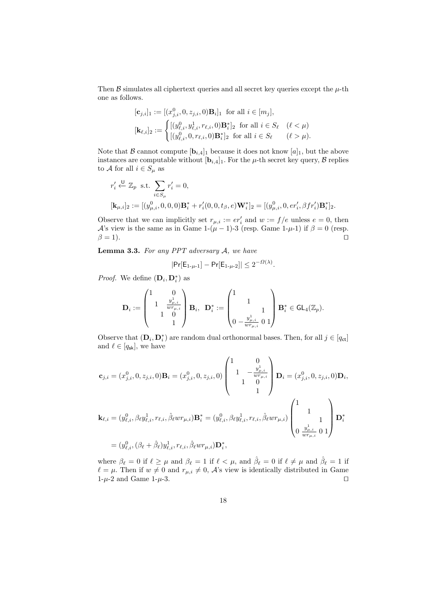Then  $\beta$  simulates all ciphertext queries and all secret key queries except the  $\mu$ -th one as follows.

$$
[\mathbf{c}_{j,i}]_1 := [(x_{j,i}^0, 0, z_{j,i}, 0) \mathbf{B}_i]_1 \text{ for all } i \in [m_j],
$$
  

$$
[\mathbf{k}_{\ell,i}]_2 := \begin{cases} [(y_{\ell,i}^0, y_{\ell,i}^1, r_{\ell,i}, 0) \mathbf{B}_i^*]_2 \text{ for all } i \in S_\ell & (\ell < \mu) \\ [(y_{\ell,i}^0, 0, r_{\ell,i}, 0) \mathbf{B}_i^*]_2 \text{ for all } i \in S_\ell & (\ell > \mu). \end{cases}
$$

Note that *B* cannot compute  $[\mathbf{b}_{i,4}]_1$  because it does not know  $[a]_1$ , but the above instances are computable without  $[\mathbf{b}_{i,4}]_1$ . For the  $\mu$ -th secret key query,  $\beta$  replies to *A* for all  $i \in S_\mu$  as

$$
r'_{i} \stackrel{\mathbf{U}}{\leftarrow} \mathbb{Z}_{p} \text{ s.t.} \sum_{i \in S_{\mu}} r'_{i} = 0,
$$
  
\n
$$
[\mathbf{k}_{\mu,i}]_{2} := [(y^0_{\mu,i}, 0, 0, 0) \mathbf{B}_{i}^{*} + r'_{i}(0, 0, t_{\beta}, e) \mathbf{W}_{i}^{*}]_{2} = [(y^0_{\mu,i}, 0, er'_{i}, \beta fr'_{i}) \mathbf{B}_{i}^{*}]_{2}.
$$

Observe that we can implicitly set  $r_{\mu,i} := er'_i$  and  $w := f/e$  unless  $e = 0$ , then *A*'s view is the same as in Game  $1-(\mu-1)-3$  (resp. Game  $1-\mu-1$ ) if  $\beta=0$  (resp.  $\beta = 1$ ).  $\Box$ 

**Lemma 3.3.** *For any PPT adversary A, we have*

$$
|\Pr[E_{1-\mu-1}] - \Pr[E_{1-\mu-2}]| \leq 2^{-\Omega(\lambda)}
$$
.

*Proof.* We define  $(\mathbf{D}_i, \mathbf{D}_i^*)$  as

$$
\mathbf{D}_{i} := \begin{pmatrix} 1 & 0 \\ 1 & \frac{y_{\mu,i}^{1}}{wr_{\mu,i}} \\ 1 & 0 \\ 1 & 1 \end{pmatrix} \mathbf{B}_{i}, \ \ \mathbf{D}_{i}^{*} := \begin{pmatrix} 1 & 0 \\ 0 & 1 \\ 0 & -\frac{y_{\mu,i}^{1}}{wr_{\mu,i}} & 0 \end{pmatrix} \mathbf{B}_{i}^{*} \in GL_{4}(\mathbb{Z}_{p}).
$$

Observe that  $(D_i, D_i^*)$  are random dual orthonormal bases. Then, for all  $j \in [q_{ct}]$ and  $\ell \in [q_{\mathsf{sk}}]$ , we have

$$
\begin{aligned} \mathbf{c}_{j,i} &= (x_{j,i}^0, 0, z_{j,i}, 0) \mathbf{B}_i = (x_{j,i}^0, 0, z_{j,i}, 0) \begin{pmatrix} 1 & 0 \\ 1 & -\frac{y_{\mu,i}^1}{w r_{\mu,i}} \\ 1 & 0 \end{pmatrix} \mathbf{D}_i = (x_{j,i}^0, 0, z_{j,i}, 0) \mathbf{D}_i, \\ \mathbf{k}_{\ell,i} &= (y_{\ell,i}^0, \beta_{\ell} y_{\ell,i}^1, r_{\ell,i}, \hat{\beta}_{\ell} w r_{\mu,i}) \mathbf{B}_i^* = (y_{\ell,i}^0, \beta_{\ell} y_{\ell,i}^1, r_{\ell,i}, \hat{\beta}_{\ell} w r_{\mu,i}) \begin{pmatrix} 1 & 0 \\ 0 & \frac{y_{\mu,i}^1}{w r_{\mu,i}} & 0 \end{pmatrix} \mathbf{D}_i^* \\ &= (y_{\ell,i}^0, (\beta_{\ell} + \hat{\beta}_{\ell}) y_{\ell,i}^1, r_{\ell,i}, \hat{\beta}_{\ell} w r_{\mu,i}) \mathbf{D}_i^*, \end{aligned}
$$

where 
$$
\beta_{\ell} = 0
$$
 if  $\ell \ge \mu$  and  $\beta_{\ell} = 1$  if  $\ell < \mu$ , and  $\hat{\beta}_{\ell} = 0$  if  $\ell \ne \mu$  and  $\hat{\beta}_{\ell} = 1$  if  $\ell = \mu$ . Then if  $w \ne 0$  and  $r_{\mu,i} \ne 0$ ,  $\mathcal{A}$ 's view is identically distributed in Game

1-*µ*-2 and Game 1-*µ*-3. *⊓⊔*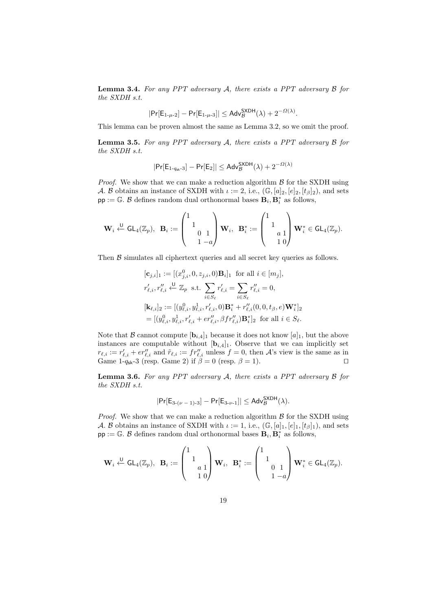**Lemma 3.4.** *For any PPT adversary A, there exists a PPT adversary B for the SXDH s.t.*

$$
|\Pr[E_{1-\mu-2}] - \Pr[E_{1-\mu-3}]| \leq \text{Adv}_{\mathcal{B}}^{\text{SXDH}}(\lambda) + 2^{-\Omega(\lambda)}.
$$

This lemma can be proven almost the same as Lemma 3.2, so we omit the proof.

**Lemma 3.5.** *For any PPT adversary A, there exists a PPT adversary B for the SXDH s.t.*

$$
|\mathsf{Pr}[\mathsf{E}_{1\text{-}q_{\mathsf{sk}}\text{-}3}] - \mathsf{Pr}[\mathsf{E}_2]| \leq \mathsf{Adv}_{\mathcal{B}}^{\mathsf{SXDH}}(\lambda) + 2^{-\varOmega(\lambda)}
$$

*Proof.* We show that we can make a reduction algorithm *B* for the SXDH using *A*. *B* obtains an instance of SXDH with  $\iota := 2$ , i.e.,  $(\mathbb{G}, [a]_2, [e]_2, [t_\beta]_2)$ , and sets  $\mathsf{pp} := \mathbb{G}$ . *B* defines random dual orthonormal bases  $\mathbf{B}_i$ ,  $\mathbf{B}_i^*$  as follows,

$$
\mathbf{W}_i \xleftarrow{\mathsf{U}} \mathsf{GL}_4(\mathbb{Z}_p), \ \ \mathbf{B}_i := \begin{pmatrix} 1 \\ 1 \\ 0 & 1 \\ 1 - a \end{pmatrix} \mathbf{W}_i, \ \ \mathbf{B}_i^* := \begin{pmatrix} 1 \\ 1 \\ a & 1 \\ 1 & 0 \end{pmatrix} \mathbf{W}_i^* \in \mathsf{GL}_4(\mathbb{Z}_p).
$$

Then  $\beta$  simulates all ciphertext queries and all secret key queries as follows.

$$
[\mathbf{c}_{j,i}]_1 := [(x_{j,i}^0, 0, z_{j,i}, 0) \mathbf{B}_i]_1 \text{ for all } i \in [m_j],
$$
  
\n
$$
r'_{\ell,i}, r''_{\ell,i} \stackrel{\mathsf{U}}{\leftarrow} \mathbb{Z}_p \text{ s.t.} \sum_{i \in S_\ell} r'_{\ell,i} = \sum_{i \in S_\ell} r''_{\ell,i} = 0,
$$
  
\n
$$
[\mathbf{k}_{\ell,i}]_2 := [(y_{\ell,i}^0, y_{\ell,i}^1, r'_{\ell,i}, 0) \mathbf{B}_i^* + r''_{\ell,i} (0, 0, t_\beta, e) \mathbf{W}_i^*]_2
$$
  
\n
$$
= [(y_{\ell,i}^0, y_{\ell,i}^1, r'_{\ell,i} + er''_{\ell,i}, \beta fr''_{\ell,i}) \mathbf{B}_i^*]_2 \text{ for all } i \in S_\ell.
$$

Note that *B* cannot compute  $[\mathbf{b}_{i,4}]_1$  because it does not know  $[a]_1$ , but the above instances are computable without  $[\mathbf{b}_{i,4}]_1$ . Observe that we can implicitly set  $r_{\ell,i} := r'_{\ell,i} + er''_{\ell,i}$  and  $\tilde{r}_{\ell,i} := fr''_{\ell,i}$  unless  $f = 0$ , then *A*'s view is the same as in Game  $1-q_{\text{sk}}-3$  (resp. Game 2) if  $\beta = 0$  (resp.  $\beta = 1$ ).  $\Box$ 

**Lemma 3.6.** *For any PPT adversary A, there exists a PPT adversary B for the SXDH s.t.*

$$
|\Pr[E_{3-(\nu-1)-3}] - \Pr[E_{3-\nu-1}]| \leq \mathsf{Adv}_{\mathcal{B}}^{\mathsf{SXDH}}(\lambda).
$$

*Proof.* We show that we can make a reduction algorithm *B* for the SXDH using *A*. *B* obtains an instance of SXDH with  $\iota := 1$ , i.e.,  $(\mathbb{G}, [a]_1, [e]_1, [t_\beta]_1)$ , and sets  $\mathsf{pp} := \mathbb{G}$ . *B* defines random dual orthonormal bases  $\mathbf{B}_i$ ,  $\mathbf{B}_i^*$  as follows,

$$
\mathbf{W}_i \stackrel{\mathsf{U}}{\leftarrow} \mathsf{GL}_4(\mathbb{Z}_p), \ \ \mathbf{B}_i := \begin{pmatrix} 1 \\ 1 \\ a \\ 1 \end{pmatrix} \mathbf{W}_i, \ \ \mathbf{B}_i^* := \begin{pmatrix} 1 \\ 1 \\ 0 \\ 1 - a \end{pmatrix} \mathbf{W}_i^* \in \mathsf{GL}_4(\mathbb{Z}_p).
$$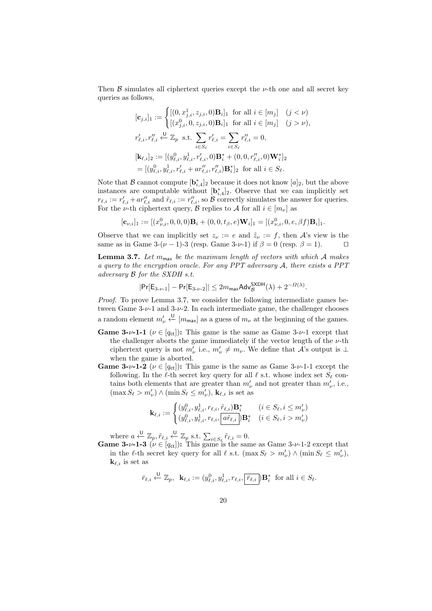Then  $\beta$  simulates all ciphertext queries except the  $\nu$ -th one and all secret key queries as follows,

$$
[\mathbf{c}_{j,i}]_1 := \begin{cases} [(0, x_{j,i}^1, z_{j,i}, 0) \mathbf{B}_i]_1 \text{ for all } i \in [m_j] & (j < \nu) \\ [(x_{j,i}^0, 0, z_{j,i}, 0) \mathbf{B}_i]_1 \text{ for all } i \in [m_j] & (j > \nu), \\ r'_{\ell,i}, r''_{\ell,i} \stackrel{\mathsf{U}}{\leftarrow} \mathbb{Z}_p \text{ s.t.} \sum_{i \in S_\ell} r'_{\ell,i} = \sum_{i \in S_\ell} r''_{\ell,i} = 0, \\ [\mathbf{k}_{\ell,i}]_2 := [(y_{\ell,i}^0, y_{\ell,i}^1, r'_{\ell,i}, 0) \mathbf{B}_i^* + (0, 0, r''_{\ell,i}, 0) \mathbf{W}_i^*]_2 \\ = [(y_{\ell,i}^0, y_{\ell,i}^1, r'_{\ell,i} + ar''_{\ell,i}, r''_{\ell,i}) \mathbf{B}_i^*]_2 \text{ for all } i \in S_\ell. \end{cases}
$$

Note that  $\mathcal{B}$  cannot compute  $[\mathbf{b}_{i,4}^*]_2$  because it does not know  $[a]_2$ , but the above instances are computable without  $[\mathbf{b}_{i,4}^*]_2$ . Observe that we can implicitly set  $r_{\ell,i} := r'_{\ell,i} + ar''_{\ell,i}$  and  $\tilde{r}_{\ell,i} := r''_{\ell,i}$ , so *B* correctly simulates the answer for queries. For the *ν*-th ciphertext query, *B* replies to *A* for all  $i \in [m_{\nu}]$  as

$$
[\mathbf{c}_{\nu,i}]_1 := [(x_{\nu,i}^0, 0, 0, 0)\mathbf{B}_i + (0, 0, t_\beta, e)\mathbf{W}_i]_1 = [(x_{\nu,i}^0, 0, e, \beta f)\mathbf{B}_i]_1.
$$

Observe that we can implicitly set  $z_{\nu} := e$  and  $\tilde{z}_{\nu} := f$ , then *A*'s view is the same as in Game  $3-(\nu-1)-3$  (resp. Game  $3-\nu-1$ ) if  $\beta = 0$  (resp.  $\beta = 1$ ).  $\Box$ 

**Lemma 3.7.** *Let m*max *be the maximum length of vectors with which A makes a query to the encryption oracle. For any PPT adversary A, there exists a PPT adversary B for the SXDH s.t.*

$$
|\Pr[\mathsf{E}_{3-\nu\text{-}1}] - \Pr[\mathsf{E}_{3-\nu\text{-}2}]| \leq 2m_{\max} \mathsf{Adv}_{\mathcal{B}}^{\mathsf{SXDH}}(\lambda) + 2^{-\Omega(\lambda)}.
$$

*Proof.* To prove Lemma 3.7, we consider the following intermediate games between Game 3-*ν*-1 and 3-*ν*-2. In each intermediate game, the challenger chooses a random element  $m'_{\nu}$ U *←−* [*m*max] as a guess of *m<sup>ν</sup>* at the beginning of the games.

- **Game 3-***ν***-1-1** ( $\nu \in [q_{ct}]$ ): This game is the same as Game 3-*v*-1 except that the challenger aborts the game immediately if the vector length of the *ν*-th ciphertext query is not  $m'_{\nu}$  i.e.,  $m'_{\nu} \neq m_{\nu}$ . We define that *A*'s output is  $\bot$ when the game is aborted.
- **Game 3-***ν***-1-2** ( $\nu \in [q_{ct}]$ ): This game is the same as Game 3-*v*-1-1 except the following. In the  $\ell$ -th secret key query for all  $\ell$  s.t. whose index set  $S_{\ell}$  contains both elements that are greater than  $m'_{\nu}$  and not greater than  $m'_{\nu}$ , i.e.,  $(\max S_\ell > m'_\nu) \wedge (\min S_\ell \leq m'_\nu), \mathbf{k}_{\ell,i}$  is set as

$$
\mathbf{k}_{\ell,i} := \begin{cases} (y_{\ell,i}^0, y_{\ell,i}^1, r_{\ell,i}, \tilde{r}_{\ell,i}) \mathbf{B}_i^* & (i \in S_\ell, i \le m_\nu')\\ (y_{\ell,i}^0, y_{\ell,i}^1, r_{\ell,i}, \left[\tilde{a}\tilde{r}_{\ell,i}\right] \mathbf{B}_i^* & (i \in S_\ell, i > m_\nu') \end{cases}
$$

where  $a \stackrel{\text{U}}{\leftarrow} \mathbb{Z}_p$ ,  $\tilde{r}_{\ell,i} \stackrel{\text{U}}{\leftarrow} \mathbb{Z}_p$  s.t.  $\sum_{i \in S_\ell} \tilde{r}_{\ell,i} = 0$ .

**Game 3-** $\nu$ **-1-3** ( $\nu \in [q_{ct}]$ ): This game is the same as Game 3- $\nu$ -1-2 except that in the  $\ell$ -th secret key query for all  $\ell$  s.t. (max  $S_{\ell} > m'_{\nu}$ )  $\wedge$  (min  $S_{\ell} \leq m'_{\nu}$ ),  $\mathbf{k}_{\ell,i}$  is set as

$$
\bar{r}_{\ell,i} \stackrel{\mathsf{U}}{\leftarrow} \mathbb{Z}_p, \ \ \mathbf{k}_{\ell,i} := (y_{\ell,i}^0, y_{\ell,i}^1, r_{\ell,i}, \boxed{\bar{r}_{\ell,i}}) \mathbf{B}_i^* \ \text{ for all } i \in S_\ell.
$$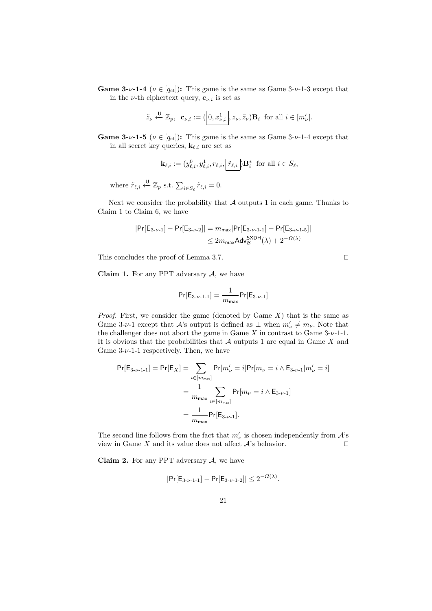**Game 3-***ν***-1-4** ( $\nu \in [q_{ct}]$ ): This game is the same as Game 3-*ν*-1-3 except that in the *ν*-th ciphertext query,  $\mathbf{c}_{\nu,i}$  is set as

$$
\tilde{z}_{\nu} \stackrel{\mathbf{U}}{\leftarrow} \mathbb{Z}_p, \ \mathbf{c}_{\nu,i} := (\boxed{0, x_{\nu,i}^1}, z_{\nu}, \tilde{z}_{\nu}) \mathbf{B}_i \ \text{ for all } i \in [m'_{\nu}].
$$

**Game 3-** $\nu$ **-1-5** ( $\nu \in [q_{ct}]$ ): This game is the same as Game 3- $\nu$ -1-4 except that in all secret key queries, **k***ℓ,i* are set as

$$
\mathbf{k}_{\ell,i} := (y_{\ell,i}^0, y_{\ell,i}^1, r_{\ell,i}, \left\lceil \tilde{r}_{\ell,i} \right\rceil) \mathbf{B}_i^* \text{ for all } i \in S_\ell,
$$

where  $\tilde{r}_{\ell,i} \stackrel{\text{U}}{\leftarrow} \mathbb{Z}_p$  s.t.  $\sum_{i \in S_\ell} \tilde{r}_{\ell,i} = 0$ .

Next we consider the probability that *A* outputs 1 in each game. Thanks to Claim 1 to Claim 6, we have

$$
|Pr[E_{3-\nu-1}] - Pr[E_{3-\nu-2}]| = m_{\text{max}}|Pr[E_{3-\nu-1-1}] - Pr[E_{3-\nu-1-5}]|
$$
  
\n
$$
\leq 2m_{\text{max}} \text{Adv}_{\mathcal{B}}^{\text{SXDH}}(\lambda) + 2^{-\Omega(\lambda)}
$$

This concludes the proof of Lemma 3.7. *⊓⊔*

**Claim 1.** For any PPT adversary *A*, we have

$$
\Pr[\mathsf{E}_{3\text{-}\nu\text{-}1\text{-}1}] = \frac{1}{m_{\mathsf{max}}}\Pr[\mathsf{E}_{3\text{-}\nu\text{-}1}]
$$

*Proof.* First, we consider the game (denoted by Game *X*) that is the same as Game 3-*ν*-1 except that *A*'s output is defined as  $\perp$  when  $m'_{\nu} \neq m_{\nu}$ . Note that the challenger does not abort the game in Game  $X$  in contrast to Game  $3-\nu-1-1$ . It is obvious that the probabilities that *A* outputs 1 are equal in Game *X* and Game 3-*ν*-1-1 respectively. Then, we have

$$
Pr[E_{3-\nu-1-1}] = Pr[E_X] = \sum_{i \in [m_{\text{max}}]} Pr[m'_{\nu} = i] Pr[m_{\nu} = i \wedge E_{3-\nu-1} | m'_{\nu} = i]
$$

$$
= \frac{1}{m_{\text{max}}} \sum_{i \in [m_{\text{max}}]} Pr[m_{\nu} = i \wedge E_{3-\nu-1}]
$$

$$
= \frac{1}{m_{\text{max}}} Pr[E_{3-\nu-1}].
$$

The second line follows from the fact that  $m'_{\nu}$  is chosen independently from  $\mathcal{A}$ 's view in Game *X* and its value does not affect *A*'s behavior. *⊓⊔*

**Claim 2.** For any PPT adversary *A*, we have

$$
|\Pr[E_{3-\nu-1-1}] - \Pr[E_{3-\nu-1-2}]| \leq 2^{-\Omega(\lambda)}
$$
.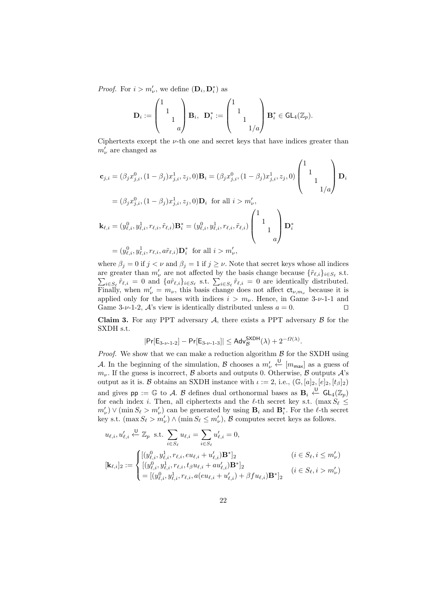*Proof.* For  $i > m'_{\nu}$ , we define  $(\mathbf{D}_i, \mathbf{D}_i^*)$  as

$$
\mathbf{D}_i := \begin{pmatrix} 1 \\ & 1 \\ & & \\ & & a \end{pmatrix} \mathbf{B}_i, \ \ \mathbf{D}_i^* := \begin{pmatrix} 1 \\ & 1 \\ & & \\ & 1/a \end{pmatrix} \mathbf{B}_i^* \in \mathrm{GL}_4(\mathbb{Z}_p).
$$

Ciphertexts except the  $\nu$ -th one and secret keys that have indices greater than  $m'_{\nu}$  are changed as

$$
\mathbf{c}_{j,i} = (\beta_j x_{j,i}^0, (1 - \beta_j) x_{j,i}^1, z_j, 0) \mathbf{B}_i = (\beta_j x_{j,i}^0, (1 - \beta_j) x_{j,i}^1, z_j, 0) \begin{pmatrix} 1 & & \\ & 1 & \\ & & 1/a \end{pmatrix} \mathbf{D}_i
$$
  
\n
$$
= (\beta_j x_{j,i}^0, (1 - \beta_j) x_{j,i}^1, z_j, 0) \mathbf{D}_i \text{ for all } i > m'_\nu,
$$
  
\n
$$
\mathbf{k}_{\ell,i} = (y_{\ell,i}^0, y_{\ell,i}^1, r_{\ell,i}, \tilde{r}_{\ell,i}) \mathbf{B}_i^* = (y_{\ell,i}^0, y_{\ell,i}^1, r_{\ell,i}, \tilde{r}_{\ell,i}) \begin{pmatrix} 1 & & \\ & 1 & \\ & & 1 & \\ & & & a \end{pmatrix} \mathbf{D}_i^*
$$
  
\n
$$
= (y_{\ell,i}^0, y_{\ell,i}^1, r_{\ell,i}, a\tilde{r}_{\ell,i}) \mathbf{D}_i^* \text{ for all } i > m'_\nu,
$$

where  $\beta_j = 0$  if  $j < \nu$  and  $\beta_j = 1$  if  $j \geq \nu$ . Note that secret keys whose all indices are greater than  $m'_\nu$  are not affected by the basis change because  $\{\tilde{r}_{\ell,i}\}_{i\in S_\ell}$  s.t. are greater than  $m'_{\nu}$  are not affected by the basis change because  $\{\tilde{r}_{\ell,i}\}_{i \in S_{\ell}}$  s.t.<br> $\sum_{i \in S_{\ell}} \tilde{r}_{\ell,i} = 0$  and  $\{a\tilde{r}_{\ell,i}\}_{i \in S_{\ell}}$  s.t.  $\sum_{i \in S_{\ell}} \tilde{r}_{\ell,i} = 0$  are identically distributed. Finally, when  $m'_{\nu} = m_{\nu}$ , this basis change does not affect  $ct_{\nu,m_{\nu}}$  because it is applied only for the bases with indices  $i > m_{\nu}$ . Hence, in Game 3-*ν*-1-1 and Game 3-*ν*-1-2, *A*'s view is identically distributed unless  $a = 0$ . □

**Claim 3.** For any PPT adversary *A*, there exists a PPT adversary *B* for the SXDH s.t.

$$
|\Pr[E_{3-\nu-1-2}] - \Pr[E_{3-\nu-1-3}]| \leq Adv_{\mathcal{B}}^{SXDH}(\lambda) + 2^{-\Omega(\lambda)}.
$$

*Proof.* We show that we can make a reduction algorithm  $\beta$  for the SXDH using *A*. In the beginning of the simulation, *B* chooses a  $m'$ U *←−* [*m*max] as a guess of  $m_{\nu}$ . If the guess is incorrect, *B* aborts and outputs 0. Otherwise, *B* outputs  $\mathcal{A}$ 's output as it is. *B* obtains an SXDH instance with *ι* := 2, i.e.,  $(\mathbb{G}, [a]_2, [e]_2, [t_\beta]_2)$ and gives  $pp := \mathbb{G}$  to *A*. *B* defines dual orthonormal bases as  $B_i \stackrel{\cup}{\leftarrow} GL_4(\mathbb{Z}_p)$ for each index *i*. Then, all ciphertexts and the  $\ell$ -th secret key s.t. (max  $S_{\ell}$   $\leq$  $m'_{\nu}$ )  $\vee$  (min  $S_{\ell} > m'_{\nu}$ ) can be generated by using  $\mathbf{B}_i$  and  $\mathbf{B}_i^*$ . For the  $\ell$ -th secret key s.t.  $(\max S_\ell > m'_\nu) \wedge (\min S_\ell \le m'_\nu)$ , *B* computes secret keys as follows.

$$
u_{\ell,i}, u'_{\ell,i} \stackrel{\text{U}}{\leftarrow} \mathbb{Z}_p \text{ s.t.} \sum_{i \in S_{\ell}} u_{\ell,i} = \sum_{i \in S_{\ell}} u'_{\ell,i} = 0,
$$
  

$$
[\mathbf{k}_{\ell,i}]_2 := \begin{cases} [(y_{\ell,i}^0, y_{\ell,i}^1, r_{\ell,i}, eu_{\ell,i} + u'_{\ell,i}) \mathbf{B}^*]_2 & (i \in S_{\ell}, i \leq m'_{\ell}) \\ [(y_{\ell,i}^0, y_{\ell,i}^1, r_{\ell,i}, t_{\beta}u_{\ell,i} + au'_{\ell,i}) \mathbf{B}^*]_2 & (i \in S_{\ell}, i > m'_{\nu}) \\ = [(y_{\ell,i}^0, y_{\ell,i}^1, r_{\ell,i}, a(eu_{\ell,i} + u'_{\ell,i}) + \beta f u_{\ell,i}) \mathbf{B}^*]_2 & (i \in S_{\ell}, i > m'_{\nu}) \end{cases}
$$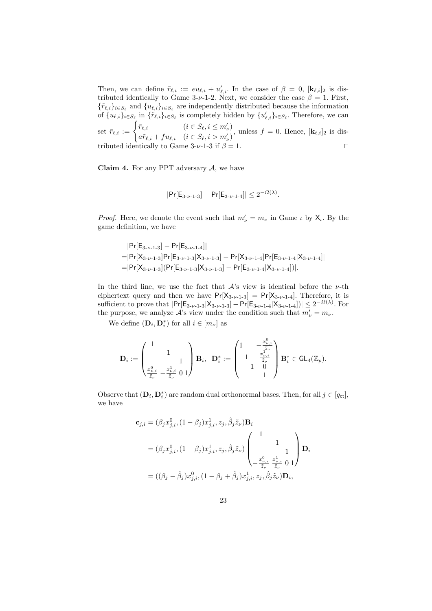Then, we can define  $\tilde{r}_{\ell,i} := eu_{\ell,i} + u'_{\ell,i}$ . In the case of  $\beta = 0$ ,  $[\mathbf{k}_{\ell,i}]_2$  is distributed identically to Game 3-*ν*-1-2. Next, we consider the case  $\beta = 1$ . First,  ${\{\tilde{r}_{\ell,i}\}_{i \in S_{\ell}}}$  and  ${u_{\ell,i}\}_{i \in S_{\ell}}$  are independently distributed because the information of  $\{u_{\ell,i}\}_{i\in S_{\ell}}$  in  $\{\tilde{r}_{\ell,i}\}_{i\in S_{\ell}}$  is completely hidden by  $\{u'_{\ell,i}\}_{i\in S_{\ell}}$ . Therefore, we can  $\text{set } \bar{r}_{\ell,i} := \begin{cases} \tilde{r}_{\ell,i} & (i \in S_{\ell}, i \leq m'_{\nu}) \\ z & (i = S_{\ell}, i \leq m'_{\nu}) \end{cases}$  $a\tilde{r}_{\ell,i} + fu_{\ell,i}$   $(i \in S_{\ell}, i > m'_{\nu})$ , unless  $f = 0$ . Hence,  $[\mathbf{k}_{\ell,i}]_2$  is distributed identically to Game  $3-\nu-1-3$  if  $\beta=1$ .

**Claim 4.** For any PPT adversary *A*, we have

$$
|\Pr[E_{3-\nu-1-3}] - \Pr[E_{3-\nu-1-4}]| \leq 2^{-\Omega(\lambda)}
$$
.

*Proof.* Here, we denote the event such that  $m'_{\nu} = m_{\nu}$  in Game *ι* by  $X_{\iota}$ . By the game definition, we have

$$
\begin{aligned} &|Pr[E_{3-\nu\text{-}1\text{-}3}]-Pr[E_{3-\nu\text{-}1\text{-}4}]| \\ =&|Pr[X_{3-\nu\text{-}1\text{-}3}]Pr[E_{3-\nu\text{-}1\text{-}3}|X_{3-\nu\text{-}1\text{-}3}]-Pr[X_{3-\nu\text{-}1\text{-}4}]Pr[E_{3-\nu\text{-}1\text{-}4}|X_{3-\nu\text{-}1\text{-}4}]| \\ =&|Pr[X_{3-\nu\text{-}1\text{-}3}](Pr[E_{3-\nu\text{-}1\text{-}3}|X_{3-\nu\text{-}1\text{-}3}]-Pr[E_{3-\nu\text{-}1\text{-}4}|X_{3-\nu\text{-}1\text{-}4}])|. \end{aligned}
$$

In the third line, we use the fact that *A*'s view is identical before the *ν*-th ciphertext query and then we have  $Pr[X_{3-\nu-1-3}] = Pr[X_{3-\nu-1-4}]$ . Therefore, it is  $\text{surface} \times \text{surface} \times \text{base} \times \text{base} \times \text{base} \times \text{base} \times \text{base} \times \text{base} \times \text{base} \times \text{base} \times \text{base} \times \text{base} \times \text{base} \times \text{base} \times \text{base} \times \text{base} \times \text{base} \times \text{base} \times \text{base} \times \text{base} \times \text{base} \times \text{base} \times \text{base} \times \text{base} \times \text{base} \times \text{base} \times \text{base} \times \text{base} \times \text{base} \times \text{base} \times \text{base} \times \text{$ the purpose, we analyze  $\mathcal{A}$ 's view under the condition such that  $m'_{\nu} = m_{\nu}$ .

We define  $(\mathbf{D}_i, \mathbf{D}_i^*)$  for all  $i \in [m_\nu]$  as

$$
\mathbf{D}_i := \begin{pmatrix} 1 & & \\ & 1 & \\ & & 1 \\ \frac{x_{\nu,i}^0}{\bar{z}_\nu} - \frac{x_{\nu,i}^1}{\bar{z}_\nu} \ 0 \ 1 \end{pmatrix} \mathbf{B}_i, \ \ \mathbf{D}_i^* := \begin{pmatrix} 1 & -\frac{x_{\nu,i}^0}{\bar{z}_\nu} \\ 1 & \frac{x_{\nu,i}^1}{\bar{z}_\nu} \\ 1 & 0 \\ 1 & 1 \end{pmatrix} \mathbf{B}_i^* \in \mathrm{GL}_4(\mathbb{Z}_p).
$$

Observe that  $(D_i, D_i^*)$  are random dual orthonormal bases. Then, for all  $j \in [q_{ct}]$ , we have

$$
\mathbf{c}_{j,i} = (\beta_j x_{j,i}^0, (1 - \beta_j) x_{j,i}^1, z_j, \hat{\beta}_j \tilde{z}_\nu) \mathbf{B}_i
$$
  
=  $(\beta_j x_{j,i}^0, (1 - \beta_j) x_{j,i}^1, z_j, \hat{\beta}_j \tilde{z}_\nu) \begin{pmatrix} 1 & 1 \\ & 1 \\ -\frac{x_{\nu,i}^0}{\tilde{z}_\nu} & \frac{x_{\nu,i}^1}{\tilde{z}_\nu} & 0 \end{pmatrix} \mathbf{D}_i$   
=  $((\beta_j - \hat{\beta}_j) x_{j,i}^0, (1 - \beta_j + \hat{\beta}_j) x_{j,i}^1, z_j, \hat{\beta}_j \tilde{z}_\nu) \mathbf{D}_i,$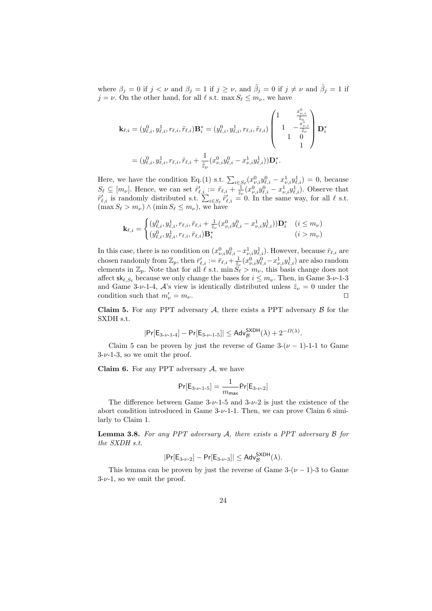where  $\beta_j = 0$  if  $j < \nu$  and  $\beta_j = 1$  if  $j \ge \nu$ , and  $\hat{\beta}_j = 0$  if  $j \ne \nu$  and  $\hat{\beta}_j = 1$  if *j* = *ν*. On the other hand, for all  $\ell$  s.t. max  $S_{\ell} \leq m_{\nu}$ , we have

$$
\begin{aligned} \mathbf{k}_{\ell,i} = (y_{\ell,i}^0, y_{\ell,i}^1, r_{\ell,i}, \tilde{r}_{\ell,i}) \mathbf{B}_i^* = (y_{\ell,i}^0, y_{\ell,i}^1, r_{\ell,i}, \tilde{r}_{\ell,i}) \begin{pmatrix} 1 & \frac{x_{\nu,i}^0}{\tilde{z}_{\nu}} \\ 1 & -\frac{x_{\nu,i}^1}{\tilde{z}_{\nu}} \\ 1 & 0 \\ 1 & 0 \end{pmatrix} \mathbf{D}_i^* \\ = (y_{\ell,i}^0, y_{\ell,i}^1, r_{\ell,i}, \tilde{r}_{\ell,i} + \frac{1}{\tilde{z}_{\nu}} (x_{\nu,i}^0 y_{\ell,i}^0 - x_{\nu,i}^1 y_{\ell,i}^1)) \mathbf{D}_i^*. \end{aligned}
$$

Here, we have the condition Eq.(1) s.t.  $\sum_{i \in S_\ell} (x_{\nu,i}^0 y_{\ell,i}^0 - x_{\nu,i}^1 y_{\ell,i}^1) = 0$ , because *i∈S<sup>ℓ</sup>*  $S_{\ell} \subseteq [m_{\nu}]$ . Hence, we can set  $\tilde{r}'_{\ell,i} := \tilde{r}_{\ell,i} + \frac{1}{\tilde{z}_{\nu}} (x_{\nu,i}^0 y_{\ell,i}^0 - x_{\nu,i}^1 y_{\ell,i}^1)$ . Observe that  $\tilde{r}'_{\ell,i}$  is randomly distributed s.t.  $\sum_{i \in S_{\ell}} \tilde{r}'_{\ell,i} = 0$ . In the same way, for all  $\ell$  s.t.  $(\max S_\ell > m_\nu) \wedge (\min S_\ell \leq m_\nu)$ , we have

$$
\mathbf{k}_{\ell,i} = \begin{cases} (y_{\ell,i}^0, y_{\ell,i}^1, r_{\ell,i}, \bar{r}_{\ell,i} + \frac{1}{\bar{z}_\nu}(x_{\nu,i}^0y_{\ell,i}^0 - x_{\nu,i}^1y_{\ell,i}^1))\mathbf{D}_i^* & (i \leq m_\nu) \\ (y_{\ell,i}^0, y_{\ell,i}^1, r_{\ell,i}, \bar{r}_{\ell,i})\mathbf{B}_i^* & (i > m_\nu) \end{cases}
$$

In this case, there is no condition on  $(x_{\nu,i}^0 y_{\ell,i}^0 - x_{\nu,i}^1 y_{\ell,i}^1)$ . However, because  $\bar{r}_{\ell,i}$  are chosen randomly from  $\mathbb{Z}_p$ , then  $\bar{r}'_{\ell,i} := \bar{r}_{\ell,i} + \frac{1}{\tilde{z}_\nu}(x_{\nu,i}^0 y_{\ell,i}^0 - x_{\nu,i}^1 y_{\ell,i}^1)$  are also random elements in  $\mathbb{Z}_p$ . Note that for all  $\ell$  s.t. min  $S_\ell > m_\nu$ , this basis change does not affect  $sk_{\ell,S_{\ell}}$  because we only change the bases for  $i \leq m_{\nu}$ . Then, in Game 3- $\nu$ -1-3 and Game 3-*ν*-1-4, *A*'s view is identically distributed unless  $\tilde{z}_\nu = 0$  under the condition such that  $m'_{\nu} = m_{\nu}$ .

**Claim 5.** For any PPT adversary *A*, there exists a PPT adversary *B* for the SXDH s.t.

$$
|\Pr[E_{3-\nu-1-4}] - \Pr[E_{3-\nu-1-5}]| \leq \text{Adv}_{\mathcal{B}}^{\text{SXDH}}(\lambda) + 2^{-\Omega(\lambda)}.
$$

Claim 5 can be proven by just the reverse of Game  $3-(\nu-1)-1-1$  to Game  $3-\nu-1-3$ , so we omit the proof.

**Claim 6.** For any PPT adversary *A*, we have

$$
\Pr[\mathsf{E}_{3\text{-}\nu\text{-}1\text{-}5}] = \frac{1}{m_{\mathsf{max}}}\Pr[\mathsf{E}_{3\text{-}\nu\text{-}2}]
$$

The difference between Game  $3-\nu-1-5$  and  $3-\nu-2$  is just the existence of the abort condition introduced in Game 3-*ν*-1-1. Then, we can prove Claim 6 similarly to Claim 1.

**Lemma 3.8.** *For any PPT adversary A, there exists a PPT adversary B for the SXDH s.t.*

$$
|\Pr[\mathsf{E}_{3-\nu\text{-}2}] - \Pr[\mathsf{E}_{3-\nu\text{-}3}]| \leq \mathsf{Adv}_{\mathcal{B}}^{\mathsf{SXDH}}(\lambda).
$$

This lemma can be proven by just the reverse of Game  $3-(\nu-1)-3$  to Game  $3-\nu-1$ , so we omit the proof.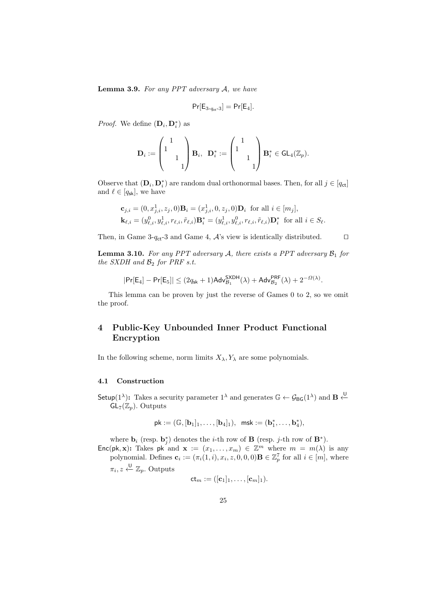**Lemma 3.9.** *For any PPT adversary A, we have*

$$
\Pr[\mathsf{E}_{3\text{-}q_{\mathsf{ct}}\text{-}3}] = \Pr[\mathsf{E}_4].
$$

*Proof.* We define  $(\mathbf{D}_i, \mathbf{D}_i^*)$  as

$$
\mathbf{D}_i := \begin{pmatrix} 1 \\ 1 \\ & 1 \\ & & 1 \end{pmatrix} \mathbf{B}_i, \ \ \mathbf{D}_i^* := \begin{pmatrix} 1 \\ 1 \\ & 1 \\ & 1 \end{pmatrix} \mathbf{B}_i^* \in \mathrm{GL}_4(\mathbb{Z}_p).
$$

Observe that  $(D_i, D_i^*)$  are random dual orthonormal bases. Then, for all  $j \in [q_{ct}]$ and  $\ell \in [q_{\mathsf{sk}}]$ , we have

$$
\begin{aligned} \mathbf{c}_{j,i} &= (0, x_{j,i}^1, z_j, 0) \mathbf{B}_i = (x_{j,i}^1, 0, z_j, 0) \mathbf{D}_i \text{ for all } i \in [m_j], \\ \mathbf{k}_{\ell,i} &= (y_{\ell,i}^0, y_{\ell,i}^1, r_{\ell,i}, \tilde{r}_{\ell,i}) \mathbf{B}_i^* = (y_{\ell,i}^1, y_{\ell,i}^0, r_{\ell,i}, \tilde{r}_{\ell,i}) \mathbf{D}_i^* \text{ for all } i \in S_{\ell}. \end{aligned}
$$

Then, in Game 3-*q*ct-3 and Game 4, *A*'s view is identically distributed. *⊓⊔*

**Lemma 3.10.** For any PPT adversary  $A$ , there exists a PPT adversary  $B_1$  for *the SXDH and B*<sup>2</sup> *for PRF s.t.*

$$
|\text{Pr}[{\sf E}_4]-\text{Pr}[{\sf E}_5]|\leq (2q_{\sf sk}+1)\text{Adv}_{\mathcal{B}_1}^{\text{SXDH}}(\lambda)+\text{Adv}_{\mathcal{B}_2}^{\text{PRF}}(\lambda)+2^{-\varOmega(\lambda)}.
$$

This lemma can be proven by just the reverse of Games 0 to 2, so we omit the proof.

## **4 Public-Key Unbounded Inner Product Functional Encryption**

In the following scheme, norm limits  $X_{\lambda}$ ,  $Y_{\lambda}$  are some polynomials.

## **4.1 Construction**

Setup(1<sup> $\lambda$ </sup>): Takes a security parameter 1<sup> $\lambda$ </sup> and generates  $\mathbb{G} \leftarrow \mathcal{G}_{BG}(1^{\lambda})$  and  $\mathbf{B} \stackrel{\cup}{\leftarrow}$  $GL_7(\mathbb{Z}_p)$ . Outputs

$$
\mathsf{pk} := (\mathbb{G}, [\mathbf{b}_1]_1, \ldots, [\mathbf{b}_4]_1), \ \ \mathsf{msk} := (\mathbf{b}_1^*, \ldots, \mathbf{b}_4^*),
$$

where  $\mathbf{b}_i$  (resp.  $\mathbf{b}_j^*$ ) denotes the *i*-th row of **B** (resp. *j*-th row of  $\mathbf{B}^*$ ).

Enc(pk, x): Takes pk and  $\mathbf{x} := (x_1, \dots, x_m) \in \mathbb{Z}^m$  where  $m = m(\lambda)$  is any polynomial. Defines  $\mathbf{c}_i := (\pi_i(1,i), x_i, z, 0, 0, 0) \mathbf{B} \in \mathbb{Z}_p^7$  for all  $i \in [m]$ , where

$$
\pi_i, z \stackrel{\mathsf{U}}{\leftarrow} \mathbb{Z}_p. \text{ Outputs}
$$

$$
\mathsf{ct}_m := ([\mathbf{c}_1]_1, \ldots, [\mathbf{c}_m]_1).
$$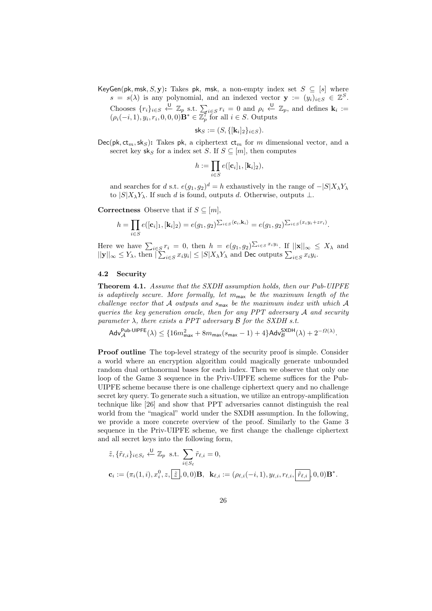KeyGen(pk, msk, S, y): Takes pk, msk, a non-empty index set  $S \subseteq [s]$  where  $s = s(\lambda)$  is any polynomial, and an indexed vector **y** :=  $(y_i)_{i \in S} \in \mathbb{Z}^S$ . Chooses  $\{r_i\}_{i\in S} \xleftarrow{\cup} \mathbb{Z}_p$  s.t.  $\sum_{i\in S} r_i = 0$  and  $\rho_i \xleftarrow{\cup} \mathbb{Z}_p$ , and defines  $\mathbf{k}_i :=$  $(\rho_i(-i, 1), y_i, r_i, 0, 0, 0)$ **B**<sup>\*</sup>  $\in \mathbb{Z}_p^7$  for all  $i \in S$ . Outputs

$$
\mathsf{sk}_S := (S, \{[\mathbf{k}_i]_2\}_{i \in S}).
$$

 $Dec(\mathsf{pk}, \mathsf{ct}_m, \mathsf{sk}_S)$ : Takes  $\mathsf{pk},$  a ciphertext  $\mathsf{ct}_m$  for *m* dimensional vector, and a secret key  $sk_S$  for a index set *S*. If  $S \subseteq [m]$ , then computes

$$
h := \prod_{i \in S} e([\mathbf{c}_i]_1, [\mathbf{k}_i]_2),
$$

and searches for *d* s.t.  $e(g_1, g_2)^d = h$  exhaustively in the range of  $-|S|X_\lambda Y_\lambda$ to  $|S|X_\lambda Y_\lambda$ . If such *d* is found, outputs *d*. Otherwise, outputs  $\bot$ .

**Correctness** Observe that if  $S \subseteq [m]$ ,

$$
h = \prod_{i \in S} e([\mathbf{c}_i]_1, [\mathbf{k}_i]_2) = e(g_1, g_2)^{\sum_{i \in S} \langle \mathbf{c}_i, \mathbf{k}_i \rangle} = e(g_1, g_2)^{\sum_{i \in S} (x_i y_i + z r_i)}.
$$

Here we have  $\sum_{i \in S} r_i = 0$ , then  $h = e(g_1, g_2) \sum_{i \in S} x_i y_i$ . If  $||\mathbf{x}||_{\infty} \leq X_{\lambda}$  and  $||\mathbf{y}||_{\infty} \leq Y_{\lambda}$ , then  $|\sum_{i \in S} x_i y_i| \leq |S| X_{\lambda} Y_{\lambda}$  and Dec outputs  $\sum_{i \in S} x_i y_i$ .

## **4.2 Security**

**Theorem 4.1.** *Assume that the SXDH assumption holds, then our Pub-UIPFE is adaptively secure. More formally, let m*max *be the maximum length of the challenge vector that A outputs and s*max *be the maximum index with which A queries the key generation oracle, then for any PPT adversary A and security parameter λ, there exists a PPT adversary B for the SXDH s.t.*

 $\mathsf{Adv}_{\mathcal{A}}^{\mathsf{Pub}-\mathsf{UIPFE}}(\lambda) \leq \{16m_{\mathsf{max}}^2 + 8m_{\mathsf{max}}(s_{\mathsf{max}} - 1) + 4\} \mathsf{Adv}_{\mathcal{B}}^{\mathsf{SXDH}}(\lambda) + 2^{-\Omega(\lambda)}.$ 

**Proof outline** The top-level strategy of the security proof is simple. Consider a world where an encryption algorithm could magically generate unbounded random dual orthonormal bases for each index. Then we observe that only one loop of the Game 3 sequence in the Priv-UIPFE scheme suffices for the Pub-UIPFE scheme because there is one challenge ciphertext query and no challenge secret key query. To generate such a situation, we utilize an entropy-amplification technique like [26] and show that PPT adversaries cannot distinguish the real world from the "magical" world under the SXDH assumption. In the following, we provide a more concrete overview of the proof. Similarly to the Game 3 sequence in the Priv-UIPFE scheme, we first change the challenge ciphertext and all secret keys into the following form,

$$
\tilde{z}, \{\tilde{r}_{\ell,i}\}_{i \in S_{\ell}} \stackrel{\cup}{\leftarrow} \mathbb{Z}_p \text{ s.t. } \sum_{i \in S_{\ell}} \tilde{r}_{\ell,i} = 0,
$$
  

$$
\mathbf{c}_i := (\pi_i(1,i), x_i^0, z, \boxed{\tilde{z}}, 0, 0) \mathbf{B}, \ \mathbf{k}_{\ell,i} := (\rho_{\ell,i}(-i,1), y_{\ell,i}, r_{\ell,i}, \boxed{\tilde{r}_{\ell,i}}, 0, 0) \mathbf{B}^*.
$$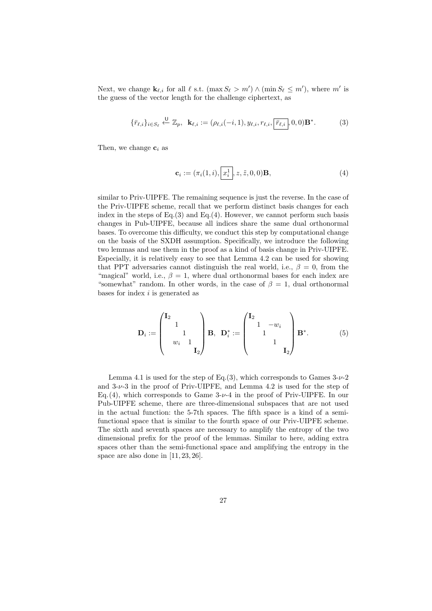Next, we change  $\mathbf{k}_{\ell,i}$  for all  $\ell$  s.t. (max  $S_{\ell} > m'$ )  $\wedge$  (min  $S_{\ell} \leq m'$ ), where  $m'$  is the guess of the vector length for the challenge ciphertext, as

$$
\{\bar{r}_{\ell,i}\}_{i\in S_{\ell}} \stackrel{\mathsf{U}}{\leftarrow} \mathbb{Z}_p, \ \mathbf{k}_{\ell,i} := (\rho_{\ell,i}(-i,1), y_{\ell,i}, r_{\ell,i}, \overline{r_{\ell,i}}], 0, 0)\mathbf{B}^*.
$$

Then, we change **c***<sup>i</sup>* as

$$
\mathbf{c}_i := (\pi_i(1, i), \boxed{x_i^1}, z, \tilde{z}, 0, 0) \mathbf{B},\tag{4}
$$

similar to Priv-UIPFE. The remaining sequence is just the reverse. In the case of the Priv-UIPFE scheme, recall that we perform distinct basis changes for each index in the steps of  $Eq.(3)$  and  $Eq.(4)$ . However, we cannot perform such basis changes in Pub-UIPFE, because all indices share the same dual orthonormal bases. To overcome this difficulty, we conduct this step by computational change on the basis of the SXDH assumption. Specifically, we introduce the following two lemmas and use them in the proof as a kind of basis change in Priv-UIPFE. Especially, it is relatively easy to see that Lemma 4.2 can be used for showing that PPT adversaries cannot distinguish the real world, i.e.,  $\beta = 0$ , from the "magical" world, i.e.,  $\beta = 1$ , where dual orthonormal bases for each index are "somewhat" random. In other words, in the case of  $\beta = 1$ , dual orthonormal bases for index *i* is generated as

$$
\mathbf{D}_{i} := \begin{pmatrix} \mathbf{I}_{2} & & \\ & 1 & & \\ & & 1 & \\ & w_{i} & 1 & \\ & & & \mathbf{I}_{2} \end{pmatrix} \mathbf{B}, \ \ \mathbf{D}_{i}^{*} := \begin{pmatrix} \mathbf{I}_{2} & & & \\ & 1 & -w_{i} & \\ & & 1 & \\ & & & \mathbf{I}_{2} \end{pmatrix} \mathbf{B}^{*}.
$$
 (5)

Lemma 4.1 is used for the step of Eq.(3), which corresponds to Games  $3-\nu-2$ and 3-*ν*-3 in the proof of Priv-UIPFE, and Lemma 4.2 is used for the step of Eq.(4), which corresponds to Game 3-*ν*-4 in the proof of Priv-UIPFE. In our Pub-UIPFE scheme, there are three-dimensional subspaces that are not used in the actual function: the 5-7th spaces. The fifth space is a kind of a semifunctional space that is similar to the fourth space of our Priv-UIPFE scheme. The sixth and seventh spaces are necessary to amplify the entropy of the two dimensional prefix for the proof of the lemmas. Similar to here, adding extra spaces other than the semi-functional space and amplifying the entropy in the space are also done in [11, 23, 26].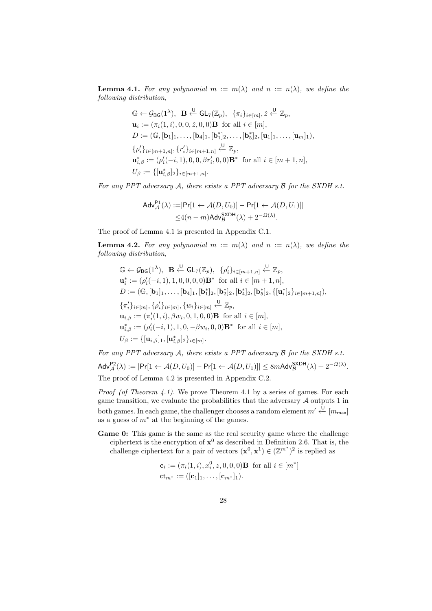**Lemma 4.1.** For any polynomial  $m := m(\lambda)$  and  $n := n(\lambda)$ , we define the *following distribution,*

$$
\mathbb{G} \leftarrow \mathcal{G}_{\text{BG}}(1^{\lambda}), \quad \mathbf{B} \leftarrow \mathsf{GL}_{7}(\mathbb{Z}_{p}), \quad \{\pi_{i}\}_{i \in [m]}, \tilde{z} \leftarrow \mathbb{Z}_{p},
$$
\n
$$
\mathbf{u}_{i} := (\pi_{i}(1, i), 0, 0, \tilde{z}, 0, 0) \mathbf{B} \text{ for all } i \in [m],
$$
\n
$$
D := (\mathbb{G}, [\mathbf{b}_{1}]_{1}, \dots, [\mathbf{b}_{4}]_{1}, [\mathbf{b}_{1}^{*}]_{2}, \dots, [\mathbf{b}_{5}^{*}]_{2}, [\mathbf{u}_{1}]_{1}, \dots, [\mathbf{u}_{m}]_{1}),
$$
\n
$$
\{\rho_{i}'\}_{i \in [m+1, n]}, \{r_{i}'\}_{i \in [m+1, n]} \leftarrow \mathbb{Z}_{p},
$$
\n
$$
\mathbf{u}_{i, \beta}^{*} := (\rho_{i}'(-i, 1), 0, 0, \beta r_{i}', 0, 0) \mathbf{B}^{*} \text{ for all } i \in [m+1, n],
$$
\n
$$
U_{\beta} := \{ [\mathbf{u}_{i, \beta}^{*}]_{2} \}_{i \in [m+1, n]}.
$$

*For any PPT adversary A, there exists a PPT adversary B for the SXDH s.t.*

$$
\mathsf{Adv}_{\mathcal{A}}^{\mathsf{P1}}(\lambda) := |\mathsf{Pr}[1 \leftarrow \mathcal{A}(D, U_0)] - \mathsf{Pr}[1 \leftarrow \mathcal{A}(D, U_1)]|
$$
  
 
$$
\leq 4(n - m) \mathsf{Adv}_{\mathcal{B}}^{\mathsf{X}\mathsf{D}\mathsf{H}}(\lambda) + 2^{-\Omega(\lambda)}.
$$

The proof of Lemma 4.1 is presented in Appendix C.1.

**Lemma 4.2.** For any polynomial  $m := m(\lambda)$  and  $n := n(\lambda)$ , we define the *following distribution,*

$$
\mathbb{G} \leftarrow \mathcal{G}_{\text{BG}}(1^{\lambda}), \quad \mathbf{B} \leftarrow \mathsf{GL}_{7}(\mathbb{Z}_{p}), \quad \{\rho'_{i}\}_{i \in [m+1,n]} \leftarrow \mathbb{Z}_{p},
$$
\n
$$
\mathbf{u}_{i}^{*} := (\rho'_{i}(-i,1), 1, 0, 0, 0, 0) \mathbf{B}^{*} \quad \text{for all } i \in [m+1,n],
$$
\n
$$
D := (\mathbb{G}, [\mathbf{b}_{1}]_{1}, \ldots, [\mathbf{b}_{4}]_{1}, [\mathbf{b}_{1}]_{2}, [\mathbf{b}_{2}^{*}]_{2}, [\mathbf{b}_{4}^{*}]_{2}, [\mathbf{b}_{5}^{*}]_{2}, \{[\mathbf{u}_{i}^{*}]_{2}\}_{i \in [m+1,n]}),
$$
\n
$$
\{\pi'_{i}\}_{i \in [m]}, \{\rho'_{i}\}_{i \in [m]}, \{w_{i}\}_{i \in [m]} \leftarrow \mathbb{Z}_{p},
$$
\n
$$
\mathbf{u}_{i,\beta} := (\pi'_{i}(1,i), \beta w_{i}, 0, 1, 0, 0) \mathbf{B} \quad \text{for all } i \in [m],
$$
\n
$$
\mathbf{u}_{i,\beta}^{*} := (\rho'_{i}(-i,1), 1, 0, -\beta w_{i}, 0, 0) \mathbf{B}^{*} \quad \text{for all } i \in [m],
$$
\n
$$
U_{\beta} := \{[\mathbf{u}_{i,\beta}]_{1}, [\mathbf{u}_{i,\beta}^{*}]_{2}\}_{i \in [m]}.
$$

*For any PPT adversary A, there exists a PPT adversary B for the SXDH s.t.*

 $\mathsf{Adv}_{\mathcal{A}}^{\mathsf{P2}}(\lambda) := |\mathsf{Pr}[1 \leftarrow \mathcal{A}(D, U_0)] - \mathsf{Pr}[1 \leftarrow \mathcal{A}(D, U_1)]| \leq 8m\mathsf{Adv}_{\mathcal{B}}^{\mathsf{SNDH}}(\lambda) + 2^{-\Omega(\lambda)}.$ The proof of Lemma 4.2 is presented in Appendix C.2.

*Proof (of Theorem 4.1).* We prove Theorem 4.1 by a series of games. For each game transition, we evaluate the probabilities that the adversary *A* outputs 1 in both games. In each game, the challenger chooses a random element  $m' \stackrel{\cup}{\leftarrow} [m_{\sf max}]$ as a guess of *m∗* at the beginning of the games.

Game 0: This game is the same as the real security game where the challenge ciphertext is the encryption of  $x^0$  as described in Definition 2.6. That is, the challenge ciphertext for a pair of vectors  $(\mathbf{x}^0, \mathbf{x}^1) \in (\mathbb{Z}^{m^*})^2$  is replied as

$$
\mathbf{c}_{i} := (\pi_{i}(1, i), x_{i}^{0}, z, 0, 0, 0)\mathbf{B} \text{ for all } i \in [m^{*}]
$$
  

$$
\mathbf{ct}_{m^{*}} := ([\mathbf{c}_{1}]_{1}, \dots, [\mathbf{c}_{m^{*}}]_{1}).
$$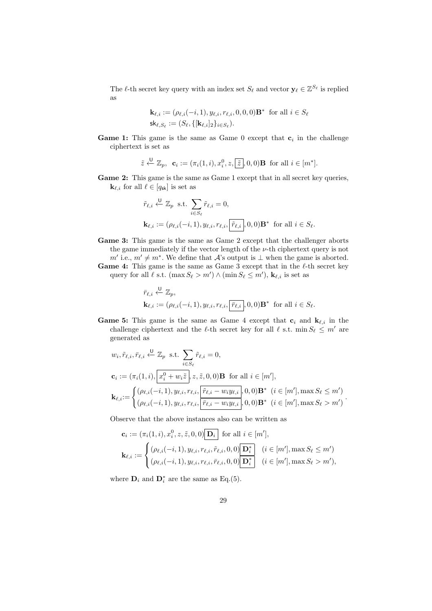The  $\ell$ -th secret key query with an index set  $S_{\ell}$  and vector  $\mathbf{y}_{\ell} \in \mathbb{Z}^{S_{\ell}}$  is replied as

$$
\mathbf{k}_{\ell,i} := (\rho_{\ell,i}(-i,1), y_{\ell,i}, r_{\ell,i}, 0, 0, 0)\mathbf{B}^* \text{ for all } i \in S_{\ell}
$$
  

$$
\mathsf{sk}_{\ell,S_{\ell}} := (S_{\ell}, \{[\mathbf{k}_{\ell,i}]_2\}_{i \in S_{\ell}}).
$$

**Game 1:** This game is the same as Game 0 except that **c***<sup>i</sup>* in the challenge ciphertext is set as

$$
\tilde{z} \stackrel{\mathbf{U}}{\leftarrow} \mathbb{Z}_p, \ \mathbf{c}_i := (\pi_i(1,i), x_i^0, z, \boxed{\tilde{z}}, 0, 0) \mathbf{B} \text{ for all } i \in [m^*].
$$

Game 2: This game is the same as Game 1 except that in all secret key queries,  $\mathbf{k}_{\ell,i}$  for all  $\ell \in [q_{sk}]$  is set as

$$
\tilde{r}_{\ell,i} \stackrel{\mathbf{U}}{\leftarrow} \mathbb{Z}_p \text{ s.t. } \sum_{i \in S_\ell} \tilde{r}_{\ell,i} = 0,
$$
  

$$
\mathbf{k}_{\ell,i} := (\rho_{\ell,i}(-i,1), y_{\ell,i}, r_{\ell,i}, \boxed{\tilde{r}_{\ell,i}}, 0, 0) \mathbf{B}^* \text{ for all } i \in S_\ell.
$$

- **Game 3:** This game is the same as Game 2 except that the challenger aborts the game immediately if the vector length of the *ν*-th ciphertext query is not  $m'$  i.e.,  $m' \neq m^*$ . We define that *A*'s output is  $\perp$  when the game is aborted.
- **Game 4:** This game is the same as Game 3 except that in the *ℓ*-th secret key query for all  $\ell$  s.t. (max  $S_{\ell} > m'$ )  $\wedge$  (min  $S_{\ell} \leq m'$ ),  $\mathbf{k}_{\ell,i}$  is set as

$$
\begin{aligned}\n\bar{r}_{\ell,i} &\stackrel{\mathbf{U}}{\leftarrow} \mathbb{Z}_p, \\
\mathbf{k}_{\ell,i} &:= (\rho_{\ell,i}(-i,1), y_{\ell,i}, r_{\ell,i}, \boxed{\bar{r}_{\ell,i}}, 0, 0)\mathbf{B}^* \text{ for all } i \in S_{\ell}.\n\end{aligned}
$$

**Game 5:** This game is the same as Game 4 except that  $\mathbf{c}_i$  and  $\mathbf{k}_{\ell,i}$  in the challenge ciphertext and the  $\ell$ -th secret key for all  $\ell$  s.t. min  $S_{\ell} \leq m'$  are generated as

$$
w_i, \tilde{r}_{\ell,i}, \bar{r}_{\ell,i} \stackrel{\text{U}}{\leftarrow} \mathbb{Z}_p \text{ s.t. } \sum_{i \in S_{\ell}} \tilde{r}_{\ell,i} = 0,
$$
  
\n
$$
\mathbf{c}_i := (\pi_i(1, i), \overline{\left[x_i^0 + w_i \tilde{z}\right]}, z, \tilde{z}, 0, 0) \mathbf{B} \text{ for all } i \in [m'],
$$
  
\n
$$
\mathbf{k}_{\ell,i} := \begin{cases} (\rho_{\ell,i}(-i, 1), y_{\ell,i}, r_{\ell,i}, \overline{\tilde{r}_{\ell,i} - w_i y_{\ell,i}}], 0, 0) \mathbf{B}^* \ (i \in [m'], \max S_{\ell} \leq m')\\ (\rho_{\ell,i}(-i, 1), y_{\ell,i}, r_{\ell,i}, \overline{\overline{r}_{\ell,i} - w_i y_{\ell,i}}], 0, 0) \mathbf{B}^* \ (i \in [m'], \max S_{\ell} > m') \end{cases}.
$$

Observe that the above instances also can be written as

$$
\mathbf{c}_{i} := (\pi_{i}(1, i), x_{i}^{0}, z, \tilde{z}, 0, 0) \boxed{\mathbf{D}_{i}} \text{ for all } i \in [m'],
$$
  

$$
\mathbf{k}_{\ell, i} := \begin{cases} (\rho_{\ell, i}(-i, 1), y_{\ell, i}, r_{\ell, i}, \tilde{r}_{\ell, i}, 0, 0) \boxed{\mathbf{D}_{i}^{*}} & (i \in [m'], \max S_{\ell} \leq m')\\ (\rho_{\ell, i}(-i, 1), y_{\ell, i}, r_{\ell, i}, \bar{r}_{\ell, i}, 0, 0) \boxed{\mathbf{D}_{i}^{*}} & (i \in [m'], \max S_{\ell} > m'), \end{cases}
$$

where  $\mathbf{D}_i$  and  $\mathbf{D}_i^*$  are the same as Eq.(5).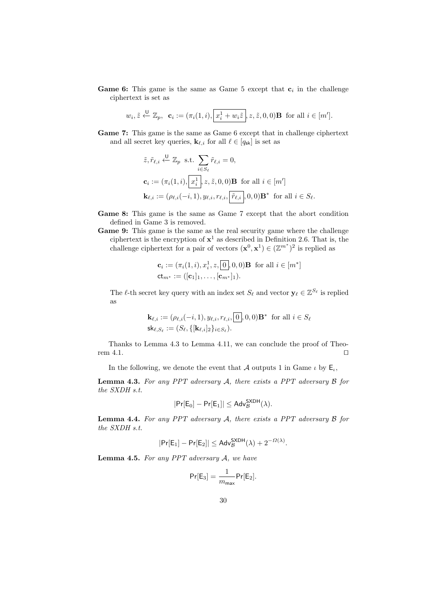**Game 6:** This game is the same as Game 5 except that **c***<sup>i</sup>* in the challenge ciphertext is set as

$$
w_i, \tilde{z} \stackrel{\mathsf{U}}{\leftarrow} \mathbb{Z}_p, \ \mathbf{c}_i := (\pi_i(1, i), \boxed{x_i^1 + w_i \tilde{z}}, z, \tilde{z}, 0, 0) \mathbf{B} \text{ for all } i \in [m'].
$$

**Game 7:** This game is the same as Game 6 except that in challenge ciphertext and all secret key queries,  $\mathbf{k}_{\ell,i}$  for all  $\ell \in [q_{sk}]$  is set as

$$
\tilde{z}, \tilde{r}_{\ell,i} \stackrel{\mathsf{U}}{\leftarrow} \mathbb{Z}_p \text{ s.t. } \sum_{i \in S_{\ell}} \tilde{r}_{\ell,i} = 0,
$$
  

$$
\mathbf{c}_i := (\pi_i(1, i), \boxed{x_i^1}, z, \tilde{z}, 0, 0) \mathbf{B} \text{ for all } i \in [m']
$$
  

$$
\mathbf{k}_{\ell,i} := (\rho_{\ell,i}(-i, 1), y_{\ell,i}, r_{\ell,i}, \boxed{\tilde{r}_{\ell,i}}, 0, 0) \mathbf{B}^* \text{ for all } i \in S_{\ell}.
$$

- **Game 8:** This game is the same as Game 7 except that the abort condition defined in Game 3 is removed.
- **Game 9:** This game is the same as the real security game where the challenge ciphertext is the encryption of  $x^1$  as described in Definition 2.6. That is, the challenge ciphertext for a pair of vectors  $(\mathbf{x}^0, \mathbf{x}^1) \in (\mathbb{Z}^{m^*})^2$  is replied as

$$
\mathbf{c}_{i} := (\pi_{i}(1, i), x_{i}^{1}, z, \boxed{0}, 0, 0) \mathbf{B} \text{ for all } i \in [m^{*}]
$$
  

$$
\mathbf{c} \mathbf{t}_{m^{*}} := ([\mathbf{c}_{1}]_{1}, \dots, [\mathbf{c}_{m^{*}}]_{1}).
$$

The  $\ell$ -th secret key query with an index set  $S_{\ell}$  and vector  $\mathbf{y}_{\ell} \in \mathbb{Z}^{S_{\ell}}$  is replied as

$$
\mathbf{k}_{\ell,i} := (\rho_{\ell,i}(-i,1), y_{\ell,i}, r_{\ell,i}, \boxed{0}, 0, 0) \mathbf{B}^*
$$
 for all  $i \in S_{\ell}$   

$$
\mathsf{sk}_{\ell,S_{\ell}} := (S_{\ell}, \{[\mathbf{k}_{\ell,i}]_2\}_{i \in S_{\ell}}).
$$

Thanks to Lemma 4.3 to Lemma 4.11, we can conclude the proof of Theorem 4.1. *⊓⊔*

In the following, we denote the event that  $A$  outputs 1 in Game  $\iota$  by  $E_{\iota}$ ,

**Lemma 4.3.** *For any PPT adversary A, there exists a PPT adversary B for the SXDH s.t.*

$$
|\Pr[E_0] - \Pr[E_1]| \leq \mathsf{Adv}_{\mathcal{B}}^{\mathsf{SXDH}}(\lambda).
$$

**Lemma 4.4.** *For any PPT adversary A, there exists a PPT adversary B for the SXDH s.t.*

$$
|\text{Pr}[E_1]-\text{Pr}[E_2]|\leq \text{Adv}_{\mathcal{B}}^{\text{SXDH}}(\lambda)+2^{-\varOmega(\lambda)}.
$$

**Lemma 4.5.** *For any PPT adversary A, we have*

$$
\Pr[\mathsf{E}_3] = \frac{1}{m_{\mathsf{max}}}\Pr[\mathsf{E}_2].
$$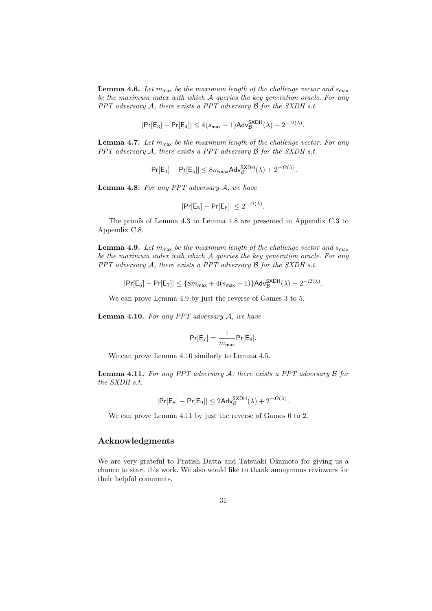**Lemma 4.6.** Let  $m_{\text{max}}$  be the maximum length of the challenge vector and  $s_{\text{max}}$ *be the maximum index with which A queries the key generation oracle. For any PPT adversary A, there exists a PPT adversary B for the SXDH s.t.*

$$
|\Pr[\mathsf{E}_3]-\Pr[\mathsf{E}_4]| \leq 4(s_{\max}-1)\mathsf{Adv}_{\mathcal{B}}^{\mathsf{XXDH}}(\lambda)+2^{-\Omega(\lambda)}.
$$

**Lemma 4.7.** *Let m*max *be the maximum length of the challenge vector. For any PPT adversary A, there exists a PPT adversary B for the SXDH s.t.*

$$
|\Pr[\mathsf{E}_4] - \Pr[\mathsf{E}_5]| \leq 8m_{\mathsf{max}} \mathsf{Adv}_{\mathcal{B}}^{\mathsf{SXDH}}(\lambda) + 2^{-\Omega(\lambda)}.
$$

**Lemma 4.8.** *For any PPT adversary A, we have*

$$
|\Pr[\mathsf{E}_5] - \Pr[\mathsf{E}_6]| \le 2^{-\Omega(\lambda)}.
$$

The proofs of Lemma 4.3 to Lemma 4.8 are presented in Appendix C.3 to Appendix C.8.

**Lemma 4.9.** Let  $m_{\text{max}}$  be the maximum length of the challenge vector and  $s_{\text{max}}$ *be the maximum index with which A queries the key generation oracle. For any PPT adversary A, there exists a PPT adversary B for the SXDH s.t.*

$$
|\Pr[\mathsf{E}_6]-\Pr[\mathsf{E}_7]| \leq \{8m_{\max}+4(s_{\max}-1)\}\mathsf{Adv}_{\mathcal{B}}^{\mathsf{SXDH}}(\lambda)+2^{-\Omega(\lambda)}.
$$

We can prove Lemma 4.9 by just the reverse of Games 3 to 5.

**Lemma 4.10.** *For any PPT adversary A, we have*

$$
\Pr[\mathsf{E}_7] = \frac{1}{m_{\mathsf{max}}}\Pr[\mathsf{E}_8].
$$

We can prove Lemma 4.10 similarly to Lemma 4.5.

**Lemma 4.11.** *For any PPT adversary A, there exists a PPT adversary B for the SXDH s.t.*

$$
|\mathsf{Pr}[{\mathsf{E}}_8]-\mathsf{Pr}[{\mathsf{E}}_9]|\leq 2\mathsf{Adv}_{\mathcal{B}}^{\mathsf{SXDH}}(\lambda)+2^{-\varOmega(\lambda)}.
$$

We can prove Lemma 4.11 by just the reverse of Games 0 to 2.

## **Acknowledgments**

We are very grateful to Pratish Datta and Tatsuaki Okamoto for giving us a chance to start this work. We also would like to thank anonymous reviewers for their helpful comments.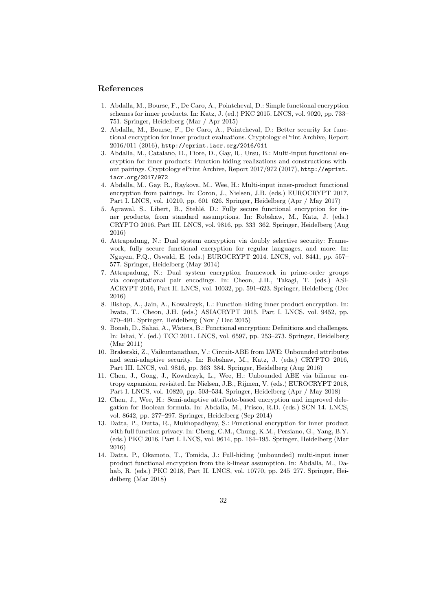## **References**

- 1. Abdalla, M., Bourse, F., De Caro, A., Pointcheval, D.: Simple functional encryption schemes for inner products. In: Katz, J. (ed.) PKC 2015. LNCS, vol. 9020, pp. 733– 751. Springer, Heidelberg (Mar / Apr 2015)
- 2. Abdalla, M., Bourse, F., De Caro, A., Pointcheval, D.: Better security for functional encryption for inner product evaluations. Cryptology ePrint Archive, Report 2016/011 (2016), http://eprint.iacr.org/2016/011
- 3. Abdalla, M., Catalano, D., Fiore, D., Gay, R., Ursu, B.: Multi-input functional encryption for inner products: Function-hiding realizations and constructions without pairings. Cryptology ePrint Archive, Report 2017/972 (2017), http://eprint. iacr.org/2017/972
- 4. Abdalla, M., Gay, R., Raykova, M., Wee, H.: Multi-input inner-product functional encryption from pairings. In: Coron, J., Nielsen, J.B. (eds.) EUROCRYPT 2017, Part I. LNCS, vol. 10210, pp. 601–626. Springer, Heidelberg (Apr / May 2017)
- 5. Agrawal, S., Libert, B., Stehl´e, D.: Fully secure functional encryption for inner products, from standard assumptions. In: Robshaw, M., Katz, J. (eds.) CRYPTO 2016, Part III. LNCS, vol. 9816, pp. 333–362. Springer, Heidelberg (Aug 2016)
- 6. Attrapadung, N.: Dual system encryption via doubly selective security: Framework, fully secure functional encryption for regular languages, and more. In: Nguyen, P.Q., Oswald, E. (eds.) EUROCRYPT 2014. LNCS, vol. 8441, pp. 557– 577. Springer, Heidelberg (May 2014)
- 7. Attrapadung, N.: Dual system encryption framework in prime-order groups via computational pair encodings. In: Cheon, J.H., Takagi, T. (eds.) ASI-ACRYPT 2016, Part II. LNCS, vol. 10032, pp. 591–623. Springer, Heidelberg (Dec 2016)
- 8. Bishop, A., Jain, A., Kowalczyk, L.: Function-hiding inner product encryption. In: Iwata, T., Cheon, J.H. (eds.) ASIACRYPT 2015, Part I. LNCS, vol. 9452, pp. 470–491. Springer, Heidelberg (Nov / Dec 2015)
- 9. Boneh, D., Sahai, A., Waters, B.: Functional encryption: Definitions and challenges. In: Ishai, Y. (ed.) TCC 2011. LNCS, vol. 6597, pp. 253–273. Springer, Heidelberg (Mar 2011)
- 10. Brakerski, Z., Vaikuntanathan, V.: Circuit-ABE from LWE: Unbounded attributes and semi-adaptive security. In: Robshaw, M., Katz, J. (eds.) CRYPTO 2016, Part III. LNCS, vol. 9816, pp. 363–384. Springer, Heidelberg (Aug 2016)
- 11. Chen, J., Gong, J., Kowalczyk, L., Wee, H.: Unbounded ABE via bilinear entropy expansion, revisited. In: Nielsen, J.B., Rijmen, V. (eds.) EUROCRYPT 2018, Part I. LNCS, vol. 10820, pp. 503–534. Springer, Heidelberg (Apr / May 2018)
- 12. Chen, J., Wee, H.: Semi-adaptive attribute-based encryption and improved delegation for Boolean formula. In: Abdalla, M., Prisco, R.D. (eds.) SCN 14. LNCS, vol. 8642, pp. 277–297. Springer, Heidelberg (Sep 2014)
- 13. Datta, P., Dutta, R., Mukhopadhyay, S.: Functional encryption for inner product with full function privacy. In: Cheng, C.M., Chung, K.M., Persiano, G., Yang, B.Y. (eds.) PKC 2016, Part I. LNCS, vol. 9614, pp. 164–195. Springer, Heidelberg (Mar 2016)
- 14. Datta, P., Okamoto, T., Tomida, J.: Full-hiding (unbounded) multi-input inner product functional encryption from the k-linear assumption. In: Abdalla, M., Dahab, R. (eds.) PKC 2018, Part II. LNCS, vol. 10770, pp. 245–277. Springer, Heidelberg (Mar 2018)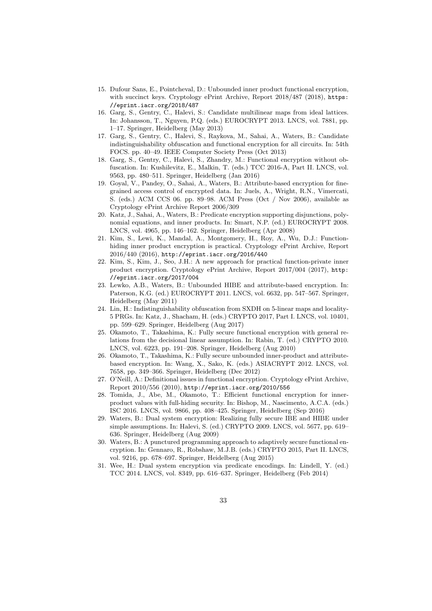- 15. Dufour Sans, E., Pointcheval, D.: Unbounded inner product functional encryption, with succinct keys. Cryptology ePrint Archive, Report 2018/487 (2018), https: //eprint.iacr.org/2018/487
- 16. Garg, S., Gentry, C., Halevi, S.: Candidate multilinear maps from ideal lattices. In: Johansson, T., Nguyen, P.Q. (eds.) EUROCRYPT 2013. LNCS, vol. 7881, pp. 1–17. Springer, Heidelberg (May 2013)
- 17. Garg, S., Gentry, C., Halevi, S., Raykova, M., Sahai, A., Waters, B.: Candidate indistinguishability obfuscation and functional encryption for all circuits. In: 54th FOCS. pp. 40–49. IEEE Computer Society Press (Oct 2013)
- 18. Garg, S., Gentry, C., Halevi, S., Zhandry, M.: Functional encryption without obfuscation. In: Kushilevitz, E., Malkin, T. (eds.) TCC 2016-A, Part II. LNCS, vol. 9563, pp. 480–511. Springer, Heidelberg (Jan 2016)
- 19. Goyal, V., Pandey, O., Sahai, A., Waters, B.: Attribute-based encryption for finegrained access control of encrypted data. In: Juels, A., Wright, R.N., Vimercati, S. (eds.) ACM CCS 06. pp. 89–98. ACM Press (Oct / Nov 2006), available as Cryptology ePrint Archive Report 2006/309
- 20. Katz, J., Sahai, A., Waters, B.: Predicate encryption supporting disjunctions, polynomial equations, and inner products. In: Smart, N.P. (ed.) EUROCRYPT 2008. LNCS, vol. 4965, pp. 146–162. Springer, Heidelberg (Apr 2008)
- 21. Kim, S., Lewi, K., Mandal, A., Montgomery, H., Roy, A., Wu, D.J.: Functionhiding inner product encryption is practical. Cryptology ePrint Archive, Report 2016/440 (2016), http://eprint.iacr.org/2016/440
- 22. Kim, S., Kim, J., Seo, J.H.: A new approach for practical function-private inner product encryption. Cryptology ePrint Archive, Report 2017/004 (2017), http: //eprint.iacr.org/2017/004
- 23. Lewko, A.B., Waters, B.: Unbounded HIBE and attribute-based encryption. In: Paterson, K.G. (ed.) EUROCRYPT 2011. LNCS, vol. 6632, pp. 547–567. Springer, Heidelberg (May 2011)
- 24. Lin, H.: Indistinguishability obfuscation from SXDH on 5-linear maps and locality-5 PRGs. In: Katz, J., Shacham, H. (eds.) CRYPTO 2017, Part I. LNCS, vol. 10401, pp. 599–629. Springer, Heidelberg (Aug 2017)
- 25. Okamoto, T., Takashima, K.: Fully secure functional encryption with general relations from the decisional linear assumption. In: Rabin, T. (ed.) CRYPTO 2010. LNCS, vol. 6223, pp. 191–208. Springer, Heidelberg (Aug 2010)
- 26. Okamoto, T., Takashima, K.: Fully secure unbounded inner-product and attributebased encryption. In: Wang, X., Sako, K. (eds.) ASIACRYPT 2012. LNCS, vol. 7658, pp. 349–366. Springer, Heidelberg (Dec 2012)
- 27. O'Neill, A.: Definitional issues in functional encryption. Cryptology ePrint Archive, Report 2010/556 (2010), http://eprint.iacr.org/2010/556
- 28. Tomida, J., Abe, M., Okamoto, T.: Efficient functional encryption for innerproduct values with full-hiding security. In: Bishop, M., Nascimento, A.C.A. (eds.) ISC 2016. LNCS, vol. 9866, pp. 408–425. Springer, Heidelberg (Sep 2016)
- 29. Waters, B.: Dual system encryption: Realizing fully secure IBE and HIBE under simple assumptions. In: Halevi, S. (ed.) CRYPTO 2009. LNCS, vol. 5677, pp. 619– 636. Springer, Heidelberg (Aug 2009)
- 30. Waters, B.: A punctured programming approach to adaptively secure functional encryption. In: Gennaro, R., Robshaw, M.J.B. (eds.) CRYPTO 2015, Part II. LNCS, vol. 9216, pp. 678–697. Springer, Heidelberg (Aug 2015)
- 31. Wee, H.: Dual system encryption via predicate encodings. In: Lindell, Y. (ed.) TCC 2014. LNCS, vol. 8349, pp. 616–637. Springer, Heidelberg (Feb 2014)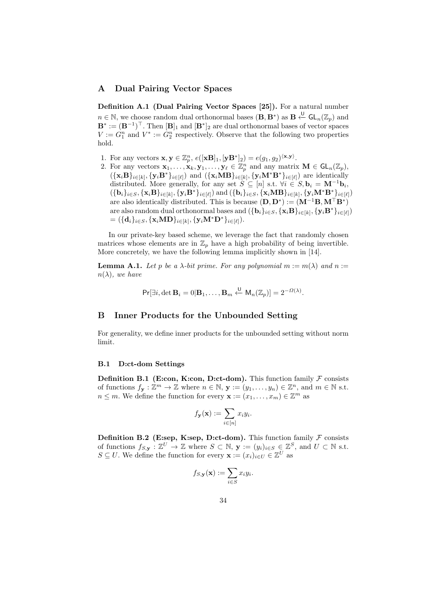## **A Dual Pairing Vector Spaces**

**Definition A.1 (Dual Pairing Vector Spaces [25]).** For a natural number  $n \in \mathbb{N}$ , we choose random dual orthonormal bases  $(\mathbf{B}, \mathbf{B}^*)$  as  $\mathbf{B} \stackrel{\cup}{\leftarrow} \mathsf{GL}_n(\mathbb{Z}_p)$  and  $\mathbf{B}^* := (\mathbf{B}^{-1})^\top$ . Then  $[\mathbf{B}]_1$  and  $[\mathbf{B}^*]_2$  are dual orthonormal bases of vector spaces  $V := G_1^n$  and  $V^* := G_2^n$  respectively. Observe that the following two properties hold.

- 1. For any vectors  $\mathbf{x}, \mathbf{y} \in \mathbb{Z}_p^n$ ,  $e([\mathbf{xB}]_1, [\mathbf{yB}^*]_2) = e(g_1, g_2)^{\langle \mathbf{x}, \mathbf{y} \rangle}$ .
- 2. For any vectors  $\mathbf{x}_1, \ldots, \mathbf{x}_k, \mathbf{y}_1, \ldots, \mathbf{y}_\ell \in \mathbb{Z}_p^n$  and any matrix  $\mathbf{M} \in \mathsf{GL}_n(\mathbb{Z}_p)$ ,  $(\{\mathbf{x}_i\mathbf{B}\}_{i\in[k]}, \{\mathbf{y}_i\mathbf{B}^*\}_{i\in[\ell]})$  and  $(\{\mathbf{x}_i\mathbf{M}\mathbf{B}\}_{i\in[k]}, \{\mathbf{y}_i\mathbf{M}^*\mathbf{B}^*\}_{i\in[\ell]})$  are identically distributed. More generally, for any set  $S \subseteq [n]$  s.t.  $\forall i \in S$ ,  $\mathbf{b}_i = \mathbf{M}^{-1} \mathbf{b}_i$ ,  $(\{\mathbf{b}_i\}_{i\in S}, \{\mathbf{x}_i\mathbf{B}\}_{i\in [k]}, \{\mathbf{y}_i\mathbf{B^*}\}_{i\in [\ell]}) \text{ and } (\{\mathbf{b}_i\}_{i\in S}, \{\mathbf{x}_i\mathbf{MB}\}_{i\in [k]}, \{\mathbf{y}_i\mathbf{M^*B^*}\}_{i\in [\ell]})$ are also identically distributed. This is because (**D***,* **D***∗* ) := (**M***−*1**B***,***M***⊤***B***<sup>∗</sup>* ) are also random dual orthonormal bases and  $(\{\mathbf{b}_i\}_{i\in S}, {\{\mathbf{x}_i\mathbf{B}\}}_{i\in [k]}, {\{\mathbf{y}_i\mathbf{B}^*\}}_{i\in [\ell]})$  $=(\{\mathbf{d}_i\}_{i\in S}, \{\mathbf{x}_i\mathbf{M}\mathbf{D}\}_{i\in [k]}, \{\mathbf{y}_i\mathbf{M}^*\mathbf{D}^*\}_{i\in [\ell]}).$

In our private-key based scheme, we leverage the fact that randomly chosen matrices whose elements are in  $\mathbb{Z}_p$  have a high probability of being invertible. More concretely, we have the following lemma implicitly shown in [14].

**Lemma A.1.** Let *p* be a *λ*-bit prime. For any polynomial  $m := m(\lambda)$  and  $n :=$  $n(\lambda)$ *, we have* 

$$
\Pr[\exists i, \det \mathbf{B}_i = 0 | \mathbf{B}_1, \dots, \mathbf{B}_m \stackrel{\cup}{\leftarrow} \mathsf{M}_n(\mathbb{Z}_p)] = 2^{-\Omega(\lambda)}.
$$

### **B Inner Products for the Unbounded Setting**

For generality, we define inner products for the unbounded setting without norm limit.

#### **B.1 D:ct-dom Settings**

**Definition B.1** (E:con, K:con, D:ct-dom). This function family  $\mathcal F$  consists of functions  $f_{\mathbf{y}} : \mathbb{Z}^m \to \mathbb{Z}$  where  $n \in \mathbb{N}$ ,  $\mathbf{y} := (y_1, \dots, y_n) \in \mathbb{Z}^n$ , and  $m \in \mathbb{N}$  s.t.  $n \leq m$ . We define the function for every  $\mathbf{x} := (x_1, \dots, x_m) \in \mathbb{Z}^m$  as

$$
f_{\mathbf{y}}(\mathbf{x}) := \sum_{i \in [n]} x_i y_i.
$$

**Definition B.2 (E:sep, K:sep, D:ct-dom).** This function family  $\mathcal F$  consists of functions  $f_{S, \mathbf{y}} : \mathbb{Z}^U \to \mathbb{Z}$  where  $S \subset \mathbb{N}$ ,  $\mathbf{y} := (y_i)_{i \in S} \in \mathbb{Z}^S$ , and  $U \subset \mathbb{N}$  s.t.  $S \subseteq U$ . We define the function for every  $\mathbf{x} := (x_i)_{i \in U} \in \mathbb{Z}^U$  as

$$
f_{S,\mathbf{y}}(\mathbf{x}) := \sum_{i \in S} x_i y_i.
$$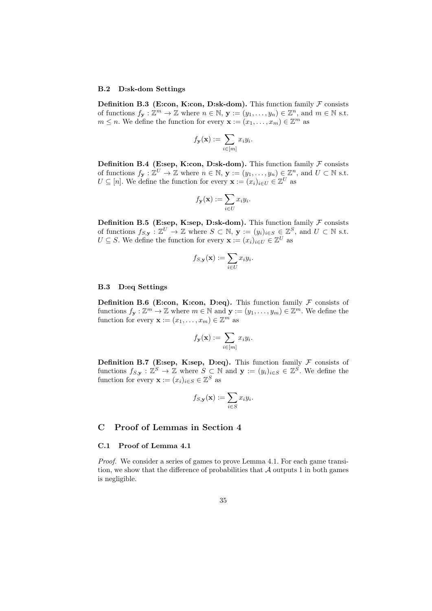#### **B.2 D:sk-dom Settings**

**Definition B.3 (E:con, K:con, D:sk-dom).** This function family *F* consists of functions  $f_{\mathbf{y}} : \mathbb{Z}^m \to \mathbb{Z}$  where  $n \in \mathbb{N}$ ,  $\mathbf{y} := (y_1, \dots, y_n) \in \mathbb{Z}^n$ , and  $m \in \mathbb{N}$  s.t.  $m \leq n$ . We define the function for every  $\mathbf{x} := (x_1, \dots, x_m) \in \mathbb{Z}^m$  as

$$
f_{\mathbf{y}}(\mathbf{x}) := \sum_{i \in [m]} x_i y_i.
$$

**Definition B.4 (E:sep, K:con, D:sk-dom).** This function family  $\mathcal F$  consists of functions  $f_{\mathbf{y}} : \mathbb{Z}^U \to \mathbb{Z}$  where  $n \in \mathbb{N}$ ,  $\mathbf{y} := (y_1, \dots, y_n) \in \mathbb{Z}^n$ , and  $U \subset \mathbb{N}$  s.t.  $U \subseteq [n]$ . We define the function for every  $\mathbf{x} := (x_i)_{i \in U} \in \mathbb{Z}^U$  as

$$
f_{\mathbf{y}}(\mathbf{x}) := \sum_{i \in U} x_i y_i.
$$

**Definition B.5 (E:sep, K:sep, D:sk-dom).** This function family  $\mathcal F$  consists of functions  $f_{S, \mathbf{y}} : \mathbb{Z}^U \to \mathbb{Z}$  where  $S \subset \mathbb{N}$ ,  $\mathbf{y} := (y_i)_{i \in S} \in \mathbb{Z}^S$ , and  $U \subset \mathbb{N}$  s.t.  $U \subseteq S$ . We define the function for every  $\mathbf{x} := (x_i)_{i \in U} \in \mathbb{Z}^U$  as

$$
f_{S,\mathbf{y}}(\mathbf{x}) := \sum_{i \in U} x_i y_i.
$$

#### **B.3 D:eq Settings**

**Definition B.6 (E:con, K:con, D:eq).** This function family  $F$  consists of functions  $f_{\mathbf{y}} : \mathbb{Z}^m \to \mathbb{Z}$  where  $m \in \mathbb{N}$  and  $\mathbf{y} := (y_1, \dots, y_m) \in \mathbb{Z}^m$ . We define the function for every  $\mathbf{x} := (x_1, \dots, x_m) \in \mathbb{Z}^m$  as

$$
f_{\mathbf{y}}(\mathbf{x}) := \sum_{i \in [m]} x_i y_i.
$$

**Definition B.7 (E:sep, K:sep, D:eq).** This function family *F* consists of functions  $f_{S,\mathbf{y}} : \mathbb{Z}^S \to \mathbb{Z}$  where  $S \subset \mathbb{N}$  and  $\mathbf{y} := (y_i)_{i \in S} \in \mathbb{Z}^S$ . We define the function for every  $\mathbf{x} := (x_i)_{i \in S} \in \mathbb{Z}^S$  as

$$
f_{S,\mathbf{y}}(\mathbf{x}) := \sum_{i \in S} x_i y_i.
$$

## **C Proof of Lemmas in Section 4**

#### **C.1 Proof of Lemma 4.1**

*Proof.* We consider a series of games to prove Lemma 4.1. For each game transition, we show that the difference of probabilities that  $A$  outputs 1 in both games is negligible.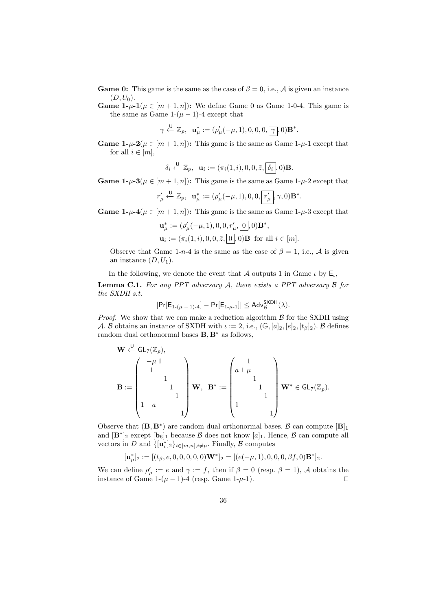**Game 0:** This game is the same as the case of  $\beta = 0$ , i.e.,  $\mathcal{A}$  is given an instance  $(D, U_0)$ .

**Game 1-** $\mu$ -1( $\mu \in [m+1,n]$ ): We define Game 0 as Game 1-0-4. This game is the same as Game  $1-(\mu-1)-4$  except that

$$
\gamma \stackrel{\mathbf{U}}{\leftarrow} \mathbb{Z}_p, \ \mathbf{u}_{\mu}^* := (\rho_{\mu}'(-\mu, 1), 0, 0, 0, \boxed{\gamma}, 0) \mathbf{B}^*.
$$

**Game 1-** $\mu$ **-2**( $\mu \in [m+1,n]$ ): This game is the same as Game 1- $\mu$ -1 except that for all  $i \in [m]$ ,

$$
\delta_i \stackrel{\mathsf{U}}{\leftarrow} \mathbb{Z}_p, \ \mathbf{u}_i := (\pi_i(1,i), 0, 0, \tilde{z}, \boxed{\delta_i}, 0) \mathbf{B}.
$$

**Game 1-** $\mu$ **-3**( $\mu \in [m+1,n]$ ): This game is the same as Game 1- $\mu$ -2 except that

$$
r'_{\mu} \xleftarrow{\mathsf{U}} \mathbb{Z}_p, \ \mathbf{u}^*_{\mu} := (\rho'_{\mu}(-\mu, 1), 0, 0, \boxed{r'_{\mu}}, \gamma, 0) \mathbf{B}^*.
$$

**Game 1-** $\mu$ **-4**( $\mu \in [m+1,n]$ ): This game is the same as Game 1- $\mu$ -3 except that

$$
\mathbf{u}_{\mu}^* := (\rho_{\mu}'(-\mu, 1), 0, 0, r_{\mu}', [0], 0)\mathbf{B}^*,
$$
  

$$
\mathbf{u}_i := (\pi_i(1, i), 0, 0, \tilde{z}, [0], 0)\mathbf{B} \text{ for all } i \in [m].
$$

Observe that Game 1-*n*-4 is the same as the case of  $\beta = 1$ , i.e., *A* is given an instance  $(D, U_1)$ .

In the following, we denote the event that  $A$  outputs 1 in Game  $\iota$  by  $E_{\iota}$ ,

**Lemma C.1.** *For any PPT adversary A, there exists a PPT adversary B for the SXDH s.t.*

$$
|\Pr[E_{1-(\mu-1)-4}] - \Pr[E_{1-\mu-1}]| \leq \mathsf{Adv}_{\mathcal{B}}^{\mathsf{SXDH}}(\lambda).
$$

*Proof.* We show that we can make a reduction algorithm *B* for the SXDH using *A*. *B* obtains an instance of SXDH with  $\iota := 2$ , i.e.,  $(\mathbb{G}, [a]_2, [e]_2, [t_\beta]_2)$ . *B* defines random dual orthonormal bases **B***,* **B***∗* as follows,

$$
\mathbf{W} \stackrel{\bigcup}{\leftarrow} \mathsf{GL}_7(\mathbb{Z}_p),
$$
\n
$$
\mathbf{B} := \begin{pmatrix} -\mu & 1 & & & \\ 1 & & & & \\ & 1 & & & \\ & & 1 & & \\ 1 & -a & & 1 \end{pmatrix} \mathbf{W}, \ \mathbf{B}^* := \begin{pmatrix} 1 & & & & \\ a & 1 & & & & \\ & & 1 & & & \\ & & & 1 & & \\ & & & 1 & & \\ & & & & 1 \end{pmatrix} \mathbf{W}^* \in \mathsf{GL}_7(\mathbb{Z}_p).
$$

Observe that  $(\mathbf{B}, \mathbf{B}^*)$  are random dual orthonormal bases.  $\beta$  can compute  $[\mathbf{B}]_1$ and  $[\mathbf{B}^*]_2$  except  $[\mathbf{b}_6]_1$  because  $\mathcal B$  does not know  $[a]_1$ . Hence,  $\mathcal B$  can compute all vectors in *D* and  $\{[\mathbf{u}_i^*]_2\}_{i \in [m,n], i \neq \mu}$ . Finally, *B* computes

$$
[\mathbf{u}_{\mu}^*]_2 := [(t_{\beta}, e, 0, 0, 0, 0, 0)\mathbf{W}^*]_2 = [(e(-\mu, 1), 0, 0, 0, \beta f, 0)\mathbf{B}^*]_2.
$$

We can define  $\rho'_{\mu} := e$  and  $\gamma := f$ , then if  $\beta = 0$  (resp.  $\beta = 1$ ), *A* obtains the instance of Game  $1-(\mu-1)-4$  (resp. Game  $1-\mu-1$ ).  $□$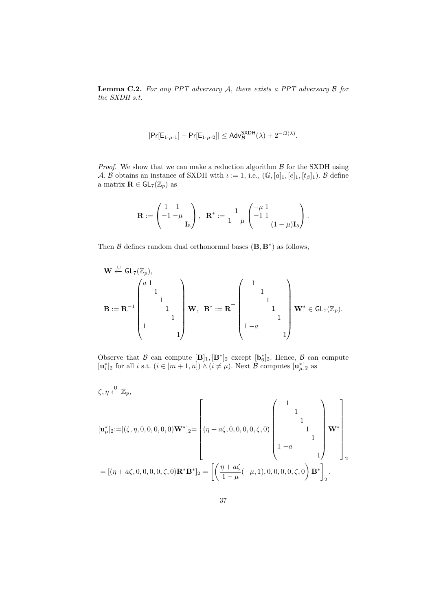**Lemma C.2.** *For any PPT adversary A, there exists a PPT adversary B for the SXDH s.t.*

$$
|\text{Pr}[E_{1-\mu\text{-}1}]-\text{Pr}[E_{1-\mu\text{-}2}]|\leq \text{Adv}_{\mathcal{B}}^{\text{SXDH}}(\lambda)+2^{-\varOmega(\lambda)}.
$$

*Proof.* We show that we can make a reduction algorithm *B* for the SXDH using *A*. *B* obtains an instance of SXDH with  $\iota := 1$ , i.e.,  $(\mathbb{G}, [a]_1, [e]_1, [t_\beta]_1)$ . *B* define a matrix **R**  $\in$  **GL**<sub>7</sub>( $\mathbb{Z}_p$ ) as

$$
\mathbf{R} := \begin{pmatrix} 1 & 1 \\ -1 & -\mu \\ & \mathbf{I}_5 \end{pmatrix}, \ \ \mathbf{R}^* := \frac{1}{1-\mu} \begin{pmatrix} -\mu & 1 \\ -1 & 1 \\ & (1-\mu)\mathbf{I}_5 \end{pmatrix}.
$$

Then *B* defines random dual orthonormal bases (**B***,* **B***<sup>∗</sup>* ) as follows,

$$
\mathbf{W} \stackrel{\mathsf{U}}{\leftarrow} \mathsf{GL}_7(\mathbb{Z}_p),
$$
\n
$$
\mathbf{B} := \mathbf{R}^{-1} \begin{pmatrix} a & 1 \\ & 1 \\ & & 1 \\ & & 1 \\ 1 & & 1 \end{pmatrix} \mathbf{W}, \ \ \mathbf{B}^* := \mathbf{R}^\top \begin{pmatrix} 1 & & & & \\ & 1 & & & \\ & & 1 & & \\ & & & 1 & \\ 1 & & & & 1 \end{pmatrix} \mathbf{W}^* \in \text{GL}_7(\mathbb{Z}_p).
$$

Observe that  $\mathcal{B}$  can compute  $[\mathbf{B}]_1$ ,  $[\mathbf{B}^*]_2$  except  $[\mathbf{b}_6^*]_2$ . Hence,  $\mathcal{B}$  can compute  $[\mathbf{u}_i^*]_2$  for all *i* s.t.  $(i \in [m+1, n]) \wedge (i \neq \mu)$ . Next *B* computes  $[\mathbf{u}_\mu^*]_2$  as

$$
\zeta, \eta \stackrel{\text{U}}{\leftarrow} \mathbb{Z}_p,
$$
\n
$$
[\mathbf{u}_{\mu}^*]_2 := [(\zeta, \eta, 0, 0, 0, 0, 0, 0, \mathbf{W}^*]_2 = \begin{bmatrix} \eta + a\zeta, 0, 0, 0, 0, \zeta, 0 \end{bmatrix} \begin{bmatrix} 1 \\ 1 \\ 1 \\ 1 \end{bmatrix} \mathbf{W}^* \begin{bmatrix} 1 \\ 1 \\ 1 \end{bmatrix}
$$
\n
$$
= [(\eta + a\zeta, 0, 0, 0, 0, 0, \zeta, 0) \mathbf{R}^* \mathbf{B}^*]_2 = \left[ \left( \frac{\eta + a\zeta}{1 - \mu} (-\mu, 1), 0, 0, 0, 0, \zeta, 0 \right) \mathbf{B}^* \right]_2.
$$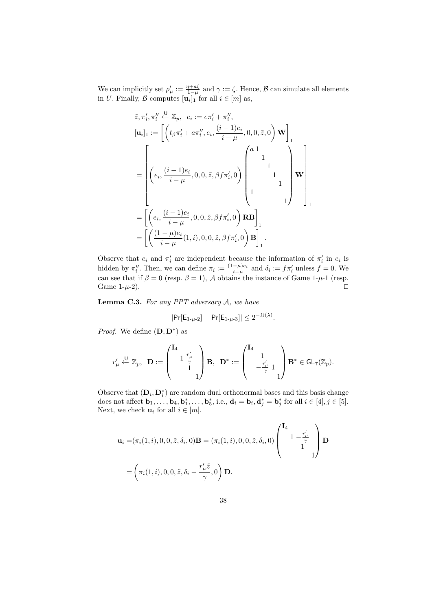We can implicitly set  $\rho'_{\mu} := \frac{\eta + a\zeta}{1 - \mu}$  and  $\gamma := \zeta$ . Hence, *B* can simulate all elements in *U*. Finally, *B* computes  $[\mathbf{u}_i]_1$  for all  $i \in [m]$  as,

$$
\tilde{z}, \pi'_i, \pi''_i \stackrel{\text{L}}{\leftarrow} \mathbb{Z}_p, \ e_i := e\pi'_i + \pi''_i,
$$
\n
$$
[\mathbf{u}_i]_1 := \left[ \left( t_\beta \pi'_i + a\pi''_i, e_i, \frac{(i-1)e_i}{i-\mu}, 0, 0, \tilde{z}, 0 \right) \mathbf{W} \right]_1
$$
\n
$$
= \left[ \left( e_i, \frac{(i-1)e_i}{i-\mu}, 0, 0, \tilde{z}, \beta f \pi'_i, 0 \right) \begin{pmatrix} a & 1 & 1 \\ & 1 & 1 \\ & & 1 \\ 1 & & & 1 \end{pmatrix} \mathbf{W} \right]_1
$$
\n
$$
= \left[ \left( e_i, \frac{(i-1)e_i}{i-\mu}, 0, 0, \tilde{z}, \beta f \pi'_i, 0 \right) \mathbf{R} \mathbf{B} \right]_1
$$
\n
$$
= \left[ \left( \frac{(1-\mu)e_i}{i-\mu}(1, i), 0, 0, \tilde{z}, \beta f \pi'_i, 0 \right) \mathbf{B} \right]_1.
$$

Observe that  $e_i$  and  $\pi'_i$  are independent because the information of  $\pi'_i$  in  $e_i$  is hidden by  $\pi''_i$ . Then, we can define  $\pi_i := \frac{(1-\mu)e_i}{i-\mu}$  $\frac{-\mu}{i-\mu}$  and  $\delta_i := f\pi'_i$  unless  $f = 0$ . We can see that if  $\beta = 0$  (resp.  $\beta = 1$ ), *A* obtains the instance of Game 1- $\mu$ -1 (resp. Game 1-*µ*-2). *⊓⊔*

**Lemma C.3.** *For any PPT adversary A, we have*

$$
|\Pr[E_{1-\mu-2}] - \Pr[E_{1-\mu-3}]| \leq 2^{-\Omega(\lambda)}
$$
.

*Proof.* We define (**D***,* **D***∗* ) as

$$
r'_{\mu} \xleftarrow{\mathsf{U}} \mathbb{Z}_p, \ \ \mathbf{D} := \begin{pmatrix} \mathbf{I}_4 & & \\ & 1 \ \frac{r'_{\mu}}{\gamma} \\ & & 1 \end{pmatrix} \mathbf{B}, \ \ \mathbf{D}^* := \begin{pmatrix} \mathbf{I}_4 & & \\ & 1 & \\ & -\frac{r'_{\mu}}{\gamma} & 1 \\ & & 1 \end{pmatrix} \mathbf{B}^* \in \mathrm{GL}_7(\mathbb{Z}_p).
$$

Observe that  $(D_i, D_i^*)$  are random dual orthonormal bases and this basis change does not affect  $\mathbf{b}_1,\ldots,\mathbf{b}_4,\mathbf{b}_1^*,\ldots,\mathbf{b}_5^*$ , i.e.,  $\mathbf{d}_i = \mathbf{b}_i, \mathbf{d}_j^* = \mathbf{b}_j^*$  for all  $i \in [4], j \in [5]$ . Next, we check  $\mathbf{u}_i$  for all  $i \in [m]$ .

$$
\mathbf{u}_{i} = (\pi_{i}(1, i), 0, 0, \tilde{z}, \delta_{i}, 0) \mathbf{B} = (\pi_{i}(1, i), 0, 0, \tilde{z}, \delta_{i}, 0) \begin{pmatrix} \mathbf{I}_{4} & & \\ & 1 - \frac{r_{\mu}'}{\gamma} \\ & & 1 \end{pmatrix} \mathbf{D}
$$
\n
$$
= \left( \pi_{i}(1, i), 0, 0, \tilde{z}, \delta_{i} - \frac{r_{\mu}' \tilde{z}}{\gamma}, 0 \right) \mathbf{D}.
$$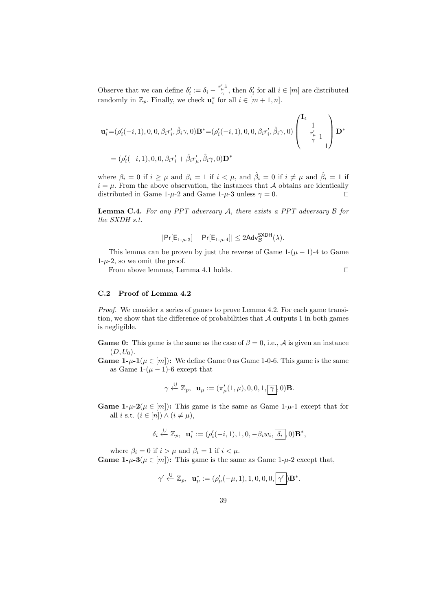Observe that we can define  $\delta'_i := \delta_i - \frac{r'_i \tilde{z}}{\gamma}$ , then  $\delta'_i$  for all  $i \in [m]$  are distributed randomly in  $\mathbb{Z}_p$ . Finally, we check  $\mathbf{u}_i^*$  for all  $i \in [m+1, n]$ .

$$
\begin{aligned} \mathbf{u}^*_i =& (\rho'_i(-i,1),0,0,\beta_ir'_i,\hat{\beta}_i\gamma,0)\mathbf{B}^* = & (\rho'_i(-i,1),0,0,\beta_ir'_i,\hat{\beta}_i\gamma,0) \left(\begin{matrix} \mathbf{I}_4 & \\ & 1 \\ & \frac{r'_\mu}{\gamma} & 1 \\ & & 1 \end{matrix}\right) \mathbf{D}^* \\ =& (\rho'_i(-i,1),0,0,\beta_ir'_i+\hat{\beta}_ir'_\mu,\hat{\beta}_i\gamma,0)\mathbf{D}^* \end{aligned}
$$

where  $\beta_i = 0$  if  $i \ge \mu$  and  $\beta_i = 1$  if  $i < \mu$ , and  $\hat{\beta}_i = 0$  if  $i \ne \mu$  and  $\hat{\beta}_i = 1$  if  $i = \mu$ . From the above observation, the instances that *A* obtains are identically distributed in Game 1- $\mu$ -2 and Game 1- $\mu$ -3 unless  $\gamma = 0$ .  $\Box$ 

**Lemma C.4.** *For any PPT adversary A, there exists a PPT adversary B for the SXDH s.t.*

$$
|\mathsf{Pr}[\mathsf{E}_{1-\mu\text{-}3}]-\mathsf{Pr}[\mathsf{E}_{1-\mu\text{-}4}]|\leq 2\mathsf{Adv}_{\mathcal{B}}^{\mathsf{XXDH}}(\lambda).
$$

This lemma can be proven by just the reverse of Game  $1-(\mu-1)-4$  to Game  $1-\mu-2$ , so we omit the proof.

From above lemmas, Lemma 4.1 holds. *⊓⊔*

## **C.2 Proof of Lemma 4.2**

*Proof.* We consider a series of games to prove Lemma 4.2. For each game transition, we show that the difference of probabilities that *A* outputs 1 in both games is negligible.

**Game 0:** This game is the same as the case of  $\beta = 0$ , i.e.,  $\mathcal{A}$  is given an instance  $(D, U_0)$ .

**Game 1-** $\mu$ **-1**( $\mu \in [m]$ ): We define Game 0 as Game 1-0-6. This game is the same as Game  $1-(\mu-1)-6$  except that

$$
\gamma \xleftarrow{\mathsf{U}} \mathbb{Z}_p, \ \ \mathbf{u}_{\mu} := (\pi_{\mu}'(1,\mu), 0, 0, 1, \boxed{\gamma}, 0)\mathbf{B}.
$$

**Game 1-** $\mu$ -2( $\mu \in [m]$ ): This game is the same as Game 1- $\mu$ -1 except that for all *i* s.t.  $(i \in [n]) \wedge (i \neq \mu)$ ,

$$
\delta_i \stackrel{\mathbf{U}}{\leftarrow} \mathbb{Z}_p, \ \ \mathbf{u}_i^* := (\rho_i'(-i, 1), 1, 0, -\beta_i w_i, \boxed{\delta_i}, 0) \mathbf{B}^*,
$$

where  $\beta_i = 0$  if  $i > \mu$  and  $\beta_i = 1$  if  $i < \mu$ .

**Game 1-** $\mu$ -3( $\mu \in [m]$ ): This game is the same as Game 1- $\mu$ -2 except that,

$$
\gamma' \stackrel{\mathsf{U}}{\leftarrow} \mathbb{Z}_p, \ \mathbf{u}^*_{\mu} := (\rho'_{\mu}(-\mu, 1), 1, 0, 0, 0, \boxed{\gamma'}) \mathbf{B}^*.
$$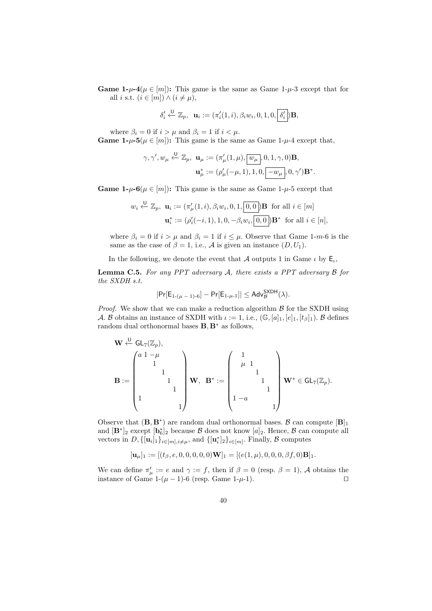**Game 1-** $\mu$ -4 $(\mu \in [m])$ : This game is the same as Game 1- $\mu$ -3 except that for all *i* s.t.  $(i \in [m]) \wedge (i \neq \mu)$ ,

$$
\delta_i' \stackrel{\mathsf{U}}{\leftarrow} \mathbb{Z}_p, \ \ \mathbf{u}_i := (\pi_i'(1,i), \beta_i w_i, 0, 1, 0, \boxed{\delta_i'} \mathbf{B},
$$

where  $\beta_i = 0$  if  $i > \mu$  and  $\beta_i = 1$  if  $i < \mu$ .

**Game 1-** $\mu$ -5( $\mu \in [m]$ ): This game is the same as Game 1- $\mu$ -4 except that,

$$
\gamma, \gamma', w_{\mu} \stackrel{\mathbf{U}}{\leftarrow} \mathbb{Z}_p, \ \mathbf{u}_{\mu} := (\pi_{\mu}'(1,\mu), \boxed{w_{\mu}}, 0, 1, \gamma, 0) \mathbf{B},
$$

$$
\mathbf{u}_{\mu}^* := (\rho_{\mu}'(-\mu, 1), 1, 0, \boxed{-w_{\mu}}, 0, \gamma') \mathbf{B}^*
$$

*.*

**Game 1-** $\mu$ -**6**( $\mu \in [m]$ ): This game is the same as Game 1- $\mu$ -5 except that

$$
w_i \stackrel{\mathbf{U}}{\leftarrow} \mathbb{Z}_p, \ \mathbf{u}_i := (\pi'_\mu(1, i), \beta_i w_i, 0, 1, \boxed{0, 0} ) \mathbf{B} \text{ for all } i \in [m]
$$

$$
\mathbf{u}_i^* := (\rho'_i(-i, 1), 1, 0, -\beta_i w_i, \boxed{0, 0} ) \mathbf{B}^* \text{ for all } i \in [n],
$$

where  $\beta_i = 0$  if  $i > \mu$  and  $\beta_i = 1$  if  $i \leq \mu$ . Observe that Game 1-*m*-6 is the same as the case of  $\beta = 1$ , i.e., *A* is given an instance  $(D, U_1)$ .

In the following, we denote the event that  $A$  outputs 1 in Game  $\iota$  by  $E_{\iota}$ ,

**Lemma C.5.** *For any PPT adversary A, there exists a PPT adversary B for the SXDH s.t.*

$$
|\Pr[E_{1-(\mu-1)-6}] - \Pr[E_{1-\mu-1}]| \leq Adv_{\mathcal{B}}^{SXDH}(\lambda).
$$

*Proof.* We show that we can make a reduction algorithm  $\beta$  for the SXDH using *A*. *B* obtains an instance of SXDH with  $\iota := 1$ , i.e.,  $(\mathbb{G}, [a]_1, [e]_1, [t_\beta]_1)$ . *B* defines random dual orthonormal bases **B***,* **B***∗* as follows,

$$
\mathbf{W} \stackrel{\cup}{\leftarrow} \mathsf{GL}_7(\mathbb{Z}_p),
$$
\n
$$
\mathbf{B} := \begin{pmatrix} a & 1 & -\mu & & & \\ & 1 & & & & \\ & & 1 & & & \\ & & & 1 & & \\ 1 & & & & 1 \end{pmatrix} \mathbf{W}, \ \mathbf{B}^* := \begin{pmatrix} 1 & & & & & \\ & \mu & 1 & & & \\ & & & 1 & & \\ & & & & 1 & \\ & & & & 1 & \\ 1 & -a & & & 1 \end{pmatrix} \mathbf{W}^* \in \mathsf{GL}_7(\mathbb{Z}_p).
$$

Observe that  $(\mathbf{B}, \mathbf{B}^*)$  are random dual orthonormal bases.  $\beta$  can compute  $[\mathbf{B}]_1$ and  $[\mathbf{B}^*]_2$  except  $[\mathbf{b}_6^*]_2$  because  $\mathcal B$  does not know  $[a]_2$ . Hence,  $\mathcal B$  can compute all vectors in  $D$ ,  $\{[\mathbf{u}_i]_1\}_{i \in [m], i \neq \mu}$ , and  $\{[\mathbf{u}_i^*]_2\}_{i \in [m]}$ . Finally,  $\beta$  computes

$$
[\mathbf{u}_{\mu}]_1 := [(t_{\beta}, e, 0, 0, 0, 0, 0)\mathbf{W}]_1 = [(e(1, \mu), 0, 0, 0, \beta f, 0)\mathbf{B}]_1.
$$

We can define  $\pi'_{\mu} := e$  and  $\gamma := f$ , then if  $\beta = 0$  (resp.  $\beta = 1$ ), *A* obtains the instance of Game  $1-(\mu - 1)-6$  (resp. Game  $1-\mu-1$ ).  $□$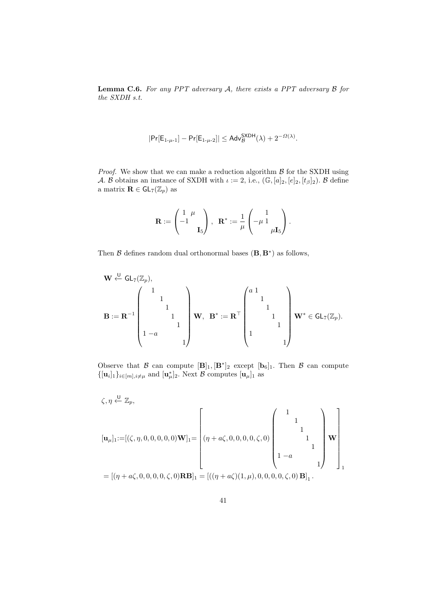**Lemma C.6.** *For any PPT adversary A, there exists a PPT adversary B for the SXDH s.t.*

$$
|\Pr[E_{1-\mu-1}] - \Pr[E_{1-\mu-2}]| \leq \text{Adv}_{\mathcal{B}}^{\text{SXDH}}(\lambda) + 2^{-\Omega(\lambda)}.
$$

*Proof.* We show that we can make a reduction algorithm *B* for the SXDH using *A*. *B* obtains an instance of SXDH with  $\iota := 2$ , i.e.,  $(\mathbb{G}, [a]_2, [e]_2, [t_\beta]_2)$ . *B* define a matrix  $\mathbf{R} \in \mathsf{GL}_7(\mathbb{Z}_p)$  as

$$
\mathbf{R} := \begin{pmatrix} 1 & \mu \\ -1 & \\ & \mathbf{I}_5 \end{pmatrix}, \ \ \mathbf{R}^* := \frac{1}{\mu} \begin{pmatrix} 1 & \\ -\mu 1 & \\ & \mu \mathbf{I}_5 \end{pmatrix}.
$$

Then *B* defines random dual orthonormal bases (**B***,* **B***<sup>∗</sup>* ) as follows,

$$
\mathbf{W} \stackrel{\bigcup}{\leftarrow} \text{GL}_7(\mathbb{Z}_p),
$$
\n
$$
\mathbf{B} := \mathbf{R}^{-1} \begin{pmatrix} 1 & & & & & \\ & 1 & & & & \\ & & 1 & & & \\ & & & 1 & & \\ 1 & -a & & & 1 \\ & & & & & 1 \end{pmatrix} \mathbf{W}, \quad \mathbf{B}^* := \mathbf{R}^\top \begin{pmatrix} a & 1 & & & & \\ & 1 & & & & \\ & & 1 & & & \\ & & & 1 & & \\ & & & & 1 & \\ & & & & & 1 \end{pmatrix} \mathbf{W}^* \in GL_7(\mathbb{Z}_p).
$$

Observe that *B* can compute  $[\mathbf{B}]_1, [\mathbf{B}^*]_2$  except  $[\mathbf{b}_6]_1$ . Then *B* can compute  $\{[\mathbf{u}_i]_1\}_{i \in [m], i \neq \mu}$  and  $[\mathbf{u}_\mu^*]_2$ . Next *B* computes  $[\mathbf{u}_\mu]_1$  as

$$
\zeta, \eta \stackrel{\text{U}}{\leftarrow} \mathbb{Z}_p,
$$
\n
$$
[\mathbf{u}_{\mu}]_1 := [(\zeta, \eta, 0, 0, 0, 0, 0, 0, 0)\mathbf{W}]_1 = \begin{bmatrix} \eta + a\zeta, 0, 0, 0, 0, \zeta, 0 \end{bmatrix} \begin{bmatrix} 1 \\ 1 \\ 1 \\ 1 \end{bmatrix} \mathbf{W} \begin{bmatrix} 1 \\ 1 \\ 1 \end{bmatrix}
$$
\n
$$
= [(\eta + a\zeta, 0, 0, 0, 0, \zeta, 0)\mathbf{RB}]_1 = [((\eta + a\zeta)(1, \mu), 0, 0, 0, 0, \zeta, 0)\mathbf{B}]_1.
$$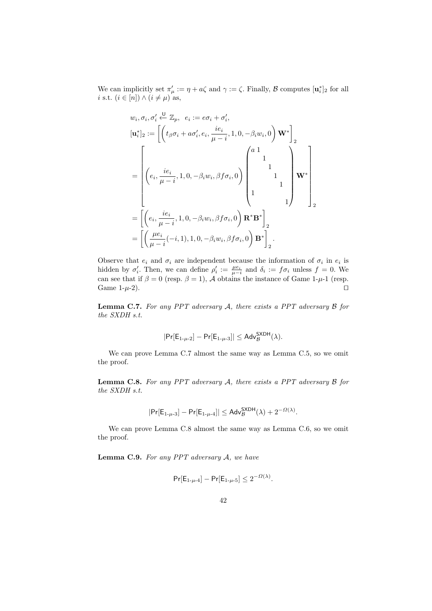We can implicitly set  $\pi'_{\mu} := \eta + a\zeta$  and  $\gamma := \zeta$ . Finally, *B* computes  $[\mathbf{u}_i^*]_2$  for all  $i$  s.t.  $(i \in [n]) \wedge (i \neq \mu)$  as,

$$
w_i, \sigma_i, \sigma'_i \stackrel{\text{U}}{\leftarrow} \mathbb{Z}_p, \quad e_i := e\sigma_i + \sigma'_i,
$$
\n
$$
[\mathbf{u}_i^*]_2 := \left[ \left( t_\beta \sigma_i + a\sigma'_i, e_i, \frac{ie_i}{\mu - i}, 1, 0, -\beta_i w_i, 0 \right) \mathbf{W}^* \right]_2
$$
\n
$$
= \left[ \left( e_i, \frac{ie_i}{\mu - i}, 1, 0, -\beta_i w_i, \beta f\sigma_i, 0 \right) \begin{pmatrix} a & 1 & 1 & 1 \\ & 1 & & 1 \\ & & 1 & 1 \\ 1 & & & 1 \end{pmatrix} \mathbf{W}^* \right]_2
$$
\n
$$
= \left[ \left( e_i, \frac{ie_i}{\mu - i}, 1, 0, -\beta_i w_i, \beta f\sigma_i, 0 \right) \mathbf{R}^* \mathbf{B}^* \right]_2
$$
\n
$$
= \left[ \left( \frac{\mu e_i}{\mu - i} (-i, 1), 1, 0, -\beta_i w_i, \beta f\sigma_i, 0 \right) \mathbf{B}^* \right]_2.
$$

Observe that  $e_i$  and  $\sigma_i$  are independent because the information of  $\sigma_i$  in  $e_i$  is hidden by  $\sigma'_i$ . Then, we can define  $\rho'_i := \frac{\mu e_i}{\mu - i}$  and  $\delta_i := f \sigma_i$  unless  $f = 0$ . We can see that if  $\beta = 0$  (resp.  $\beta = 1$ ), *A* obtains the instance of Game 1- $\mu$ -1 (resp. Game 1-*µ*-2). *⊓⊔*

**Lemma C.7.** *For any PPT adversary A, there exists a PPT adversary B for the SXDH s.t.*

$$
|\mathsf{Pr}[E_{1-\mu\text{-}2}]-\mathsf{Pr}[E_{1-\mu\text{-}3}]|\leq \mathsf{Adv}_{\mathcal{B}}^{\mathsf{SNDH}}(\lambda).
$$

We can prove Lemma C.7 almost the same way as Lemma C.5, so we omit the proof.

**Lemma C.8.** *For any PPT adversary A, there exists a PPT adversary B for the SXDH s.t.*

$$
|\Pr[\mathsf{E}_{1-\mu\text{-}3}] - \Pr[\mathsf{E}_{1-\mu\text{-}4}]| \leq \mathsf{Adv}_{\mathcal{B}}^{\mathsf{SXDH}}(\lambda) + 2^{-\varOmega(\lambda)}.
$$

We can prove Lemma C.8 almost the same way as Lemma C.6, so we omit the proof.

**Lemma C.9.** *For any PPT adversary A, we have*

$$
\Pr[\mathsf{E}_{1-\mu-4}] - \Pr[\mathsf{E}_{1-\mu-5}] \le 2^{-\Omega(\lambda)}.
$$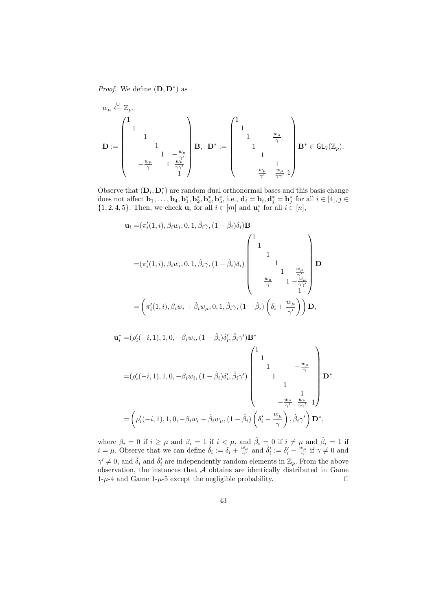*Proof.* We define (**D***,* **D***∗* ) as

$$
w_\mu \stackrel{\mathrm{U}}{\leftarrow} \mathbb{Z}_p,
$$
  

$$
\mathbf{D} := \begin{pmatrix} 1 & & & & \\ & 1 & & & & \\ & & 1 & & & \\ & & & 1 & -\frac{w_\mu}{\gamma'}} & \\ & & & & 1 & \frac{w_\mu}{\gamma'} \\ & & & & & 1 \end{pmatrix} \mathbf{B}, \ \ \mathbf{D}^* := \begin{pmatrix} 1 & & & & & \\ & 1 & & & & & \\ & 1 & & & & & \\ & & 1 & & & & \\ & & & 1 & & & \\ & & & & 1 & & \\ & & & & & \frac{w_\mu}{\gamma'} - \frac{w_\mu}{\gamma\gamma'} & 1 \end{pmatrix} \mathbf{B}^* \in \mathrm{GL}_7(\mathbb{Z}_p).
$$

Observe that  $(D_i, D_i^*)$  are random dual orthonormal bases and this basis change does not affect  $\mathbf{b}_1,\ldots,\mathbf{b}_4,\mathbf{b}_1^*,\mathbf{b}_2^*,\mathbf{b}_4^*,\mathbf{b}_5^*,$  i.e.,  $\mathbf{d}_i = \mathbf{b}_i, \mathbf{d}_j^* = \mathbf{b}_j^*$  for all  $i \in [4], j \in$  $\{1, 2, 4, 5\}$ . Then, we check  $\mathbf{u}_i$  for all  $i \in [m]$  and  $\mathbf{u}_i^*$  for all  $i \in [n]$ ,

**u***<sup>i</sup>* =(*π ′ i* (1*, i*)*, βiw<sup>i</sup> ,* 0*,* 1*, β*ˆ *<sup>i</sup>γ,*(1 *− β*ˆ *<sup>i</sup>*)*δi*)**B** =(*π ′ i* (1*, i*)*, βiw<sup>i</sup> ,* 0*,* 1*, β*ˆ *<sup>i</sup>γ,*(1 *− β*ˆ *<sup>i</sup>*)*δi*) 1 1 1 1 1 *w<sup>µ</sup> γ′ w<sup>µ</sup> γ* 1 *− w<sup>µ</sup> γγ′* 1 **D** = ( *π ′ i* (1*, i*)*, βiw<sup>i</sup>* + *β*ˆ *<sup>i</sup>wµ,* 0*,* 1*, β*ˆ *<sup>i</sup>γ,*(1 *− β*ˆ *i*) ( *δ<sup>i</sup>* + *w<sup>µ</sup> γ ′* )) **<sup>D</sup>***,*

**u** *∗ <sup>i</sup>* =(*ρ ′ i* (*−i,* 1)*,* 1*,* 0*, −βiw<sup>i</sup> ,*(1 *− β*ˆ *<sup>i</sup>*)*δ ′ i , β*ˆ *iγ ′* )**B** *∗* =(*ρ ′ i* (*−i,* 1)*,* 1*,* 0*, −βiw<sup>i</sup> ,*(1 *− β*ˆ *<sup>i</sup>*)*δ ′ i , β*ˆ *iγ ′* ) 1 1 1 *− w<sup>µ</sup> γ* 1 1 1 *− w<sup>µ</sup> γ′ w<sup>µ</sup> γγ′* 1 **D***∗* = ( *ρ ′ i* (*−i,* 1)*,* 1*,* 0*, −βiw<sup>i</sup> − β*ˆ *<sup>i</sup>wµ,*(1 *− β*ˆ *i*) ( *δ ′ <sup>i</sup> − w<sup>µ</sup> γ* ) *, β*ˆ *iγ ′* ) **D***∗ ,*

where  $\beta_i = 0$  if  $i \geq \mu$  and  $\beta_i = 1$  if  $i < \mu$ , and  $\hat{\beta}_i = 0$  if  $i \neq \mu$  and  $\hat{\beta}_i = 1$  if  $i = \mu$ . Observe that we can define  $\tilde{\delta}_i := \delta_i + \frac{w_\mu}{\gamma}$  and  $\tilde{\delta}'_i := \delta'_i - \frac{w_\mu}{\gamma}$  if  $\gamma \neq 0$  and  $\gamma' \neq 0$ , and  $\tilde{\delta}_i$  and  $\tilde{\delta}'_i$  are independently random elements in  $\mathbb{Z}_p$ . From the above observation, the instances that *A* obtains are identically distributed in Game 1-*µ*-4 and Game 1-*µ*-5 except the negligible probability. *⊓⊔*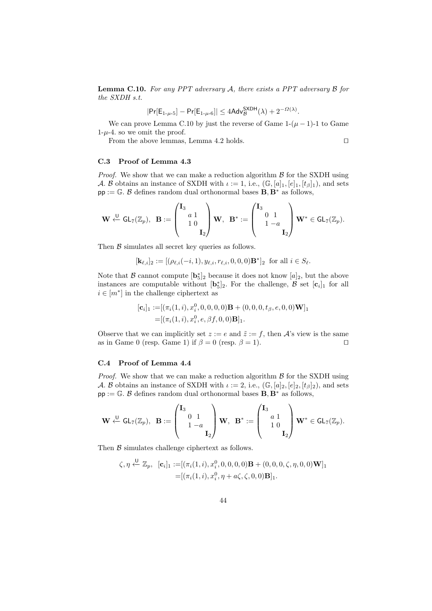**Lemma C.10.** *For any PPT adversary A, there exists a PPT adversary B for the SXDH s.t.*

$$
|\Pr[\mathsf{E}_{1\text{-}\mu\text{-}5}]-\Pr[\mathsf{E}_{1\text{-}\mu\text{-}6}]|\leq 4\mathsf{Adv}_{\mathcal{B}}^{\mathsf{SXDH}}(\lambda)+2^{-\varOmega(\lambda)}.
$$

We can prove Lemma C.10 by just the reverse of Game  $1-(\mu-1)-1$  to Game 1-*µ*-4. so we omit the proof.

From the above lemmas, Lemma 4.2 holds. *⊓⊔*

$$
\Box
$$

### **C.3 Proof of Lemma 4.3**

*Proof.* We show that we can make a reduction algorithm  $\beta$  for the SXDH using *A*. *B* obtains an instance of SXDH with  $\iota := 1$ , i.e.,  $(\mathbb{G}, [a]_1, [e]_1, [t_\beta]_1)$ , and sets  $pp := \mathbb{G}$ . *B* defines random dual orthonormal bases  $\mathbf{B}, \mathbf{B}^*$  as follows,

$$
\mathbf{W} \stackrel{\mathsf{U}}{\leftarrow} \mathsf{GL}_7(\mathbb{Z}_p), \ \ \mathbf{B} := \begin{pmatrix} \mathbf{I}_3 & & \\ & a & 1 \\ & & 1 & \\ & & & \mathbf{I}_2 \end{pmatrix} \mathbf{W}, \ \ \mathbf{B}^* := \begin{pmatrix} \mathbf{I}_3 & & \\ & 0 & 1 \\ & & 1 - a \\ & & & \mathbf{I}_2 \end{pmatrix} \mathbf{W}^* \in \mathsf{GL}_7(\mathbb{Z}_p).
$$

Then  $\beta$  simulates all secret key queries as follows.

$$
[\mathbf{k}_{\ell,i}]_2 := [(\rho_{\ell,i}(-i,1), y_{\ell,i}, r_{\ell,i}, 0, 0, 0)\mathbf{B}^*]_2 \text{ for all } i \in S_{\ell}.
$$

Note that  $\mathcal{B}$  cannot compute  $[\mathbf{b}_5^*]_2$  because it does not know  $[a]_2$ , but the above instances are computable without  $[\mathbf{b}_5^{\ast}]_2$ . For the challenge,  $\beta$  set  $[\mathbf{c}_i]_1$  for all  $i \in [m^*]$  in the challenge ciphertext as

$$
\begin{aligned} [\mathbf{c}_i]_1 := & [(\pi_i(1,i), x_i^0, 0, 0, 0, 0) \mathbf{B} + (0, 0, 0, t_\beta, e, 0, 0) \mathbf{W}]_1 \\ = & [(\pi_i(1,i), x_i^0, e, \beta f, 0, 0) \mathbf{B}]_1. \end{aligned}
$$

Observe that we can implicitly set  $z := e$  and  $\tilde{z} := f$ , then *A*'s view is the same as in Game 0 (resp. Game 1) if  $\beta = 0$  (resp.  $\beta = 1$ ).  $\Box$ 

## **C.4 Proof of Lemma 4.4**

*Proof.* We show that we can make a reduction algorithm  $\beta$  for the SXDH using *A*. *B* obtains an instance of SXDH with  $\iota := 2$ , i.e.,  $(\mathbb{G}, [a]_2, [e]_2, [t_\beta]_2)$ , and sets  $pp := \mathbb{G}$ . *B* defines random dual orthonormal bases  $\mathbf{B}, \mathbf{B}^*$  as follows,

$$
\mathbf{W} \stackrel{\mathsf{U}}{\leftarrow} \mathsf{GL}_7(\mathbb{Z}_p), \ \ \mathbf{B} := \begin{pmatrix} \mathbf{I}_3 & & \\ & 0 & 1 \\ & & 1 - a \\ & & & \mathbf{I}_2 \end{pmatrix} \mathbf{W}, \ \ \mathbf{B}^* := \begin{pmatrix} \mathbf{I}_3 & & \\ & a & 1 \\ & & 10 \\ & & & \mathbf{I}_2 \end{pmatrix} \mathbf{W}^* \in \mathsf{GL}_7(\mathbb{Z}_p).
$$

Then  $\beta$  simulates challenge ciphertext as follows.

$$
\zeta, \eta \stackrel{\mathbf{U}}{\leftarrow} \mathbb{Z}_p, \quad [\mathbf{c}_i]_1 := [(\pi_i(1, i), x_i^0, 0, 0, 0, 0) \mathbf{B} + (0, 0, 0, \zeta, \eta, 0, 0) \mathbf{W}]_1
$$
  
= [(\pi\_i(1, i), x\_i^0, \eta + a\zeta, \zeta, 0, 0) \mathbf{B}]\_1.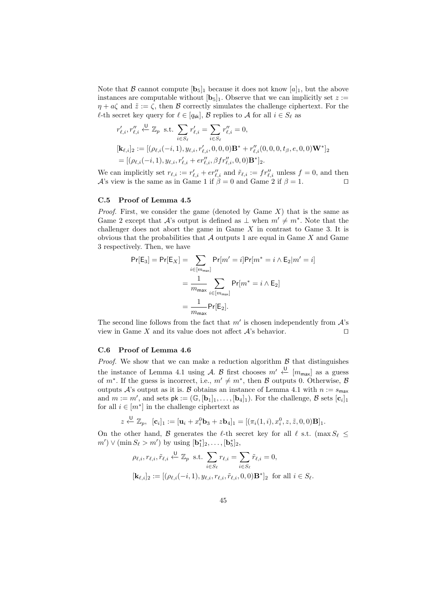Note that *B* cannot compute  $[\mathbf{b}_5]_1$  because it does not know  $[a]_1$ , but the above instances are computable without  $[\mathbf{b}_5]_1$ . Observe that we can implicitly set  $z :=$  $\eta + a\zeta$  and  $\tilde{z} := \zeta$ , then *B* correctly simulates the challenge ciphertext. For the  $l$ -th secret key query for  $l \in [q_{sk}]$ ,  $\mathcal{B}$  replies to  $\mathcal{A}$  for all  $i \in S_{\ell}$  as

$$
r'_{\ell,i}, r''_{\ell,i} \stackrel{\text{U}}{\leftarrow} \mathbb{Z}_p \text{ s.t. } \sum_{i \in S_{\ell}} r'_{\ell,i} = \sum_{i \in S_{\ell}} r''_{\ell,i} = 0,
$$
  
\n
$$
[\mathbf{k}_{\ell,i}]_2 := [(\rho_{\ell,i}(-i,1), y_{\ell,i}, r'_{\ell,i}, 0, 0, 0)]\mathbf{B}^* + r''_{\ell,i}(0, 0, 0, t_\beta, e, 0, 0)\mathbf{W}^*]_2
$$
  
\n
$$
= [(\rho_{\ell,i}(-i,1), y_{\ell,i}, r'_{\ell,i} + er''_{\ell,i}, \beta fr''_{\ell,i}, 0, 0)\mathbf{B}^*]_2.
$$

We can implicitly set  $r_{\ell,i} := r'_{\ell,i} + er''_{\ell,i}$  and  $\tilde{r}_{\ell,i} := fr''_{\ell,i}$  unless  $f = 0$ , and then *A*'s view is the same as in Game 1 if  $\beta = 0$  and Game 2 if  $\beta = 1$ .  $\Box$ 

#### **C.5 Proof of Lemma 4.5**

*Proof.* First, we consider the game (denoted by Game *X*) that is the same as Game 2 except that *A*'s output is defined as  $\perp$  when  $m' \neq m^*$ . Note that the challenger does not abort the game in Game *X* in contrast to Game 3. It is obvious that the probabilities that *A* outputs 1 are equal in Game *X* and Game 3 respectively. Then, we have

$$
\Pr[\mathsf{E}_3] = \Pr[\mathsf{E}_X] = \sum_{i \in [m_{\text{max}}]} \Pr[m' = i] \Pr[m^* = i \land \mathsf{E}_2 | m' = i]
$$

$$
= \frac{1}{m_{\text{max}}} \sum_{i \in [m_{\text{max}}]} \Pr[m^* = i \land \mathsf{E}_2]
$$

$$
= \frac{1}{m_{\text{max}}} \Pr[\mathsf{E}_2].
$$

The second line follows from the fact that *m′* is chosen independently from *A*'s view in Game *X* and its value does not affect *A*'s behavior. *⊓⊔*

#### **C.6 Proof of Lemma 4.6**

*Proof.* We show that we can make a reduction algorithm  $\beta$  that distinguishes the instance of Lemma 4.1 using *A*. *B* first chooses  $m' \stackrel{\cup}{\leftarrow} [m_{\text{max}}]$  as a guess of  $m^*$ . If the guess is incorrect, i.e.,  $m' \neq m^*$ , then *B* outputs 0. Otherwise, *B* outputs *A*'s output as it is. *B* obtains an instance of Lemma 4.1 with  $n := s_{\text{max}}$ and  $m := m'$ , and sets  $pk := (\mathbb{G}, [\mathbf{b}_1]_1, \ldots, [\mathbf{b}_4]_1)$ . For the challenge,  $\mathcal{B}$  sets  $[\mathbf{c}_i]_1$ for all  $i \in [m^*]$  in the challenge ciphertext as

$$
z \stackrel{\mathbf{U}}{\leftarrow} \mathbb{Z}_p, \ \ [\mathbf{c}_i]_1 := [\mathbf{u}_i + x_i^0 \mathbf{b}_3 + z \mathbf{b}_4]_1 = [(\pi_i(1, i), x_i^0, z, \tilde{z}, 0, 0) \mathbf{B}]_1.
$$

On the other hand, *B* generates the *l*-th secret key for all  $\ell$  s.t. (max  $S_{\ell} \leq$  $m'$ )  $\vee$  (min  $S_{\ell} > m'$ ) by using  $[\mathbf{b}_1^*]_2, \ldots, [\mathbf{b}_5^*]_2$ ,

$$
\rho_{\ell,i}, r_{\ell,i}, \tilde{r}_{\ell,i} \stackrel{\text{U}}{\leftarrow} \mathbb{Z}_p \text{ s.t.} \sum_{i \in S_\ell} r_{\ell,i} = \sum_{i \in S_\ell} \tilde{r}_{\ell,i} = 0,
$$
  
\n
$$
[\mathbf{k}_{\ell,i}]_2 := [(\rho_{\ell,i}(-i, 1), y_{\ell,i}, r_{\ell,i}, \tilde{r}_{\ell,i}, 0, 0) \mathbf{B}^*]_2 \text{ for all } i \in S_\ell.
$$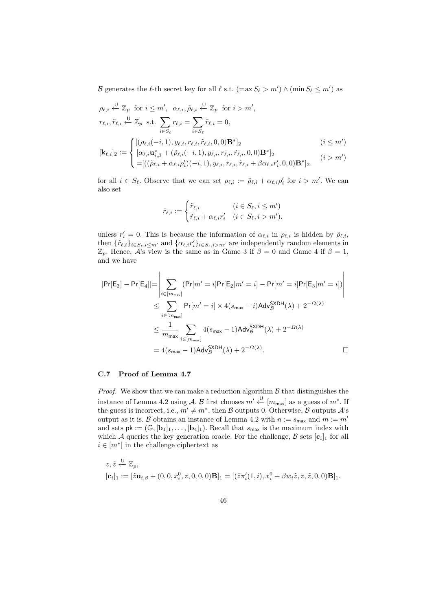*B* generates the  $\ell$ -th secret key for all  $\ell$  s.t. (max  $S_{\ell} > m'$ )  $\wedge$  (min  $S_{\ell} \leq m'$ ) as

$$
\rho_{\ell,i} \stackrel{\text{U}}{\leftarrow} \mathbb{Z}_p \text{ for } i \leq m', \ \alpha_{\ell,i}, \tilde{\rho}_{\ell,i} \stackrel{\text{U}}{\leftarrow} \mathbb{Z}_p \text{ for } i > m',
$$
\n
$$
r_{\ell,i}, \tilde{r}_{\ell,i} \stackrel{\text{U}}{\leftarrow} \mathbb{Z}_p \text{ s.t.} \sum_{i \in S_{\ell}} r_{\ell,i} = \sum_{i \in S_{\ell}} \tilde{r}_{\ell,i} = 0,
$$
\n
$$
[\mathbf{k}_{\ell,i}]_2 := \begin{cases} [(\rho_{\ell,i}(-i,1), y_{\ell,i}, r_{\ell,i}, \tilde{r}_{\ell,i}, 0, 0) \mathbf{B}^*]_2 & (i \leq m')\\ [\alpha_{\ell,i} \mathbf{u}_{i,\beta}^* + (\tilde{\rho}_{\ell,i}(-i,1), y_{\ell,i}, r_{\ell,i}, \tilde{r}_{\ell,i}, 0, 0) \mathbf{B}^*]_2 & (i > m')\\ = [((\tilde{\rho}_{\ell,i} + \alpha_{\ell,i} \rho_i')(-i,1), y_{\ell,i}, r_{\ell,i}, \tilde{r}_{\ell,i} + \beta \alpha_{\ell,i} r_i', 0, 0) \mathbf{B}^*]_2. & (i > m') \end{cases}
$$

for all  $i \in S_{\ell}$ . Observe that we can set  $\rho_{\ell,i} := \tilde{\rho}_{\ell,i} + \alpha_{\ell,i} \rho_i'$  for  $i > m'$ . We can also set

$$
\bar{r}_{\ell,i} := \begin{cases}\n\tilde{r}_{\ell,i} & (i \in S_\ell, i \le m') \\
\tilde{r}_{\ell,i} + \alpha_{\ell,i}r_i' & (i \in S_\ell, i > m').\n\end{cases}
$$

unless  $r'_i = 0$ . This is because the information of  $\alpha_{\ell,i}$  in  $\rho_{\ell,i}$  is hidden by  $\tilde{\rho}_{\ell,i}$ , then  $\{\tilde{r}_{\ell,i}\}_{i \in S_{\ell}, i \leq m'}$  and  $\{\alpha_{\ell,i}r_i'\}_{i \in S_{\ell}, i > m'}$  are independently random elements in  $\mathbb{Z}_p$ . Hence, *A*'s view is the same as in Game 3 if  $\beta = 0$  and Game 4 if  $\beta = 1$ , and we have

$$
|\Pr[\mathsf{E}_3] - \Pr[\mathsf{E}_4]| = \left| \sum_{i \in [m_{\text{max}}]} (\Pr[m' = i] \Pr[\mathsf{E}_2 | m' = i] - \Pr[m' = i] \Pr[\mathsf{E}_3 | m' = i]) \right|
$$
  

$$
\leq \sum_{i \in [m_{\text{max}}]} \Pr[m' = i] \times 4(s_{\text{max}} - i) \text{Adv}_{\mathcal{B}}^{\text{SXDH}}(\lambda) + 2^{-\Omega(\lambda)}
$$
  

$$
\leq \frac{1}{m_{\text{max}}} \sum_{i \in [m_{\text{max}}]} 4(s_{\text{max}} - 1) \text{Adv}_{\mathcal{B}}^{\text{SXDH}}(\lambda) + 2^{-\Omega(\lambda)}
$$
  

$$
= 4(s_{\text{max}} - 1) \text{Adv}_{\mathcal{B}}^{\text{SXDH}}(\lambda) + 2^{-\Omega(\lambda)}.
$$

## **C.7 Proof of Lemma 4.7**

*Proof.* We show that we can make a reduction algorithm *B* that distinguishes the instance of Lemma 4.2 using *A*. *B* first chooses  $m' \stackrel{\cup}{\leftarrow} [m_{\text{max}}]$  as a guess of  $m^*$ . If the guess is incorrect, i.e.,  $m' \neq m^*$ , then *B* outputs 0. Otherwise, *B* outputs  $\mathcal{A}$ 's output as it is. *B* obtains an instance of Lemma 4.2 with  $n := s_{\text{max}}$  and  $m := m'$ and sets  $pk := (\mathbb{G}, [\mathbf{b}_1]_1, \ldots, [\mathbf{b}_4]_1)$ . Recall that  $s_{\text{max}}$  is the maximum index with which *A* queries the key generation oracle. For the challenge,  $\beta$  sets  $[\mathbf{c}_i]_1$  for all  $i \in [m^*]$  in the challenge ciphertext as

$$
z, \tilde{z} \stackrel{\mathbf{U}}{\leftarrow} \mathbb{Z}_p, [\mathbf{c}_i]_1 := [\tilde{z}\mathbf{u}_{i,\beta} + (0, 0, x_i^0, z, 0, 0, 0)\mathbf{B}]_1 = [(\tilde{z}\pi'_i(1, i), x_i^0 + \beta w_i \tilde{z}, z, \tilde{z}, 0, 0)\mathbf{B}]_1.
$$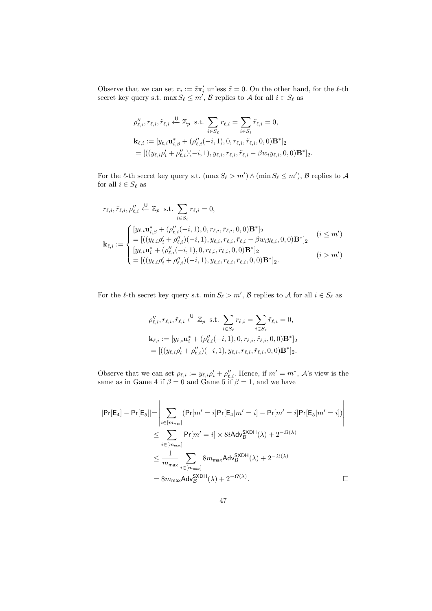Observe that we can set  $\pi_i := \tilde{z}\pi'_i$  unless  $\tilde{z} = 0$ . On the other hand, for the  $\ell$ -th secret key query s.t. max  $S_{\ell} \leq m'$ ,  $\beta$  replies to  $\mathcal A$  for all  $i \in S_{\ell}$  as

$$
\rho''_{\ell,i}, r_{\ell,i}, \tilde{r}_{\ell,i} \stackrel{\mathsf{U}}{\leftarrow} \mathbb{Z}_p \text{ s.t.} \sum_{i \in S_{\ell}} r_{\ell,i} = \sum_{i \in S_{\ell}} \tilde{r}_{\ell,i} = 0,
$$
  
\n
$$
\mathbf{k}_{\ell,i} := [y_{\ell,i} \mathbf{u}_{i,\beta}^* + (\rho''_{\ell,i}(-i,1), 0, r_{\ell,i}, \tilde{r}_{\ell,i}, 0, 0) \mathbf{B}^*]_2
$$
  
\n
$$
= [((y_{\ell,i} \rho'_i + \rho''_{\ell,i})(-i, 1), y_{\ell,i}, r_{\ell,i}, \tilde{r}_{\ell,i} - \beta w_i y_{\ell,i}, 0, 0) \mathbf{B}^*]_2.
$$

For the  $\ell$ -th secret key query s.t.  $(\max S_{\ell} > m') \wedge (\min S_{\ell} \le m')$ ,  $\beta$  replies to  $\mathcal A$ for all  $i \in S_\ell$  as

$$
r_{\ell,i}, \bar{r}_{\ell,i}, \rho''_{\ell,i} \stackrel{\text{U}}{\leftarrow} \mathbb{Z}_p \text{ s.t.} \sum_{i \in S_{\ell}} r_{\ell,i} = 0,
$$
  
\n
$$
\mathbf{k}_{\ell,i} := \begin{cases} [y_{\ell,i} \mathbf{u}_{i,\beta}^* + (\rho''_{\ell,i}(-i,1), 0, r_{\ell,i}, \bar{r}_{\ell,i}, 0, 0) \mathbf{B}^*]_2 \\ = [((y_{\ell,i} \rho'_i + \rho''_{\ell,i})(-i,1), y_{\ell,i}, r_{\ell,i}, \bar{r}_{\ell,i} - \beta w_i y_{\ell,i}, 0, 0) \mathbf{B}^*]_2 \\ [y_{\ell,i} \mathbf{u}_i^* + (\rho''_{\ell,i}(-i,1), 0, r_{\ell,i}, \bar{r}_{\ell,i}, 0, 0) \mathbf{B}^*]_2 \\ = [((y_{\ell,i} \rho'_i + \rho''_{\ell,i})(-i,1), y_{\ell,i}, r_{\ell,i}, \bar{r}_{\ell,i}, 0, 0) \mathbf{B}^*]_2. \end{cases} (i > m')
$$

For the  $\ell$ -th secret key query s.t. min  $S_{\ell} > m'$ ,  $\beta$  replies to  $\mathcal A$  for all  $i \in S_{\ell}$  as

$$
\rho''_{\ell,i}, r_{\ell,i}, \tilde{r}_{\ell,i} \stackrel{\text{U}}{\leftarrow} \mathbb{Z}_p \text{ s.t.} \sum_{i \in S_{\ell}} r_{\ell,i} = \sum_{i \in S_{\ell}} \tilde{r}_{\ell,i} = 0,
$$
  

$$
\mathbf{k}_{\ell,i} := [y_{\ell,i} \mathbf{u}_i^* + (\rho''_{\ell,i}(-i,1), 0, r_{\ell,i}, \tilde{r}_{\ell,i}, 0, 0) \mathbf{B}^*]_2
$$
  

$$
= [((y_{\ell,i} \rho'_i + \rho''_{\ell,i})(-i,1), y_{\ell,i}, r_{\ell,i}, \tilde{r}_{\ell,i}, 0, 0) \mathbf{B}^*]_2.
$$

Observe that we can set  $\rho_{\ell,i} := y_{\ell,i} \rho'_i + \rho''_{\ell,i}$ . Hence, if  $m' = m^*$ , *A*'s view is the same as in Game 4 if  $\beta = 0$  and Game 5 if  $\beta = 1$ , and we have

$$
|\Pr[E_4] - \Pr[E_5]| = \left| \sum_{i \in [m_{\text{max}}]} (\Pr[m' = i] \Pr[E_4 | m' = i] - \Pr[m' = i] \Pr[E_5 | m' = i]) \right|
$$
  

$$
\leq \sum_{i \in [m_{\text{max}}]} \Pr[m' = i] \times 8i \text{Adv}_{\mathcal{B}}^{\text{SXDH}}(\lambda) + 2^{-\Omega(\lambda)}
$$
  

$$
\leq \frac{1}{m_{\text{max}}} \sum_{i \in [m_{\text{max}}]} 8m_{\text{max}} \text{Adv}_{\mathcal{B}}^{\text{SXDH}}(\lambda) + 2^{-\Omega(\lambda)}
$$
  

$$
= 8m_{\text{max}} \text{Adv}_{\mathcal{B}}^{\text{SXDH}}(\lambda) + 2^{-\Omega(\lambda)}.
$$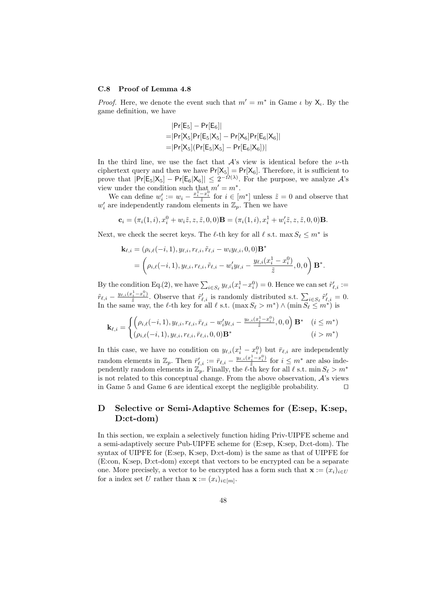#### **C.8 Proof of Lemma 4.8**

*Proof.* Here, we denote the event such that  $m' = m^*$  in Game *ι* by  $X_i$ . By the game definition, we have

$$
|Pr[E_5] - Pr[E_6]|
$$
  
=|Pr[X\_5]Pr[E\_5|X\_5] - Pr[X\_6]Pr[E\_6|X\_6]|  
=|Pr[X\_5](Pr[E\_5|X\_5] - Pr[E\_6|X\_6])|

In the third line, we use the fact that  $A$ 's view is identical before the *ν*-th ciphertext query and then we have  $Pr[X_5] = Pr[X_6]$ . Therefore, it is sufficient to prove that  $|\Pr[\mathsf{E}_5|\mathsf{X}_5] - \Pr[\mathsf{E}_6|\mathsf{X}_6]| \leq 2^{-\Omega(\lambda)}$ . For the purpose, we analyze  $\mathcal{A}$ 's view under the condition such that  $m' = m^*$ .

We can define  $w'_i := w_i - \frac{x_i^1 - x_i^0}{\tilde{z}}$  for  $i \in [m^*]$  unless  $\tilde{z} = 0$  and observe that  $w'_{i}$  are independently random elements in  $\mathbb{Z}_{p}$ . Then we have

$$
\mathbf{c}_i = (\pi_i(1,i), x_i^0 + w_i \tilde{z}, z, \tilde{z}, 0, 0)\mathbf{B} = (\pi_i(1,i), x_i^1 + w_i' \tilde{z}, z, \tilde{z}, 0, 0)\mathbf{B}.
$$

Next, we check the secret keys. The  $\ell$ -th key for all  $\ell$  s.t. max  $S_{\ell} \leq m^*$  is

$$
\mathbf{k}_{\ell,i} = (\rho_{i,\ell}(-i,1), y_{\ell,i}, r_{\ell,i}, \tilde{r}_{\ell,i} - w_i y_{\ell,i}, 0, 0) \mathbf{B}^* = \left( \rho_{i,\ell}(-i,1), y_{\ell,i}, r_{\ell,i}, \tilde{r}_{\ell,i} - w_i' y_{\ell,i} - \frac{y_{\ell,i}(x_i^1 - x_i^0)}{\tilde{z}}, 0, 0 \right) \mathbf{B}^*.
$$

By the condition Eq.(2), we have  $\sum_{i \in S_{\ell}} y_{\ell,i}(x_i^1 - x_i^0) = 0$ . Hence we can set  $\tilde{r}'_{\ell,i} :=$ *i∈S<sup>ℓ</sup>*  $\tilde{r}_{\ell,i} = \frac{y_{\ell,i}(x_i^1 - x_i^0)}{\tilde{z}}$  $\frac{z_i - x_i}{z}$ . Observe that  $\tilde{r}'_{\ell,i}$  is randomly distributed s.t.  $\sum_{i \in S_\ell} \tilde{r}'_{\ell,i} = 0$ . In the same way, the  $\ell$ -th key for all  $\ell$  s.t. (max  $S_{\ell} > m^*$ )  $\wedge$  (min  $S_{\ell} \leq m^*$ ) is

$$
\mathbf{k}_{\ell,i} = \begin{cases} \left( \rho_{i,\ell}(-i,1), y_{\ell,i}, r_{\ell,i}, \bar{r}_{\ell,i} - w_i' y_{\ell,i} - \frac{y_{\ell,i}(x_i^1 - x_i^0)}{\tilde{z}}, 0, 0 \right) \mathbf{B}^* & (i \le m^*)\\ \left( \rho_{i,\ell}(-i,1), y_{\ell,i}, r_{\ell,i}, \bar{r}_{\ell,i}, 0, 0 \right) \mathbf{B}^* & (i > m^*) \end{cases}
$$

In this case, we have no condition on  $y_{\ell,i}(x_i^1 - x_i^0)$  but  $\bar{r}_{\ell,i}$  are independently random elements in  $\mathbb{Z}_p$ . Then  $\bar{r}'_{\ell,i} := \bar{r}_{\ell,i} - \frac{y_{\ell,i}(x_i^1 - x_i^0)}{\tilde{z}}$  $\frac{\dot{z}_i - x_i}{\tilde{z}}$  for  $i \leq m^*$  are also independently random elements in  $\mathbb{Z}_p$ . Finally, the  $\ell$ -th key for all  $\ell$  s.t. min  $S_{\ell} > m^*$ is not related to this conceptual change. From the above observation, *A*'s views in Game 5 and Game 6 are identical except the negligible probability. *⊓⊔*

## **D Selective or Semi-Adaptive Schemes for (E:sep, K:sep, D:ct-dom)**

In this section, we explain a selectively function hiding Priv-UIPFE scheme and a semi-adaptively secure Pub-UIPFE scheme for (E:sep, K:sep, D:ct-dom). The syntax of UIPFE for (E:sep, K:sep, D:ct-dom) is the same as that of UIPFE for (E:con, K:sep, D:ct-dom) except that vectors to be encrypted can be a separate one. More precisely, a vector to be encrypted has a form such that  $\mathbf{x} := (x_i)_{i \in U}$ for a index set *U* rather than  $\mathbf{x} := (x_i)_{i \in [m]}$ .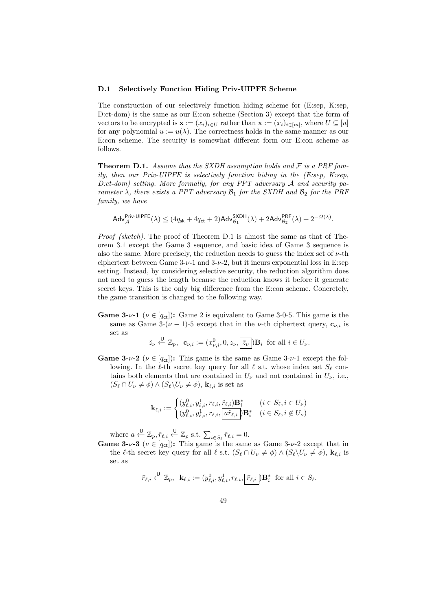#### **D.1 Selectively Function Hiding Priv-UIPFE Scheme**

The construction of our selectively function hiding scheme for (E:sep, K:sep, D:ct-dom) is the same as our E:con scheme (Section 3) except that the form of vectors to be encrypted is  $\mathbf{x} := (x_i)_{i \in U}$  rather than  $\mathbf{x} := (x_i)_{i \in [m]}$ , where  $U \subseteq [u]$ for any polynomial  $u := u(\lambda)$ . The correctness holds in the same manner as our E:con scheme. The security is somewhat different form our E:con scheme as follows.

**Theorem D.1.** *Assume that the SXDH assumption holds and F is a PRF family, then our Priv-UIPFE is selectively function hiding in the (E:sep, K:sep, D:ct-dom) setting. More formally, for any PPT adversary A and security parameter λ, there exists a PPT adversary B*<sup>1</sup> *for the SXDH and B*<sup>2</sup> *for the PRF family, we have*

$$
\mathsf{Adv}_{\mathcal{A}}^{\mathsf{Priv-UIPFE}}(\lambda) \leq (4q_{\mathsf{sk}} + 4q_{\mathsf{ct}} + 2) \mathsf{Adv}_{\mathcal{B}_1}^{\mathsf{SXDH}}(\lambda) + 2\mathsf{Adv}_{\mathcal{B}_2}^{\mathsf{PRF}}(\lambda) + 2^{-\varOmega(\lambda)}.
$$

*Proof (sketch).* The proof of Theorem D.1 is almost the same as that of Theorem 3.1 except the Game 3 sequence, and basic idea of Game 3 sequence is also the same. More precisely, the reduction needs to guess the index set of  $\nu$ -th ciphertext between Game  $3-\nu-1$  and  $3-\nu-2$ , but it incurs exponential loss in E:sep setting. Instead, by considering selective security, the reduction algorithm does not need to guess the length because the reduction knows it before it generate secret keys. This is the only big difference from the E:con scheme. Concretely, the game transition is changed to the following way.

**Game 3-** $\nu$ **-1** ( $\nu \in [q_{ct}]$ ): Game 2 is equivalent to Game 3-0-5. This game is the same as Game 3-( $\nu$  − 1)-5 except that in the  $\nu$ -th ciphertext query,  $\mathbf{c}_{\nu,i}$  is set as

$$
\tilde{z}_{\nu} \stackrel{\mathsf{U}}{\leftarrow} \mathbb{Z}_p, \ \mathbf{c}_{\nu,i} := (x_{\nu,i}^0, 0, z_{\nu}, \boxed{\tilde{z}_{\nu}}) \mathbf{B}_i \ \text{ for all } i \in U_{\nu}.
$$

**Game 3-** $\nu$ -2 ( $\nu \in [q_{ct}]$ ): This game is the same as Game 3- $\nu$ -1 except the following. In the  $\ell$ -th secret key query for all  $\ell$  s.t. whose index set  $S_{\ell}$  contains both elements that are contained in  $U_{\nu}$  and not contained in  $U_{\nu}$ , i.e.,  $(S_{\ell} \cap U_{\nu} \neq \phi) \wedge (S_{\ell} \backslash U_{\nu} \neq \phi), \mathbf{k}_{\ell,i}$  is set as

$$
\mathbf{k}_{\ell,i} := \begin{cases} (y_{\ell,i}^0, y_{\ell,i}^1, r_{\ell,i}, \tilde{r}_{\ell,i}) \mathbf{B}_i^* & (i \in S_\ell, i \in U_\nu) \\ (y_{\ell,i}^0, y_{\ell,i}^1, r_{\ell,i}, \boxed{a\tilde{r}_{\ell,i}}) \mathbf{B}_i^* & (i \in S_\ell, i \notin U_\nu) \end{cases}
$$

where  $a \stackrel{\text{U}}{\leftarrow} \mathbb{Z}_p$ ,  $\tilde{r}_{\ell,i} \stackrel{\text{U}}{\leftarrow} \mathbb{Z}_p$  s.t.  $\sum_{i \in S_\ell} \tilde{r}_{\ell,i} = 0$ .

**Game 3-***ν*-3 ( $\nu \in [q_{ct}]$ ): This game is the same as Game 3-*ν*-2 except that in the  $\ell$ -th secret key query for all  $\ell$  s.t.  $(S_{\ell} \cap U_{\nu} \neq \phi) \wedge (S_{\ell} \setminus U_{\nu} \neq \phi)$ ,  $\mathbf{k}_{\ell,i}$  is set as

$$
\bar{r}_{\ell,i} \stackrel{\mathsf{U}}{\leftarrow} \mathbb{Z}_p, \ \ \mathbf{k}_{\ell,i} := (y_{\ell,i}^0, y_{\ell,i}^1, r_{\ell,i}, \overline{r_{\ell,i}}) \mathbf{B}_i^* \ \text{ for all } i \in S_\ell.
$$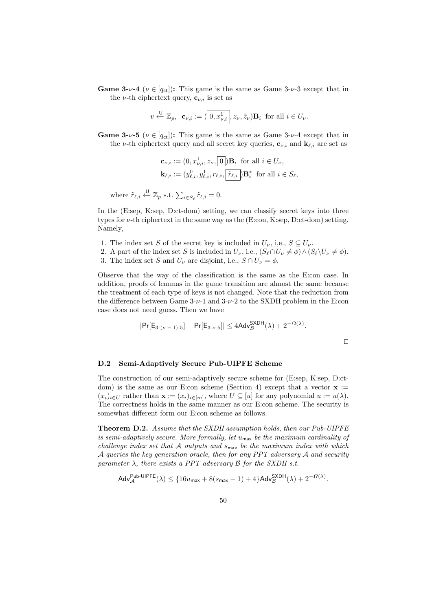**Game 3-** $\nu$ **-4** ( $\nu \in [q_{ct}]$ ): This game is the same as Game 3- $\nu$ -3 except that in the *ν*-th ciphertext query,  $\mathbf{c}_{\nu,i}$  is set as

$$
v \stackrel{\mathsf{U}}{\leftarrow} \mathbb{Z}_p, \ \mathbf{c}_{\nu,i} := \left( \boxed{0, x_{\nu,i}^1}, z_{\nu}, \tilde{z}_{\nu} \right) \mathbf{B}_i \ \text{ for all } i \in U_{\nu}.
$$

**Game 3-** $\nu$ **-5** ( $\nu \in [q_{ct}]$ ): This game is the same as Game 3- $\nu$ -4 except that in the *ν*-th ciphertext query and all secret key queries,  $\mathbf{c}_{\nu,i}$  and  $\mathbf{k}_{\ell,i}$  are set as

$$
\mathbf{c}_{\nu,i} := (0, x_{\nu,i}^1, z_{\nu}, \boxed{0}) \mathbf{B}_i \text{ for all } i \in U_{\nu},
$$
  

$$
\mathbf{k}_{\ell,i} := (y_{\ell,i}^0, y_{\ell,i}^1, r_{\ell,i}, \boxed{\tilde{r}_{\ell,i}}) \mathbf{B}_i^* \text{ for all } i \in S_{\ell},
$$

where  $\tilde{r}_{\ell,i} \stackrel{\text{U}}{\leftarrow} \mathbb{Z}_p$  s.t.  $\sum_{i \in S_\ell} \tilde{r}_{\ell,i} = 0$ .

In the (E:sep, K:sep, D:ct-dom) setting, we can classify secret keys into three types for  $\nu$ -th ciphertext in the same way as the (E:con, K:sep, D:ct-dom) setting. Namely,

- 1. The index set *S* of the secret key is included in  $U_{\nu}$ , i,e.,  $S \subseteq U_{\nu}$ .
- 2. A part of the index set *S* is included in  $U_{\nu}$ , i.e.,  $(S_{\ell} \cap U_{\nu} \neq \phi) \wedge (S_{\ell} \setminus U_{\nu} \neq \phi)$ .
- 3. The index set *S* and  $U_{\nu}$  are disjoint, i.e.,  $S \cap U_{\nu} = \phi$ .

Observe that the way of the classification is the same as the E:con case. In addition, proofs of lemmas in the game transition are almost the same because the treatment of each type of keys is not changed. Note that the reduction from the difference between Game  $3-\nu-1$  and  $3-\nu-2$  to the SXDH problem in the E:con case does not need guess. Then we have

$$
|\Pr[E_{3-(\nu-1)-5}] - \Pr[E_{3-\nu-5}]| \le 4\text{Adv}_{\mathcal{B}}^{\text{SXDH}}(\lambda) + 2^{-\Omega(\lambda)}.
$$

*⊓⊔*

### **D.2 Semi-Adaptively Secure Pub-UIPFE Scheme**

The construction of our semi-adaptively secure scheme for (E:sep, K:sep, D:ctdom) is the same as our E:con scheme (Section 4) except that a vector  $\mathbf{x}$  :=  $(x_i)_{i \in U}$  rather than  $\mathbf{x} := (x_i)_{i \in [m]}$ , where  $U \subseteq [u]$  for any polynomial  $u := u(\lambda)$ . The correctness holds in the same manner as our E:con scheme. The security is somewhat different form our E:con scheme as follows.

**Theorem D.2.** *Assume that the SXDH assumption holds, then our Pub-UIPFE is semi-adaptively secure. More formally, let u*max *be the maximum cardinality of challenge index set that A outputs and s*max *be the maximum index with which A queries the key generation oracle, then for any PPT adversary A and security parameter λ, there exists a PPT adversary B for the SXDH s.t.*

$$
\mathsf{Adv}_{\mathcal{A}}^{\mathsf{Pub-UIPFE}}(\lambda) \leq \{16u_{\max} + 8(s_{\max} - 1) + 4\} \mathsf{Adv}_{\mathcal{B}}^{\mathsf{SXDH}}(\lambda) + 2^{-\varOmega(\lambda)}.
$$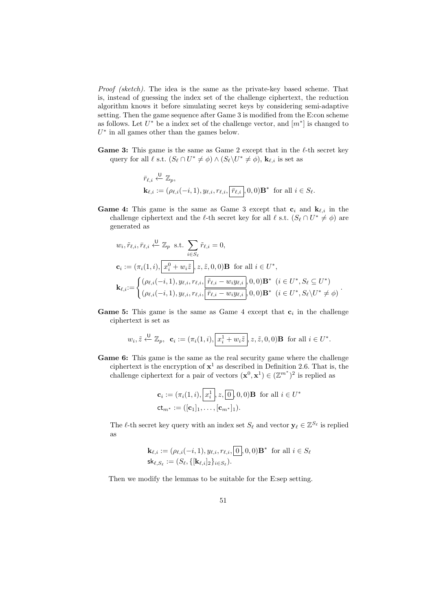*Proof (sketch).* The idea is the same as the private-key based scheme. That is, instead of guessing the index set of the challenge ciphertext, the reduction algorithm knows it before simulating secret keys by considering semi-adaptive setting. Then the game sequence after Game 3 is modified from the E:con scheme as follows. Let  $U^*$  be a index set of the challenge vector, and  $[m^*]$  is changed to *U ∗* in all games other than the games below.

**Game 3:** This game is the same as Game 2 except that in the *ℓ*-th secret key query for all  $\ell$  s.t.  $(S_{\ell} \cap U^* \neq \phi) \wedge (S_{\ell} \setminus U^* \neq \phi)$ ,  $\mathbf{k}_{\ell,i}$  is set as

$$
\begin{aligned}\n\bar{r}_{\ell,i} &\stackrel{\mathbf{U}}{\leftarrow} \mathbb{Z}_p, \\
\mathbf{k}_{\ell,i} &:= (\rho_{\ell,i}(-i,1), y_{\ell,i}, r_{\ell,i}, \boxed{\bar{r}_{\ell,i}}, 0, 0)\mathbf{B}^* \text{ for all } i \in S_{\ell}.\n\end{aligned}
$$

**Game 4:** This game is the same as Game 3 except that  $c_i$  and  $k_{\ell,i}$  in the challenge ciphertext and the  $\ell$ -th secret key for all  $\ell$  s.t.  $(S_{\ell} \cap U^* \neq \emptyset)$  are generated as

$$
w_i, \tilde{r}_{\ell,i}, \bar{r}_{\ell,i} \stackrel{\text{U}}{\leftarrow} \mathbb{Z}_p \text{ s.t. } \sum_{i \in S_{\ell}} \tilde{r}_{\ell,i} = 0,
$$
  

$$
\mathbf{c}_i := (\pi_i(1, i), \boxed{x_i^0 + w_i \tilde{z}} , z, \tilde{z}, 0, 0) \mathbf{B} \text{ for all } i \in U^*,
$$
  

$$
\mathbf{k}_{\ell,i} := \begin{cases} (\rho_{\ell,i}(-i, 1), y_{\ell,i}, r_{\ell,i}, \boxed{\tilde{r}_{\ell,i} - w_i y_{\ell,i}} , 0, 0) \mathbf{B}^* \ (i \in U^*, S_{\ell} \subseteq U^*)\\ (\rho_{\ell,i}(-i, 1), y_{\ell,i}, r_{\ell,i}, \boxed{\overline{r}_{\ell,i} - w_i y_{\ell,i}} , 0, 0) \mathbf{B}^* \ (i \in U^*, S_{\ell} \setminus U^* \neq \phi) \end{cases}.
$$

**Game 5:** This game is the same as Game 4 except that **c***<sup>i</sup>* in the challenge ciphertext is set as

$$
w_i, \tilde{z} \stackrel{\mathsf{U}}{\leftarrow} \mathbb{Z}_p, \ \mathbf{c}_i := (\pi_i(1, i), \boxed{x_i^1 + w_i \tilde{z}}, z, \tilde{z}, 0, 0) \mathbf{B} \text{ for all } i \in U^*.
$$

**Game 6:** This game is the same as the real security game where the challenge ciphertext is the encryption of  $x^1$  as described in Definition 2.6. That is, the challenge ciphertext for a pair of vectors  $(\mathbf{x}^0, \mathbf{x}^1) \in (\mathbb{Z}^{m^*})^2$  is replied as

$$
\mathbf{c}_i := (\pi_i(1,i), \boxed{x_i^1}, z, \boxed{0}, 0, 0) \mathbf{B} \text{ for all } i \in U^*
$$
  

$$
\mathbf{c} \mathbf{t}_{m^*} := (\llbracket \mathbf{c}_1 \rrbracket_1, \dots, \llbracket \mathbf{c}_{m^*} \rrbracket_1).
$$

The  $\ell$ -th secret key query with an index set  $S_{\ell}$  and vector  $\mathbf{y}_{\ell} \in \mathbb{Z}^{S_{\ell}}$  is replied as

$$
\mathbf{k}_{\ell,i} := (\rho_{\ell,i}(-i,1), y_{\ell,i}, r_{\ell,i}, \boxed{0}, 0, 0) \mathbf{B}^*
$$
 for all  $i \in S_{\ell}$   

$$
\mathsf{sk}_{\ell,S_{\ell}} := (S_{\ell}, \{[\mathbf{k}_{\ell,i}]_2\}_{i \in S_{\ell}}).
$$

Then we modify the lemmas to be suitable for the E:sep setting.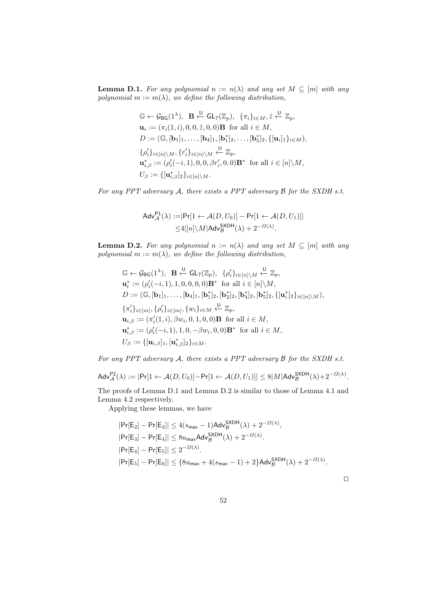**Lemma D.1.** For any polynomial  $n := n(\lambda)$  and any set  $M \subseteq [m]$  with any *polynomial*  $m := m(\lambda)$ *, we define the following distribution,* 

**U** 

$$
\mathbb{G} \leftarrow \mathcal{G}_{\text{BG}}(1^{\lambda}), \quad \mathbf{B} \leftarrow \mathsf{GL}_{7}(\mathbb{Z}_{p}), \quad \{\pi_{i}\}_{i \in M}, \tilde{z} \leftarrow \mathbb{Z}_{p},
$$
\n
$$
\mathbf{u}_{i} := (\pi_{i}(1, i), 0, 0, \tilde{z}, 0, 0) \mathbf{B} \text{ for all } i \in M,
$$
\n
$$
D := (\mathbb{G}, [\mathbf{b}_{1}]_{1}, \dots, [\mathbf{b}_{4}]_{1}, [\mathbf{b}_{1}^{*}]_{2}, \dots, [\mathbf{b}_{5}^{*}]_{2}, \{[\mathbf{u}_{i}]_{1}\}_{i \in M}),
$$
\n
$$
\{\rho_{i}'\}_{i \in [n] \setminus M}, \{r_{i}'\}_{i \in [n] \setminus M} \leftarrow \mathbb{Z}_{p},
$$
\n
$$
\mathbf{u}_{i,\beta}^{*} := (\rho_{i}'(-i, 1), 0, 0, \beta r_{i}', 0, 0) \mathbf{B}^{*} \text{ for all } i \in [n] \setminus M,
$$
\n
$$
U_{\beta} := \{[\mathbf{u}_{i,\beta}^{*}]_{2}\}_{i \in [n] \setminus M}.
$$

*For any PPT adversary A, there exists a PPT adversary B for the SXDH s.t.*

$$
\mathsf{Adv}_{\mathcal{A}}^{\mathsf{P1}}(\lambda) := |\mathsf{Pr}[1 \leftarrow \mathcal{A}(D, U_0)] - \mathsf{Pr}[1 \leftarrow \mathcal{A}(D, U_1)]|
$$
  
 
$$
\leq 4 |[n] \backslash M | \mathsf{Adv}_{\mathcal{B}}^{\mathsf{SXDH}}(\lambda) + 2^{-\Omega(\lambda)}.
$$

**Lemma D.2.** For any polynomial  $n := n(\lambda)$  and any set  $M \subseteq [m]$  with any *polynomial*  $m := m(\lambda)$ *, we define the following distribution,* 

$$
\mathbb{G} \leftarrow \mathcal{G}_{\text{BG}}(1^{\lambda}), \quad \mathbf{B} \leftarrow \mathsf{GL}_{7}(\mathbb{Z}_{p}), \quad \{ \rho_{i}' \}_{i \in [n] \setminus M} \leftarrow \mathbb{Z}_{p},
$$
\n
$$
\mathbf{u}_{i}^{*} := (\rho_{i}'(-i, 1), 1, 0, 0, 0, 0) \mathbf{B}^{*} \quad \text{for all } i \in [n] \setminus M,
$$
\n
$$
D := (\mathbb{G}, [\mathbf{b}_{1}]_{1}, \dots, [\mathbf{b}_{4}]_{1}, [\mathbf{b}_{1}]_{2}, [\mathbf{b}_{2}^{*}]_{2}, [\mathbf{b}_{4}^{*}]_{2}, [\mathbf{b}_{5}^{*}]_{2}, \{[\mathbf{u}_{i}^{*}]_{2}\}_{i \in [n] \setminus M}),
$$
\n
$$
\{\pi_{i}'\}_{i \in [m]}, \{\rho_{i}'\}_{i \in [m]}, \{w_{i}\}_{i \in M} \leftarrow \mathbb{Z}_{p},
$$
\n
$$
\mathbf{u}_{i, \beta} := (\pi_{i}'(1, i), \beta w_{i}, 0, 1, 0, 0) \mathbf{B} \quad \text{for all } i \in M,
$$
\n
$$
\mathbf{u}_{i, \beta}^{*} := (\rho_{i}'(-i, 1), 1, 0, -\beta w_{i}, 0, 0) \mathbf{B}^{*} \quad \text{for all } i \in M,
$$
\n
$$
U_{\beta} := \{[\mathbf{u}_{i, \beta}]_{1}, [\mathbf{u}_{i, \beta}^{*}]_{2}\}_{i \in M}.
$$

*For any PPT adversary A, there exists a PPT adversary B for the SXDH s.t.*

$$
\mathsf{Adv}_{\mathcal{A}}^{\mathsf{P2}}(\lambda) := |\mathsf{Pr}[1 \leftarrow \mathcal{A}(D, U_0)] - \mathsf{Pr}[1 \leftarrow \mathcal{A}(D, U_1)]| \leq 8|M|\mathsf{Adv}_{\mathcal{B}}^{\mathsf{SXDH}}(\lambda) + 2^{-\Omega(\lambda)}.
$$

The proofs of Lemma D.1 and Lemma D.2 is similar to those of Lemma 4.1 and Lemma 4.2 respectively.

Applying these lemmas, we have

$$
|\Pr[E_2] - \Pr[E_3]| \le 4(s_{\max} - 1)Adv_B^{\sf{SXDH}}(\lambda) + 2^{-\Omega(\lambda)},
$$
  
\n
$$
|\Pr[E_3] - \Pr[E_4]| \le 8u_{\max}Adv_B^{\sf{SXDH}}(\lambda) + 2^{-\Omega(\lambda)}.
$$
  
\n
$$
|\Pr[E_4] - \Pr[E_5]| \le 2^{-\Omega(\lambda)}.
$$
  
\n
$$
|\Pr[E_5] - \Pr[E_6]| \le \{8u_{\max} + 4(s_{\max} - 1) + 2\}Adv_B^{\sf{SXDH}}(\lambda) + 2^{-\Omega(\lambda)}.
$$

*⊓⊔*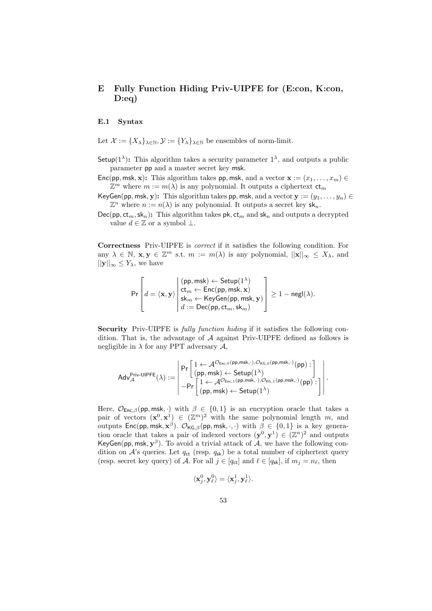## **E Fully Function Hiding Priv-UIPFE for (E:con, K:con, D:eq)**

## **E.1 Syntax**

Let  $\mathcal{X} := \{X_{\lambda}\}_{\lambda \in \mathbb{N}}, \mathcal{Y} := \{Y_{\lambda}\}_{\lambda \in \mathbb{N}}$  be ensembles of norm-limit.

- Setup( $1^{\lambda}$ ): This algorithm takes a security parameter  $1^{\lambda}$ , and outputs a public parameter pp and a master secret key msk.
- Enc(pp, msk, **x**): This algorithm takes pp, msk, and a vector  $\mathbf{x} := (x_1, \dots, x_m) \in$  $\mathbb{Z}^m$  where  $m := m(\lambda)$  is any polynomial. It outputs a ciphertext  $ct_m$
- KeyGen(pp, msk, y): This algorithm takes pp, msk, and a vector  $\mathbf{y} := (y_1, \ldots, y_n) \in$  $\mathbb{Z}^n$  where  $n := n(\lambda)$  is any polynomial. It outputs a secret key  $\mathsf{sk}_n$ .
- $Dec(pp, ct_m, sk_n)$ : This algorithm takes  $pk, ct_m$  and  $sk_n$  and outputs a decrypted value  $d \in \mathbb{Z}$  or a symbol  $\bot$ .

**Correctness** Priv-UIPFE is *correct* if it satisfies the following condition. For  $\lim_{M \to \infty} \lambda \in \mathbb{N}, \mathbf{x}, \mathbf{y} \in \mathbb{Z}^m \text{ s.t. } m := m(\lambda) \text{ is any polynomial, } ||\mathbf{x}||_{\infty} \leq X_{\lambda}, \text{ and }$  $||\mathbf{y}||_{\infty} \leq Y_{\lambda}$ , we have

$$
\Pr\left[d = \langle \mathbf{x}, \mathbf{y} \rangle \left| \begin{array}{l} (\mathsf{pp}, \mathsf{msk}) \leftarrow \mathsf{Setup}(1^\lambda) \\ \mathsf{ct}_m \leftarrow \mathsf{Enc}(\mathsf{pp}, \mathsf{msk}, \mathbf{x}) \\ \mathsf{skm} \leftarrow \mathsf{KeyGen}(\mathsf{pp}, \mathsf{msk}, \mathbf{y}) \\ d := \mathsf{Dec}(\mathsf{pp}, \mathsf{ct}_m, \mathsf{skm}) \end{array} \right] \ge 1 - \mathsf{negl}(\lambda).
$$

**Security** Priv-UIPFE is *fully function hiding* if it satisfies the following condition. That is, the advantage of *A* against Priv-UIPFE defined as follows is negligible in  $\lambda$  for any PPT adversary  $\mathcal{A}$ ,

$$
\mathsf{Adv}_{\mathcal{A}}^{\mathsf{Priv-UIPFE}}(\lambda) := \left|\begin{array}{l} \Pr\left[1 \leftarrow \mathcal{A}^{\mathcal{O}_{\mathsf{Enc},0}(\mathsf{pp},\mathsf{msk},\cdot),\mathcal{O}_{\mathsf{KG},0}(\mathsf{pp},\mathsf{msk},\cdot)}(\mathsf{pp}):\\ (\mathsf{pp},\mathsf{msk}) \leftarrow \mathsf{Setup}(1^{\lambda}) \\ -\Pr\left[1 \leftarrow \mathcal{A}^{\mathcal{O}_{\mathsf{Enc},1}(\mathsf{pp},\mathsf{msk},\cdot),\mathcal{O}_{\mathsf{KG},1}(\mathsf{pp},\mathsf{msk},\cdot)}(\mathsf{pp}):\\ (\mathsf{pp},\mathsf{msk}) \leftarrow \mathsf{Setup}(1^{\lambda})\end{array}\right|\right..
$$

Here,  $\mathcal{O}_{\text{Enc.}\beta}(\text{pp, msk}, \cdot)$  with  $\beta \in \{0, 1\}$  is an encryption oracle that takes a pair of vectors  $(\mathbf{x}^0, \mathbf{x}^1) \in (\mathbb{Z}^m)^2$  with the same polynomial length *m*, and outputs  $Enc(pp, msk, x^{\beta})$ .  $\mathcal{O}_{KG,\beta}(pp, msk, \cdot, \cdot)$  with  $\beta \in \{0,1\}$  is a key generation oracle that takes a pair of indexed vectors  $(\mathbf{y}^0, \mathbf{y}^1) \in (\mathbb{Z}^n)^2$  and outputs KeyGen(pp, msk,  $y^{\beta}$ ). To avoid a trivial attack of A, we have the following condition on  $A$ 's queries. Let  $q_{ct}$  (resp.  $q_{sk}$ ) be a total number of ciphertext query (resp. secret key query) of *A*. For all  $j \in [q_{ct}]$  and  $\ell \in [q_{sk}]$ , if  $m_j = n_{\ell}$ , then

$$
\langle \mathbf{x}_j^0, \mathbf{y}_{\ell}^0 \rangle = \langle \mathbf{x}_j^1, \mathbf{y}_{\ell}^1 \rangle.
$$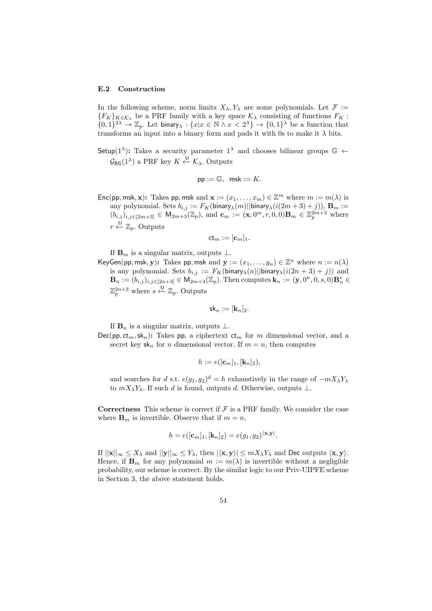#### **E.2 Construction**

In the following scheme, norm limits  $X_{\lambda}, Y_{\lambda}$  are some polynomials. Let  $\mathcal{F}$  :=  ${F_K}_{K \in \mathcal{K}}$  be a PRF family with a key space  $\mathcal{K}_{\lambda}$  consisting of functions  $F_K$ :  $\{0,1\}^{\lambda} \to \mathbb{Z}_p$ . Let binary<sub> $\lambda$ </sub> :  $\{x|x \in \mathbb{N} \wedge x < 2^{\lambda}\} \to \{0,1\}^{\lambda}$  be a function that transforms an input into a binary form and pads it with 0s to make it  $\lambda$  bits.

Setup(1<sup> $\lambda$ </sup>): Takes a security parameter 1<sup> $\lambda$ </sup> and chooses bilinear groups  $\mathbb{G} \leftarrow$  $\mathcal{G}_{\mathsf{BG}}(1^{\lambda})$  a PRF key  $K \xleftarrow{\mathsf{U}} \mathcal{K}_{\lambda}$ . Outputs

$$
\mathsf{pp} := \mathbb{G}, \;\; \mathsf{msk} := K.
$$

Enc(pp, msk, **x**): Takes pp, msk and  $\mathbf{x} := (x_1, \dots, x_m) \in \mathbb{Z}^m$  where  $m := m(\lambda)$  is any polynomial. Sets  $b_{i,j} := F_K(\text{binary}_{\lambda}(m)||\text{binary}_{\lambda}(i(2m+3)+j)), \mathbf{B}_m :=$  $(b_{i,j})_{i,j\in[2m+3]}\in \mathsf{M}_{2m+3}(\mathbb{Z}_p)$ , and  $\mathbf{c}_m := (\mathbf{x},0^m,r,0,0)\mathbf{B}_m \in \mathbb{Z}_p^{2m+3}$  where *r* U *←−* Z*p*. Outputs

$$
\mathsf{ct}_{m}:=[\mathbf{c}_{m}]_{1}.
$$

If **B***<sup>m</sup>* is a singular matrix, outputs *⊥*.

KeyGen(pp, msk, y): Takes pp, msk and  $y := (x_1, \ldots, y_n) \in \mathbb{Z}^n$  where  $n := n(\lambda)$ is any polynomial. Sets  $b_{i,j} := F_K(\text{binary}_{\lambda}(n)||\text{binary}_{\lambda}(i(2n+3)+j))$  and  $\mathbf{B}_n := (b_{i,j})_{i,j \in [2n+3]} \in M_{2m+3}(\mathbb{Z}_p)$ . Then computes  $\mathbf{k}_n := (\mathbf{y}, 0^n, 0, s, 0) \mathbf{B}_n^* \in$  $\mathbb{Z}_p^{2n+3}$  where  $s \stackrel{\cup}{\leftarrow} \mathbb{Z}_p$ . Outputs

$$
\mathsf{sk}_n:=[\mathbf{k}_n]_2.
$$

If  $\mathbf{B}_n$  is a singular matrix, outputs  $\bot$ .

 $Dec(pp, ct_m, sk_n)$ : Takes pp, a ciphertext  $ct_m$  for m dimensional vector, and a secret key  $sk_n$  for *n* dimensional vector. If  $m = n$ , then computes

$$
h := e([\mathbf{c}_m]_1, [\mathbf{k}_n]_2),
$$

and searches for *d* s.t.  $e(g_1, g_2)^d = h$  exhaustively in the range of  $-mX_\lambda Y_\lambda$ to  $mX_\lambda Y_\lambda$ . If such *d* is found, outputs *d*. Otherwise, outputs  $\bot$ .

**Correctness** This scheme is correct if  $F$  is a PRF family. We consider the case where  $\mathbf{B}_m$  is invertible. Observe that if  $m = n$ ,

$$
h = e([\mathbf{c}_m]_1, [\mathbf{k}_n]_2) = e(g_1, g_2)^{\langle \mathbf{x}, \mathbf{y} \rangle}.
$$

If  $||\mathbf{x}||_{\infty} \leq X_{\lambda}$  and  $||\mathbf{y}||_{\infty} \leq Y_{\lambda}$ , then  $|\langle \mathbf{x}, \mathbf{y} \rangle| \leq m X_{\lambda} Y_{\lambda}$  and Dec outputs  $\langle \mathbf{x}, \mathbf{y} \rangle$ . Hence, if  $\mathbf{B}_m$  for any polynomial  $m := m(\lambda)$  is invertible without a negligible probability, our scheme is correct. By the similar logic to our Priv-UIPFE scheme in Section 3, the above statement holds.